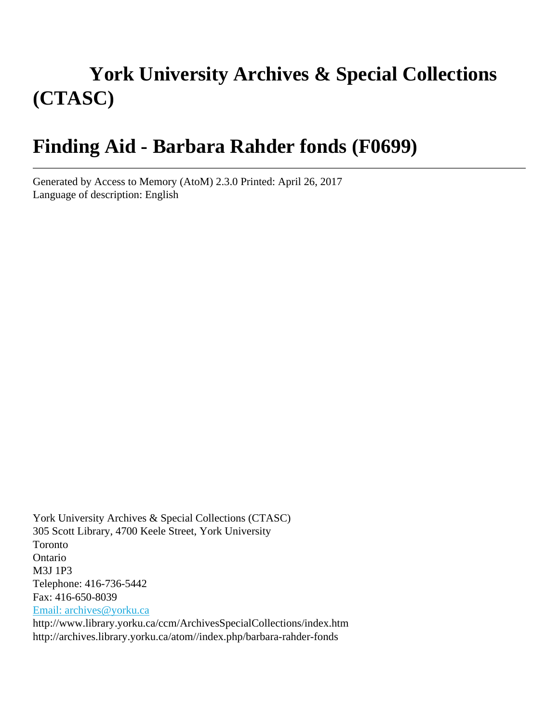# **York University Archives & Special Collections (CTASC)**

# **Finding Aid - Barbara Rahder fonds (F0699)**

Generated by Access to Memory (AtoM) 2.3.0 Printed: April 26, 2017 Language of description: English

York University Archives & Special Collections (CTASC) 305 Scott Library, 4700 Keele Street, York University Toronto Ontario M3J 1P3 Telephone: 416-736-5442 Fax: 416-650-8039 [Email: archives@yorku.ca](mailto:Email: archives@yorku.ca) http://www.library.yorku.ca/ccm/ArchivesSpecialCollections/index.htm http://archives.library.yorku.ca/atom//index.php/barbara-rahder-fonds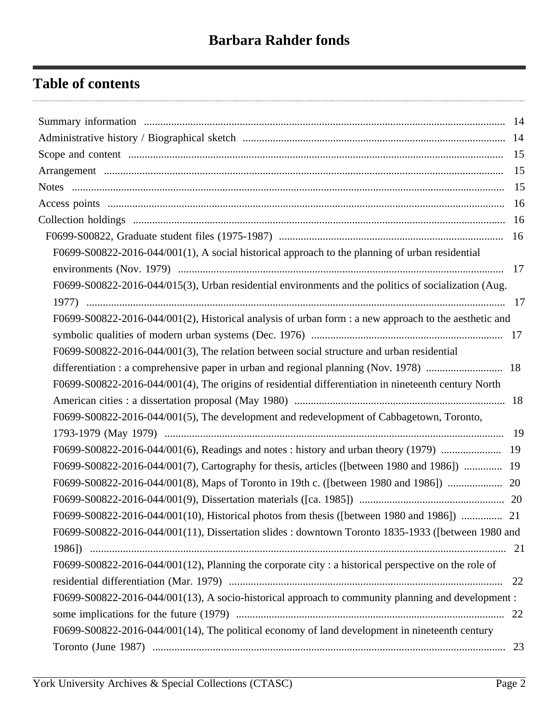## **Table of contents**

| F0699-S00822-2016-044/001(1), A social historical approach to the planning of urban residential       |  |
|-------------------------------------------------------------------------------------------------------|--|
|                                                                                                       |  |
| F0699-S00822-2016-044/015(3), Urban residential environments and the politics of socialization (Aug.  |  |
|                                                                                                       |  |
| F0699-S00822-2016-044/001(2), Historical analysis of urban form : a new approach to the aesthetic and |  |
|                                                                                                       |  |
| F0699-S00822-2016-044/001(3), The relation between social structure and urban residential             |  |
|                                                                                                       |  |
| F0699-S00822-2016-044/001(4), The origins of residential differentiation in nineteenth century North  |  |
|                                                                                                       |  |
| F0699-S00822-2016-044/001(5), The development and redevelopment of Cabbagetown, Toronto,              |  |
|                                                                                                       |  |
|                                                                                                       |  |
| F0699-S00822-2016-044/001(7), Cartography for thesis, articles ([between 1980 and 1986])  19          |  |
|                                                                                                       |  |
|                                                                                                       |  |
| F0699-S00822-2016-044/001(10), Historical photos from thesis ([between 1980 and 1986])  21            |  |
| F0699-S00822-2016-044/001(11), Dissertation slides : downtown Toronto 1835-1933 ([between 1980 and    |  |
|                                                                                                       |  |
| F0699-S00822-2016-044/001(12), Planning the corporate city : a historical perspective on the role of  |  |
|                                                                                                       |  |
| F0699-S00822-2016-044/001(13), A socio-historical approach to community planning and development:     |  |
|                                                                                                       |  |
| F0699-S00822-2016-044/001(14), The political economy of land development in nineteenth century        |  |
|                                                                                                       |  |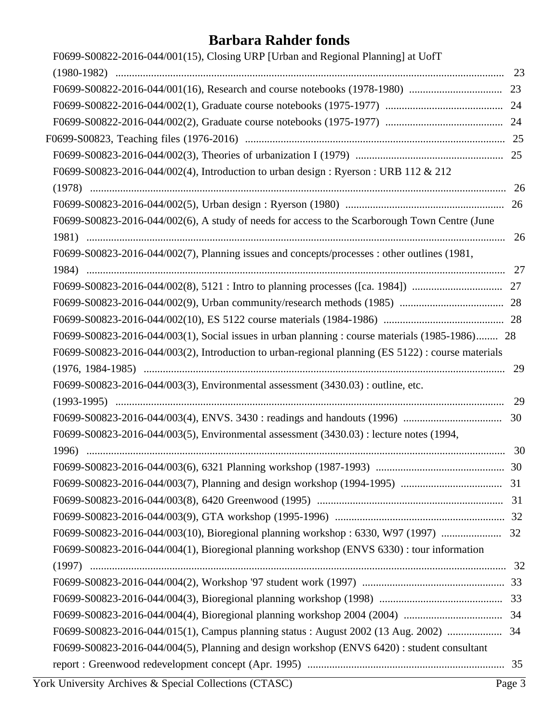| F0699-S00822-2016-044/001(15), Closing URP [Urban and Regional Planning] at UofT                   |    |
|----------------------------------------------------------------------------------------------------|----|
|                                                                                                    |    |
|                                                                                                    |    |
|                                                                                                    |    |
|                                                                                                    |    |
|                                                                                                    |    |
|                                                                                                    |    |
| F0699-S00823-2016-044/002(4), Introduction to urban design : Ryerson : URB 112 & 212               |    |
|                                                                                                    | 26 |
|                                                                                                    |    |
| F0699-S00823-2016-044/002(6), A study of needs for access to the Scarborough Town Centre (June     | 26 |
| F0699-S00823-2016-044/002(7), Planning issues and concepts/processes : other outlines (1981,       |    |
|                                                                                                    |    |
|                                                                                                    |    |
|                                                                                                    |    |
|                                                                                                    |    |
| F0699-S00823-2016-044/003(1), Social issues in urban planning : course materials (1985-1986) 28    |    |
| F0699-S00823-2016-044/003(2), Introduction to urban-regional planning (ES 5122) : course materials |    |
|                                                                                                    | 29 |
| F0699-S00823-2016-044/003(3), Environmental assessment (3430.03) : outline, etc.                   |    |
|                                                                                                    | 29 |
|                                                                                                    | 30 |
| F0699-S00823-2016-044/003(5), Environmental assessment (3430.03) : lecture notes (1994,            |    |
|                                                                                                    | 30 |
|                                                                                                    |    |
|                                                                                                    |    |
|                                                                                                    |    |
|                                                                                                    |    |
|                                                                                                    |    |
| F0699-S00823-2016-044/004(1), Bioregional planning workshop (ENVS 6330): tour information          |    |
|                                                                                                    |    |
|                                                                                                    |    |
|                                                                                                    |    |
|                                                                                                    |    |
| F0699-S00823-2016-044/015(1), Campus planning status : August 2002 (13 Aug. 2002)  34              |    |
| F0699-S00823-2016-044/004(5), Planning and design workshop (ENVS 6420): student consultant         |    |
|                                                                                                    |    |
|                                                                                                    |    |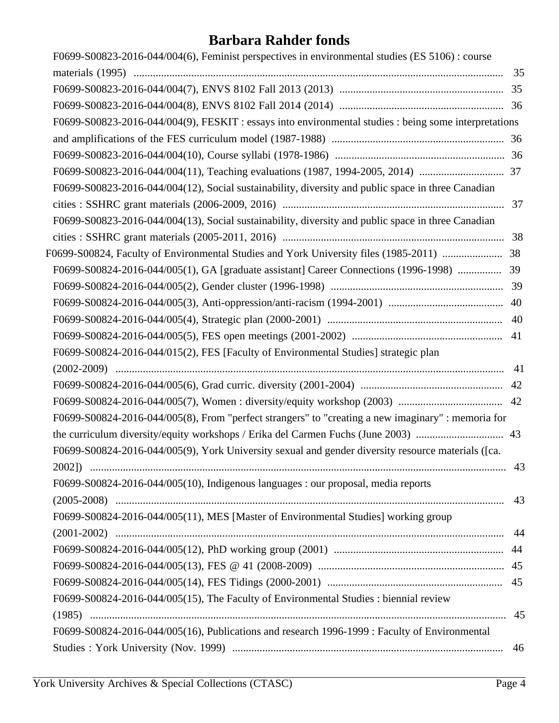| F0699-S00823-2016-044/004(6), Feminist perspectives in environmental studies (ES 5106) : course       |    |
|-------------------------------------------------------------------------------------------------------|----|
|                                                                                                       | 35 |
|                                                                                                       |    |
|                                                                                                       |    |
| F0699-S00823-2016-044/004(9), FESKIT : essays into environmental studies : being some interpretations |    |
|                                                                                                       |    |
|                                                                                                       |    |
|                                                                                                       |    |
| F0699-S00823-2016-044/004(12), Social sustainability, diversity and public space in three Canadian    |    |
|                                                                                                       |    |
| F0699-S00823-2016-044/004(13), Social sustainability, diversity and public space in three Canadian    |    |
|                                                                                                       |    |
| F0699-S00824, Faculty of Environmental Studies and York University files (1985-2011)  38              |    |
| F0699-S00824-2016-044/005(1), GA [graduate assistant] Career Connections (1996-1998)                  | 39 |
|                                                                                                       |    |
|                                                                                                       | 40 |
|                                                                                                       |    |
|                                                                                                       |    |
| F0699-S00824-2016-044/015(2), FES [Faculty of Environmental Studies] strategic plan                   |    |
|                                                                                                       | 41 |
|                                                                                                       |    |
|                                                                                                       |    |
| F0699-S00824-2016-044/005(8), From "perfect strangers" to "creating a new imaginary" : memoria for    |    |
|                                                                                                       |    |
| F0699-S00824-2016-044/005(9), York University sexual and gender diversity resource materials ([ca.    |    |
|                                                                                                       |    |
| F0699-S00824-2016-044/005(10), Indigenous languages : our proposal, media reports                     |    |
|                                                                                                       | 43 |
| F0699-S00824-2016-044/005(11), MES [Master of Environmental Studies] working group                    |    |
|                                                                                                       | 44 |
|                                                                                                       |    |
|                                                                                                       |    |
|                                                                                                       |    |
| F0699-S00824-2016-044/005(15), The Faculty of Environmental Studies : biennial review                 |    |
|                                                                                                       | 45 |
| F0699-S00824-2016-044/005(16), Publications and research 1996-1999 : Faculty of Environmental         |    |
|                                                                                                       | 46 |
|                                                                                                       |    |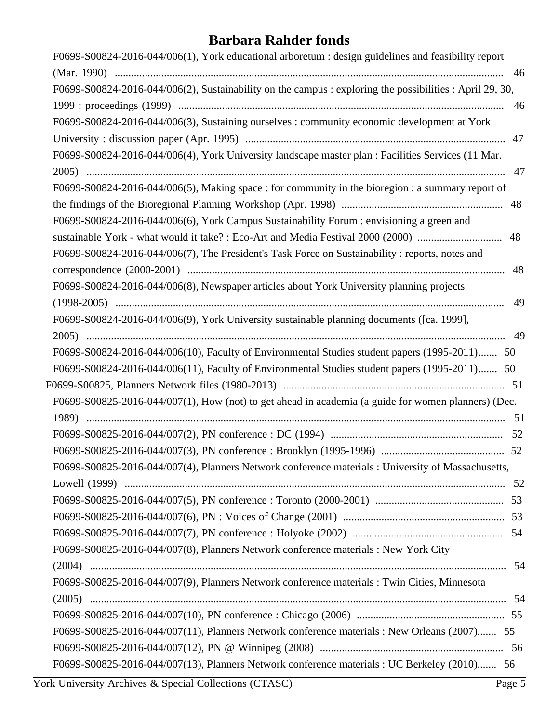| F0699-S00824-2016-044/006(1), York educational arboretum : design guidelines and feasibility report      |    |
|----------------------------------------------------------------------------------------------------------|----|
|                                                                                                          | 46 |
| F0699-S00824-2016-044/006(2), Sustainability on the campus : exploring the possibilities : April 29, 30, |    |
|                                                                                                          | 46 |
| F0699-S00824-2016-044/006(3), Sustaining ourselves : community economic development at York              |    |
|                                                                                                          |    |
| F0699-S00824-2016-044/006(4), York University landscape master plan : Facilities Services (11 Mar.       |    |
|                                                                                                          | 47 |
| F0699-S00824-2016-044/006(5), Making space : for community in the bioregion : a summary report of        |    |
|                                                                                                          |    |
| F0699-S00824-2016-044/006(6), York Campus Sustainability Forum : envisioning a green and                 |    |
| sustainable York - what would it take? : Eco-Art and Media Festival 2000 (2000)<br>48                    |    |
| F0699-S00824-2016-044/006(7), The President's Task Force on Sustainability: reports, notes and           |    |
|                                                                                                          | 48 |
| F0699-S00824-2016-044/006(8), Newspaper articles about York University planning projects                 |    |
|                                                                                                          | 49 |
| F0699-S00824-2016-044/006(9), York University sustainable planning documents ([ca. 1999],                |    |
|                                                                                                          | 49 |
| F0699-S00824-2016-044/006(10), Faculty of Environmental Studies student papers (1995-2011) 50            |    |
| F0699-S00824-2016-044/006(11), Faculty of Environmental Studies student papers (1995-2011) 50            |    |
|                                                                                                          |    |
| F0699-S00825-2016-044/007(1), How (not) to get ahead in academia (a guide for women planners) (Dec.      |    |
|                                                                                                          |    |
| 52                                                                                                       |    |
|                                                                                                          |    |
| F0699-S00825-2016-044/007(4), Planners Network conference materials : University of Massachusetts,       |    |
|                                                                                                          |    |
|                                                                                                          |    |
|                                                                                                          |    |
|                                                                                                          |    |
| F0699-S00825-2016-044/007(8), Planners Network conference materials : New York City                      |    |
|                                                                                                          |    |
|                                                                                                          |    |
| F0699-S00825-2016-044/007(9), Planners Network conference materials : Twin Cities, Minnesota             |    |
|                                                                                                          |    |
|                                                                                                          |    |
| F0699-S00825-2016-044/007(11), Planners Network conference materials : New Orleans (2007) 55             |    |
|                                                                                                          |    |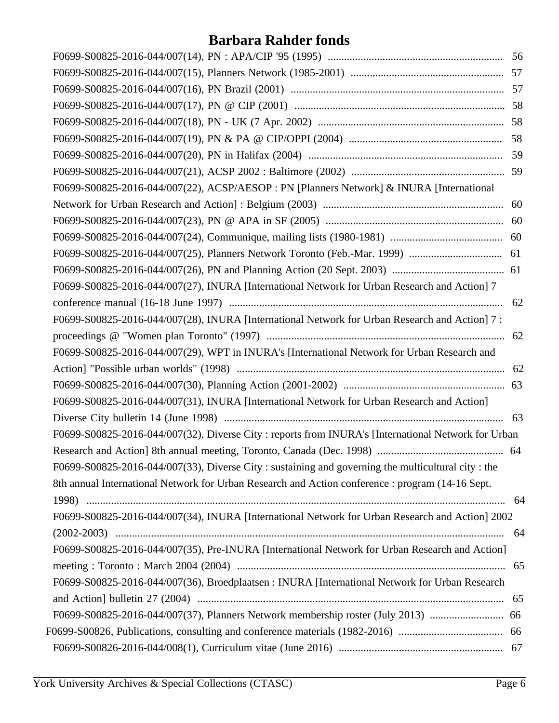| F0699-S00825-2016-044/007(22), ACSP/AESOP : PN [Planners Network] & INURA [International            |    |
|-----------------------------------------------------------------------------------------------------|----|
|                                                                                                     |    |
|                                                                                                     |    |
|                                                                                                     |    |
|                                                                                                     |    |
|                                                                                                     |    |
| F0699-S00825-2016-044/007(27), INURA [International Network for Urban Research and Action] 7        |    |
|                                                                                                     | 62 |
| F0699-S00825-2016-044/007(28), INURA [International Network for Urban Research and Action] 7 :      |    |
|                                                                                                     | 62 |
| F0699-S00825-2016-044/007(29), WPT in INURA's [International Network for Urban Research and         |    |
|                                                                                                     |    |
|                                                                                                     |    |
| F0699-S00825-2016-044/007(31), INURA [International Network for Urban Research and Action]          |    |
|                                                                                                     |    |
| F0699-S00825-2016-044/007(32), Diverse City: reports from INURA's [International Network for Urban] |    |
|                                                                                                     |    |
| F0699-S00825-2016-044/007(33), Diverse City : sustaining and governing the multicultural city : the |    |
| 8th annual International Network for Urban Research and Action conference : program (14-16 Sept.    |    |
|                                                                                                     |    |
| F0699-S00825-2016-044/007(34), INURA [International Network for Urban Research and Action] 2002     |    |
|                                                                                                     | 64 |
| F0699-S00825-2016-044/007(35), Pre-INURA [International Network for Urban Research and Action]      |    |
|                                                                                                     | 65 |
| F0699-S00825-2016-044/007(36), Broedplaatsen : INURA [International Network for Urban Research      |    |
|                                                                                                     | 65 |
| F0699-S00825-2016-044/007(37), Planners Network membership roster (July 2013)                       | 66 |
| F0699-S00826, Publications, consulting and conference materials (1982-2016)                         | 66 |
|                                                                                                     |    |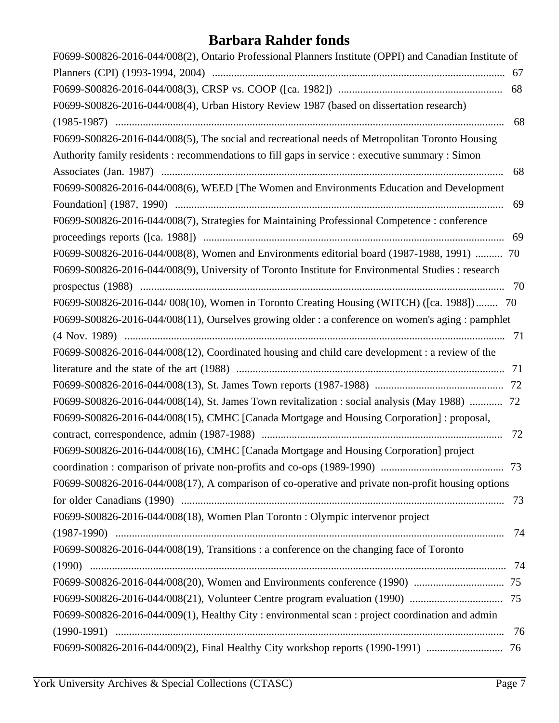| F0699-S00826-2016-044/008(2), Ontario Professional Planners Institute (OPPI) and Canadian Institute of |     |
|--------------------------------------------------------------------------------------------------------|-----|
|                                                                                                        | 67  |
|                                                                                                        | 68  |
| F0699-S00826-2016-044/008(4), Urban History Review 1987 (based on dissertation research)               |     |
|                                                                                                        | 68  |
| F0699-S00826-2016-044/008(5), The social and recreational needs of Metropolitan Toronto Housing        |     |
| Authority family residents: recommendations to fill gaps in service : executive summary : Simon        |     |
|                                                                                                        | 68  |
| F0699-S00826-2016-044/008(6), WEED [The Women and Environments Education and Development               |     |
|                                                                                                        | 69  |
| F0699-S00826-2016-044/008(7), Strategies for Maintaining Professional Competence : conference          |     |
|                                                                                                        | 69  |
| F0699-S00826-2016-044/008(8), Women and Environments editorial board (1987-1988, 1991)  70             |     |
| F0699-S00826-2016-044/008(9), University of Toronto Institute for Environmental Studies : research     |     |
|                                                                                                        | 70  |
| F0699-S00826-2016-044/008(10), Women in Toronto Creating Housing (WITCH) ([ca. 1988]) 70               |     |
| F0699-S00826-2016-044/008(11), Ourselves growing older : a conference on women's aging : pamphlet      |     |
|                                                                                                        |     |
| F0699-S00826-2016-044/008(12), Coordinated housing and child care development : a review of the        |     |
|                                                                                                        |     |
|                                                                                                        |     |
| F0699-S00826-2016-044/008(14), St. James Town revitalization : social analysis (May 1988)  72          |     |
| F0699-S00826-2016-044/008(15), CMHC [Canada Mortgage and Housing Corporation]: proposal,               |     |
|                                                                                                        | 72  |
| F0699-S00826-2016-044/008(16), CMHC [Canada Mortgage and Housing Corporation] project                  |     |
|                                                                                                        |     |
| F0699-S00826-2016-044/008(17), A comparison of co-operative and private non-profit housing options     |     |
|                                                                                                        | 73  |
| F0699-S00826-2016-044/008(18), Women Plan Toronto: Olympic intervenor project                          |     |
|                                                                                                        | -74 |
| F0699-S00826-2016-044/008(19), Transitions: a conference on the changing face of Toronto               |     |
|                                                                                                        |     |
|                                                                                                        |     |
|                                                                                                        |     |
| F0699-S00826-2016-044/009(1), Healthy City : environmental scan : project coordination and admin       |     |
|                                                                                                        | 76  |
|                                                                                                        |     |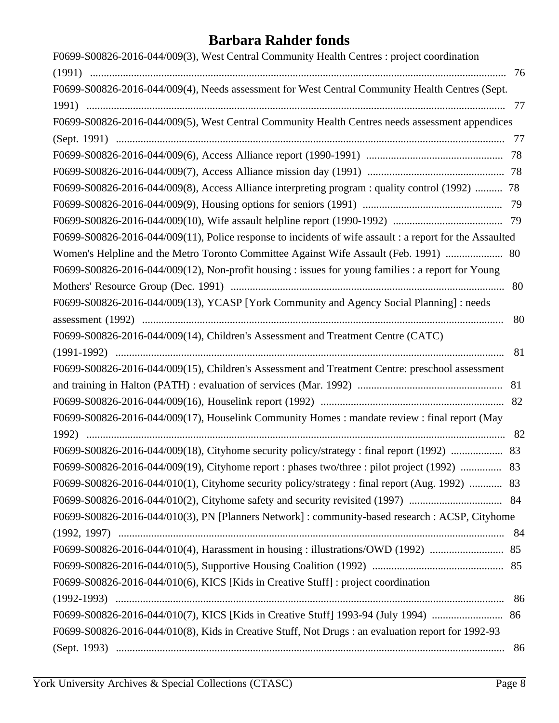| F0699-S00826-2016-044/009(3), West Central Community Health Centres : project coordination               |    |
|----------------------------------------------------------------------------------------------------------|----|
|                                                                                                          |    |
| F0699-S00826-2016-044/009(4), Needs assessment for West Central Community Health Centres (Sept.          |    |
|                                                                                                          |    |
| F0699-S00826-2016-044/009(5), West Central Community Health Centres needs assessment appendices          |    |
|                                                                                                          |    |
|                                                                                                          |    |
|                                                                                                          |    |
| F0699-S00826-2016-044/009(8), Access Alliance interpreting program : quality control (1992)  78          |    |
|                                                                                                          |    |
|                                                                                                          |    |
| F0699-S00826-2016-044/009(11), Police response to incidents of wife assault : a report for the Assaulted |    |
| Women's Helpline and the Metro Toronto Committee Against Wife Assault (Feb. 1991)  80                    |    |
| F0699-S00826-2016-044/009(12), Non-profit housing : issues for young families : a report for Young       |    |
|                                                                                                          | 80 |
| F0699-S00826-2016-044/009(13), YCASP [York Community and Agency Social Planning]: needs                  |    |
|                                                                                                          | 80 |
| F0699-S00826-2016-044/009(14), Children's Assessment and Treatment Centre (CATC)                         |    |
|                                                                                                          | 81 |
| F0699-S00826-2016-044/009(15), Children's Assessment and Treatment Centre: preschool assessment          |    |
|                                                                                                          |    |
|                                                                                                          |    |
| F0699-S00826-2016-044/009(17), Houselink Community Homes: mandate review: final report (May              |    |
|                                                                                                          | 82 |
| F0699-S00826-2016-044/009(18), Cityhome security policy/strategy : final report (1992)  83               |    |
| F0699-S00826-2016-044/009(19), Cityhome report : phases two/three : pilot project (1992)  83             |    |
| F0699-S00826-2016-044/010(1), Cityhome security policy/strategy : final report (Aug. 1992)  83           |    |
|                                                                                                          |    |
| F0699-S00826-2016-044/010(3), PN [Planners Network] : community-based research : ACSP, Cityhome          |    |
|                                                                                                          |    |
|                                                                                                          |    |
|                                                                                                          |    |
| F0699-S00826-2016-044/010(6), KICS [Kids in Creative Stuff] : project coordination                       |    |
|                                                                                                          | 86 |
|                                                                                                          |    |
| F0699-S00826-2016-044/010(8), Kids in Creative Stuff, Not Drugs : an evaluation report for 1992-93       |    |
|                                                                                                          | 86 |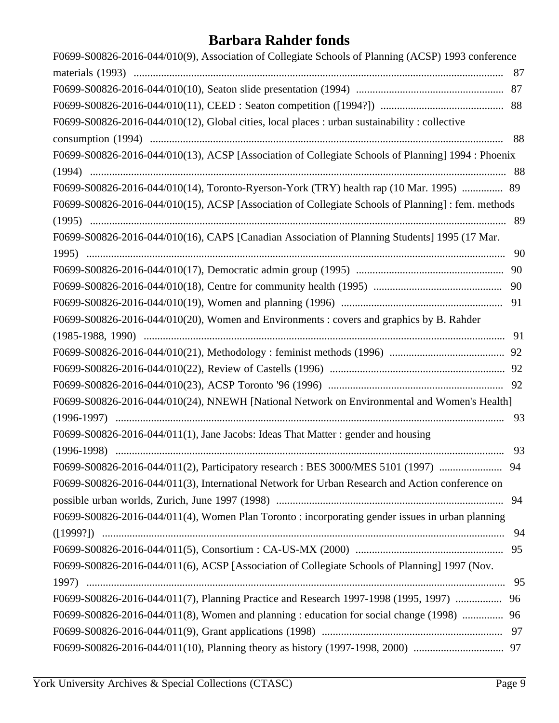| F0699-S00826-2016-044/010(9), Association of Collegiate Schools of Planning (ACSP) 1993 conference |  |
|----------------------------------------------------------------------------------------------------|--|
| 87                                                                                                 |  |
|                                                                                                    |  |
|                                                                                                    |  |
| F0699-S00826-2016-044/010(12), Global cities, local places : urban sustainability : collective     |  |
| 88                                                                                                 |  |
| F0699-S00826-2016-044/010(13), ACSP [Association of Collegiate Schools of Planning] 1994 : Phoenix |  |
|                                                                                                    |  |
| F0699-S00826-2016-044/010(14), Toronto-Ryerson-York (TRY) health rap (10 Mar. 1995)  89            |  |
| F0699-S00826-2016-044/010(15), ACSP [Association of Collegiate Schools of Planning] : fem. methods |  |
|                                                                                                    |  |
| F0699-S00826-2016-044/010(16), CAPS [Canadian Association of Planning Students] 1995 (17 Mar.      |  |
|                                                                                                    |  |
|                                                                                                    |  |
|                                                                                                    |  |
|                                                                                                    |  |
| F0699-S00826-2016-044/010(20), Women and Environments : covers and graphics by B. Rahder           |  |
|                                                                                                    |  |
|                                                                                                    |  |
|                                                                                                    |  |
|                                                                                                    |  |
| F0699-S00826-2016-044/010(24), NNEWH [National Network on Environmental and Women's Health]        |  |
|                                                                                                    |  |
| F0699-S00826-2016-044/011(1), Jane Jacobs: Ideas That Matter: gender and housing                   |  |
| 93                                                                                                 |  |
|                                                                                                    |  |
| F0699-S00826-2016-044/011(3), International Network for Urban Research and Action conference on    |  |
| 94                                                                                                 |  |
| F0699-S00826-2016-044/011(4), Women Plan Toronto: incorporating gender issues in urban planning    |  |
| 94                                                                                                 |  |
|                                                                                                    |  |
| F0699-S00826-2016-044/011(6), ACSP [Association of Collegiate Schools of Planning] 1997 (Nov.      |  |
|                                                                                                    |  |
| F0699-S00826-2016-044/011(7), Planning Practice and Research 1997-1998 (1995, 1997)<br>96          |  |
| F0699-S00826-2016-044/011(8), Women and planning : education for social change (1998)<br>96        |  |
|                                                                                                    |  |
|                                                                                                    |  |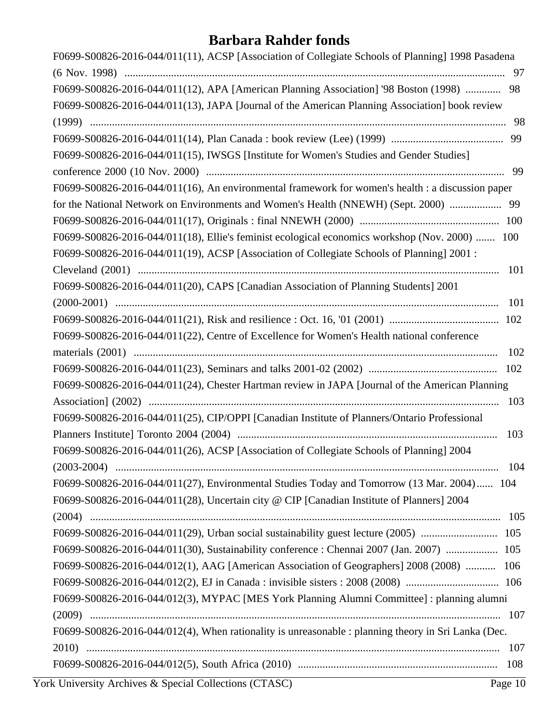| F0699-S00826-2016-044/011(11), ACSP [Association of Collegiate Schools of Planning] 1998 Pasadena   |
|-----------------------------------------------------------------------------------------------------|
| -97                                                                                                 |
| F0699-S00826-2016-044/011(12), APA [American Planning Association] '98 Boston (1998)<br>98          |
| F0699-S00826-2016-044/011(13), JAPA [Journal of the American Planning Association] book review      |
| 98                                                                                                  |
|                                                                                                     |
| F0699-S00826-2016-044/011(15), IWSGS [Institute for Women's Studies and Gender Studies]             |
|                                                                                                     |
| F0699-S00826-2016-044/011(16), An environmental framework for women's health : a discussion paper   |
|                                                                                                     |
|                                                                                                     |
| F0699-S00826-2016-044/011(18), Ellie's feminist ecological economics workshop (Nov. 2000)  100      |
| F0699-S00826-2016-044/011(19), ACSP [Association of Collegiate Schools of Planning] 2001:           |
|                                                                                                     |
| F0699-S00826-2016-044/011(20), CAPS [Canadian Association of Planning Students] 2001                |
| 101                                                                                                 |
|                                                                                                     |
| F0699-S00826-2016-044/011(22), Centre of Excellence for Women's Health national conference          |
| 102                                                                                                 |
|                                                                                                     |
| F0699-S00826-2016-044/011(24), Chester Hartman review in JAPA [Journal of the American Planning     |
|                                                                                                     |
| F0699-S00826-2016-044/011(25), CIP/OPPI [Canadian Institute of Planners/Ontario Professional        |
| 103                                                                                                 |
| F0699-S00826-2016-044/011(26), ACSP [Association of Collegiate Schools of Planning] 2004            |
| 104                                                                                                 |
| F0699-S00826-2016-044/011(27), Environmental Studies Today and Tomorrow (13 Mar. 2004) 104          |
| F0699-S00826-2016-044/011(28), Uncertain city @ CIP [Canadian Institute of Planners] 2004           |
|                                                                                                     |
| F0699-S00826-2016-044/011(29), Urban social sustainability guest lecture (2005)  105                |
| F0699-S00826-2016-044/011(30), Sustainability conference : Chennai 2007 (Jan. 2007)  105            |
| F0699-S00826-2016-044/012(1), AAG [American Association of Geographers] 2008 (2008)  106            |
|                                                                                                     |
| F0699-S00826-2016-044/012(3), MYPAC [MES York Planning Alumni Committee] : planning alumni          |
|                                                                                                     |
| F0699-S00826-2016-044/012(4), When rationality is unreasonable : planning theory in Sri Lanka (Dec. |
|                                                                                                     |
| <u> 1989 - Andrea Andrew Maria (h. 1989).</u>                                                       |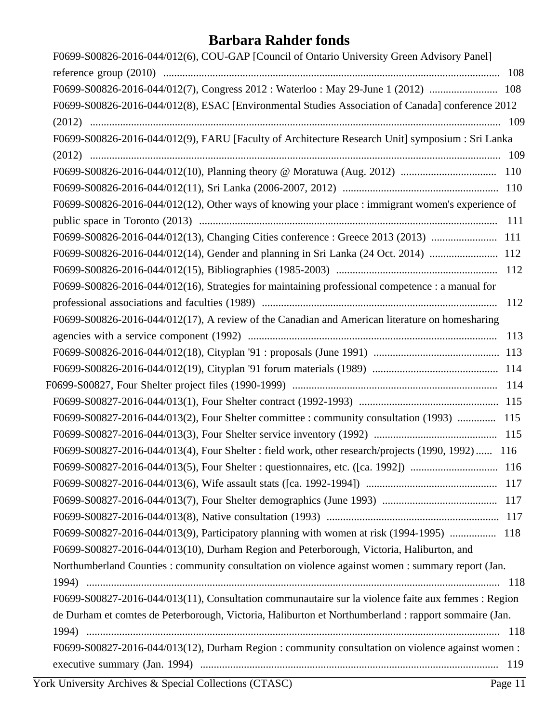| F0699-S00826-2016-044/012(6), COU-GAP [Council of Ontario University Green Advisory Panel]           |  |
|------------------------------------------------------------------------------------------------------|--|
|                                                                                                      |  |
| F0699-S00826-2016-044/012(7), Congress 2012 : Waterloo : May 29-June 1 (2012)  108                   |  |
| F0699-S00826-2016-044/012(8), ESAC [Environmental Studies Association of Canada] conference 2012     |  |
|                                                                                                      |  |
| F0699-S00826-2016-044/012(9), FARU [Faculty of Architecture Research Unit] symposium : Sri Lanka     |  |
|                                                                                                      |  |
|                                                                                                      |  |
|                                                                                                      |  |
| F0699-S00826-2016-044/012(12), Other ways of knowing your place : immigrant women's experience of    |  |
|                                                                                                      |  |
| F0699-S00826-2016-044/012(13), Changing Cities conference : Greece 2013 (2013)  111                  |  |
| F0699-S00826-2016-044/012(14), Gender and planning in Sri Lanka (24 Oct. 2014)  112                  |  |
|                                                                                                      |  |
| F0699-S00826-2016-044/012(16), Strategies for maintaining professional competence : a manual for     |  |
|                                                                                                      |  |
| F0699-S00826-2016-044/012(17), A review of the Canadian and American literature on homesharing       |  |
|                                                                                                      |  |
|                                                                                                      |  |
|                                                                                                      |  |
|                                                                                                      |  |
|                                                                                                      |  |
| F0699-S00827-2016-044/013(2), Four Shelter committee : community consultation (1993)  115            |  |
|                                                                                                      |  |
| F0699-S00827-2016-044/013(4), Four Shelter : field work, other research/projects (1990, 1992)  116   |  |
|                                                                                                      |  |
|                                                                                                      |  |
|                                                                                                      |  |
|                                                                                                      |  |
| F0699-S00827-2016-044/013(9), Participatory planning with women at risk (1994-1995)  118             |  |
| F0699-S00827-2016-044/013(10), Durham Region and Peterborough, Victoria, Haliburton, and             |  |
| Northumberland Counties : community consultation on violence against women : summary report (Jan.    |  |
|                                                                                                      |  |
| F0699-S00827-2016-044/013(11), Consultation communautaire sur la violence faite aux femmes : Region  |  |
| de Durham et comtes de Peterborough, Victoria, Haliburton et Northumberland : rapport sommaire (Jan. |  |
|                                                                                                      |  |
| F0699-S00827-2016-044/013(12), Durham Region : community consultation on violence against women :    |  |
|                                                                                                      |  |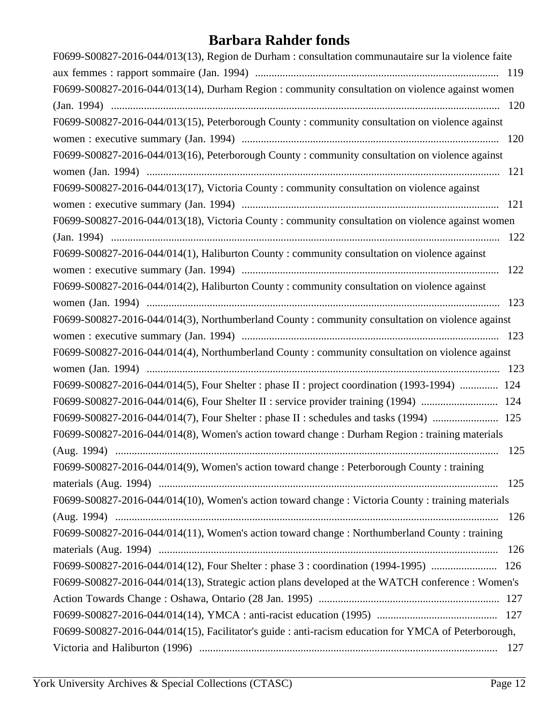| F0699-S00827-2016-044/013(13), Region de Durham : consultation communautaire sur la violence faite   |
|------------------------------------------------------------------------------------------------------|
|                                                                                                      |
| F0699-S00827-2016-044/013(14), Durham Region : community consultation on violence against women      |
|                                                                                                      |
| F0699-S00827-2016-044/013(15), Peterborough County: community consultation on violence against       |
|                                                                                                      |
| F0699-S00827-2016-044/013(16), Peterborough County: community consultation on violence against       |
|                                                                                                      |
| F0699-S00827-2016-044/013(17), Victoria County: community consultation on violence against           |
|                                                                                                      |
| F0699-S00827-2016-044/013(18), Victoria County: community consultation on violence against women     |
|                                                                                                      |
| F0699-S00827-2016-044/014(1), Haliburton County: community consultation on violence against          |
|                                                                                                      |
| F0699-S00827-2016-044/014(2), Haliburton County : community consultation on violence against         |
|                                                                                                      |
| F0699-S00827-2016-044/014(3), Northumberland County: community consultation on violence against      |
|                                                                                                      |
| F0699-S00827-2016-044/014(4), Northumberland County: community consultation on violence against      |
|                                                                                                      |
| F0699-S00827-2016-044/014(5), Four Shelter : phase II : project coordination (1993-1994)  124        |
|                                                                                                      |
| F0699-S00827-2016-044/014(7), Four Shelter : phase II : schedules and tasks (1994)  125              |
| F0699-S00827-2016-044/014(8), Women's action toward change : Durham Region : training materials      |
| 125                                                                                                  |
| F0699-S00827-2016-044/014(9), Women's action toward change : Peterborough County : training          |
|                                                                                                      |
| F0699-S00827-2016-044/014(10), Women's action toward change : Victoria County : training materials   |
|                                                                                                      |
| F0699-S00827-2016-044/014(11), Women's action toward change: Northumberland County: training         |
|                                                                                                      |
| F0699-S00827-2016-044/014(12), Four Shelter : phase 3 : coordination (1994-1995)  126                |
| F0699-S00827-2016-044/014(13), Strategic action plans developed at the WATCH conference : Women's    |
|                                                                                                      |
|                                                                                                      |
| F0699-S00827-2016-044/014(15), Facilitator's guide : anti-racism education for YMCA of Peterborough, |
| 127                                                                                                  |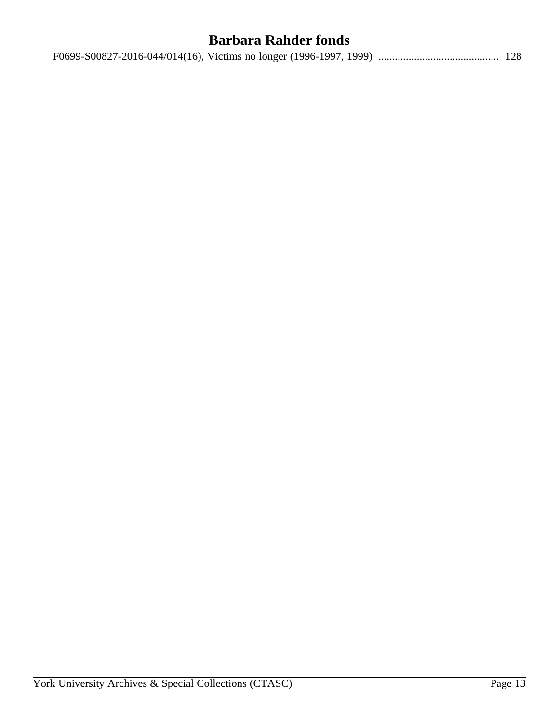|--|--|--|--|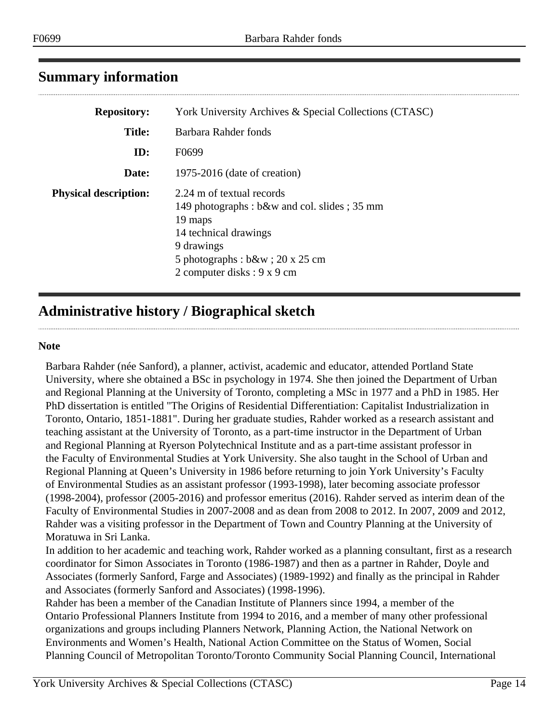## <span id="page-13-0"></span>**Summary information**

| <b>Repository:</b>           | York University Archives & Special Collections (CTASC)                                                                                                                                           |
|------------------------------|--------------------------------------------------------------------------------------------------------------------------------------------------------------------------------------------------|
| <b>Title:</b>                | Barbara Rahder fonds                                                                                                                                                                             |
| ID:                          | F <sub>0699</sub>                                                                                                                                                                                |
| Date:                        | $1975-2016$ (date of creation)                                                                                                                                                                   |
| <b>Physical description:</b> | 2.24 m of textual records<br>149 photographs: b&w and col. slides; 35 mm<br>19 maps<br>14 technical drawings<br>9 drawings<br>5 photographs : $b$ &w ; 20 x 25 cm<br>2 computer disks : 9 x 9 cm |

## <span id="page-13-1"></span>**Administrative history / Biographical sketch**

#### **Note**

Barbara Rahder (née Sanford), a planner, activist, academic and educator, attended Portland State University, where she obtained a BSc in psychology in 1974. She then joined the Department of Urban and Regional Planning at the University of Toronto, completing a MSc in 1977 and a PhD in 1985. Her PhD dissertation is entitled "The Origins of Residential Differentiation: Capitalist Industrialization in Toronto, Ontario, 1851-1881". During her graduate studies, Rahder worked as a research assistant and teaching assistant at the University of Toronto, as a part-time instructor in the Department of Urban and Regional Planning at Ryerson Polytechnical Institute and as a part-time assistant professor in the Faculty of Environmental Studies at York University. She also taught in the School of Urban and Regional Planning at Queen's University in 1986 before returning to join York University's Faculty of Environmental Studies as an assistant professor (1993-1998), later becoming associate professor (1998-2004), professor (2005-2016) and professor emeritus (2016). Rahder served as interim dean of the Faculty of Environmental Studies in 2007-2008 and as dean from 2008 to 2012. In 2007, 2009 and 2012, Rahder was a visiting professor in the Department of Town and Country Planning at the University of Moratuwa in Sri Lanka.

In addition to her academic and teaching work, Rahder worked as a planning consultant, first as a research coordinator for Simon Associates in Toronto (1986-1987) and then as a partner in Rahder, Doyle and Associates (formerly Sanford, Farge and Associates) (1989-1992) and finally as the principal in Rahder and Associates (formerly Sanford and Associates) (1998-1996).

Rahder has been a member of the Canadian Institute of Planners since 1994, a member of the Ontario Professional Planners Institute from 1994 to 2016, and a member of many other professional organizations and groups including Planners Network, Planning Action, the National Network on Environments and Women's Health, National Action Committee on the Status of Women, Social Planning Council of Metropolitan Toronto/Toronto Community Social Planning Council, International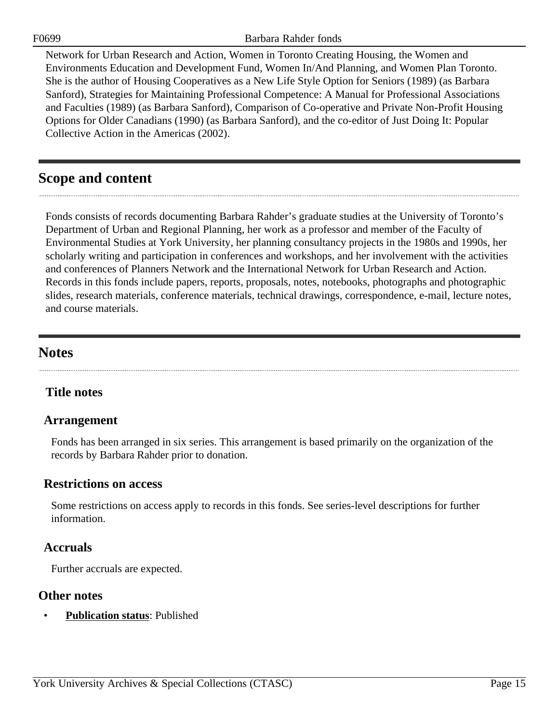F0699 Barbara Rahder fonds

Network for Urban Research and Action, Women in Toronto Creating Housing, the Women and Environments Education and Development Fund, Women In/And Planning, and Women Plan Toronto. She is the author of Housing Cooperatives as a New Life Style Option for Seniors (1989) (as Barbara Sanford), Strategies for Maintaining Professional Competence: A Manual for Professional Associations and Faculties (1989) (as Barbara Sanford), Comparison of Co-operative and Private Non-Profit Housing Options for Older Canadians (1990) (as Barbara Sanford), and the co-editor of Just Doing It: Popular Collective Action in the Americas (2002).

## <span id="page-14-0"></span>**Scope and content**

Fonds consists of records documenting Barbara Rahder's graduate studies at the University of Toronto's Department of Urban and Regional Planning, her work as a professor and member of the Faculty of Environmental Studies at York University, her planning consultancy projects in the 1980s and 1990s, her scholarly writing and participation in conferences and workshops, and her involvement with the activities and conferences of Planners Network and the International Network for Urban Research and Action. Records in this fonds include papers, reports, proposals, notes, notebooks, photographs and photographic slides, research materials, conference materials, technical drawings, correspondence, e-mail, lecture notes, and course materials.

## <span id="page-14-2"></span>**Notes**

## **Title notes**

## <span id="page-14-1"></span>**Arrangement**

Fonds has been arranged in six series. This arrangement is based primarily on the organization of the records by Barbara Rahder prior to donation.

### **Restrictions on access**

Some restrictions on access apply to records in this fonds. See series-level descriptions for further information.

## **Accruals**

Further accruals are expected.

## **Other notes**

• **Publication status**: Published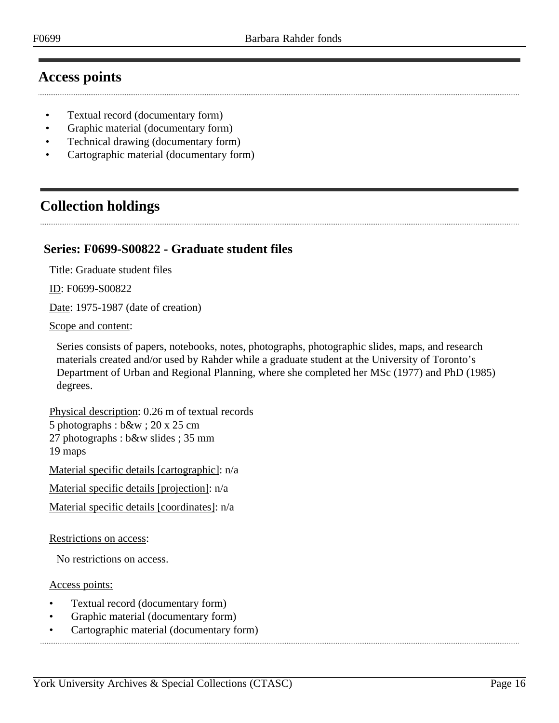## <span id="page-15-0"></span>**Access points**

- Textual record (documentary form)
- Graphic material (documentary form)
- Technical drawing (documentary form)
- Cartographic material (documentary form)

## <span id="page-15-1"></span>**Collection holdings**

## <span id="page-15-2"></span>**Series: F0699-S00822 - Graduate student files**

Title: Graduate student files

ID: F0699-S00822

Date: 1975-1987 (date of creation)

Scope and content:

Series consists of papers, notebooks, notes, photographs, photographic slides, maps, and research materials created and/or used by Rahder while a graduate student at the University of Toronto's Department of Urban and Regional Planning, where she completed her MSc (1977) and PhD (1985) degrees.

Physical description: 0.26 m of textual records 5 photographs : b&w ; 20 x 25 cm 27 photographs : b&w slides ; 35 mm 19 maps Material specific details [cartographic]: n/a

Material specific details [projection]: n/a

Material specific details [coordinates]: n/a

Restrictions on access:

No restrictions on access.

Access points:

- Textual record (documentary form)
- Graphic material (documentary form)
- Cartographic material (documentary form)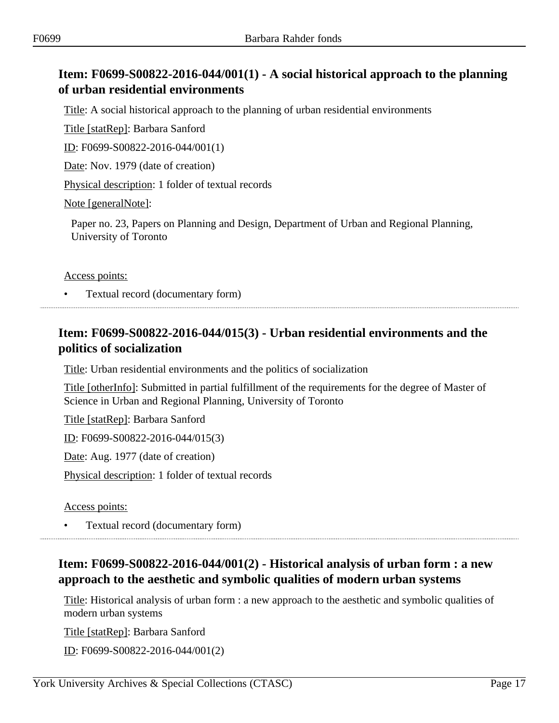## <span id="page-16-0"></span>**Item: F0699-S00822-2016-044/001(1) - A social historical approach to the planning of urban residential environments**

Title: A social historical approach to the planning of urban residential environments

Title [statRep]: Barbara Sanford

ID: F0699-S00822-2016-044/001(1)

Date: Nov. 1979 (date of creation)

Physical description: 1 folder of textual records

Note [generalNote]:

Paper no. 23, Papers on Planning and Design, Department of Urban and Regional Planning, University of Toronto

#### Access points:

• Textual record (documentary form)

## <span id="page-16-1"></span>**Item: F0699-S00822-2016-044/015(3) - Urban residential environments and the politics of socialization**

Title: Urban residential environments and the politics of socialization

Title [otherInfo]: Submitted in partial fulfillment of the requirements for the degree of Master of Science in Urban and Regional Planning, University of Toronto

Title [statRep]: Barbara Sanford

ID: F0699-S00822-2016-044/015(3)

Date: Aug. 1977 (date of creation)

Physical description: 1 folder of textual records

Access points:

• Textual record (documentary form)

## <span id="page-16-2"></span>**Item: F0699-S00822-2016-044/001(2) - Historical analysis of urban form : a new approach to the aesthetic and symbolic qualities of modern urban systems**

Title: Historical analysis of urban form : a new approach to the aesthetic and symbolic qualities of modern urban systems

Title [statRep]: Barbara Sanford

ID: F0699-S00822-2016-044/001(2)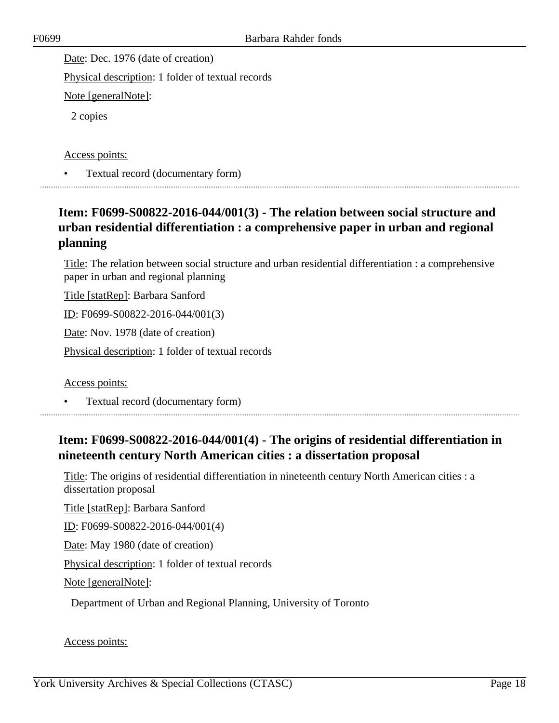Date: Dec. 1976 (date of creation)

Physical description: 1 folder of textual records

Note [generalNote]:

2 copies

Access points:

• Textual record (documentary form)

## <span id="page-17-0"></span>**Item: F0699-S00822-2016-044/001(3) - The relation between social structure and urban residential differentiation : a comprehensive paper in urban and regional planning**

Title: The relation between social structure and urban residential differentiation : a comprehensive paper in urban and regional planning

Title [statRep]: Barbara Sanford

ID: F0699-S00822-2016-044/001(3)

Date: Nov. 1978 (date of creation)

Physical description: 1 folder of textual records

Access points:

• Textual record (documentary form)

## <span id="page-17-1"></span>**Item: F0699-S00822-2016-044/001(4) - The origins of residential differentiation in nineteenth century North American cities : a dissertation proposal**

Title: The origins of residential differentiation in nineteenth century North American cities : a dissertation proposal

Title [statRep]: Barbara Sanford

ID: F0699-S00822-2016-044/001(4)

Date: May 1980 (date of creation)

Physical description: 1 folder of textual records

Note [generalNote]:

Department of Urban and Regional Planning, University of Toronto

#### Access points: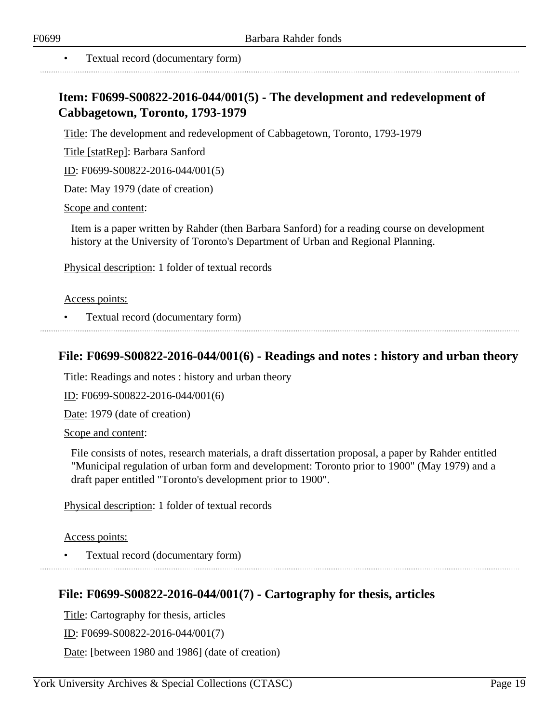## <span id="page-18-0"></span>**Item: F0699-S00822-2016-044/001(5) - The development and redevelopment of Cabbagetown, Toronto, 1793-1979**

Title: The development and redevelopment of Cabbagetown, Toronto, 1793-1979

Title [statRep]: Barbara Sanford

ID: F0699-S00822-2016-044/001(5)

Date: May 1979 (date of creation)

Scope and content:

Item is a paper written by Rahder (then Barbara Sanford) for a reading course on development history at the University of Toronto's Department of Urban and Regional Planning.

Physical description: 1 folder of textual records

Access points:

• Textual record (documentary form)

#### <span id="page-18-1"></span>**File: F0699-S00822-2016-044/001(6) - Readings and notes : history and urban theory**

Title: Readings and notes : history and urban theory

ID: F0699-S00822-2016-044/001(6)

Date: 1979 (date of creation)

Scope and content:

File consists of notes, research materials, a draft dissertation proposal, a paper by Rahder entitled "Municipal regulation of urban form and development: Toronto prior to 1900" (May 1979) and a draft paper entitled "Toronto's development prior to 1900".

Physical description: 1 folder of textual records

Access points:

• Textual record (documentary form)

## <span id="page-18-2"></span>**File: F0699-S00822-2016-044/001(7) - Cartography for thesis, articles**

Title: Cartography for thesis, articles

ID: F0699-S00822-2016-044/001(7)

Date: [between 1980 and 1986] (date of creation)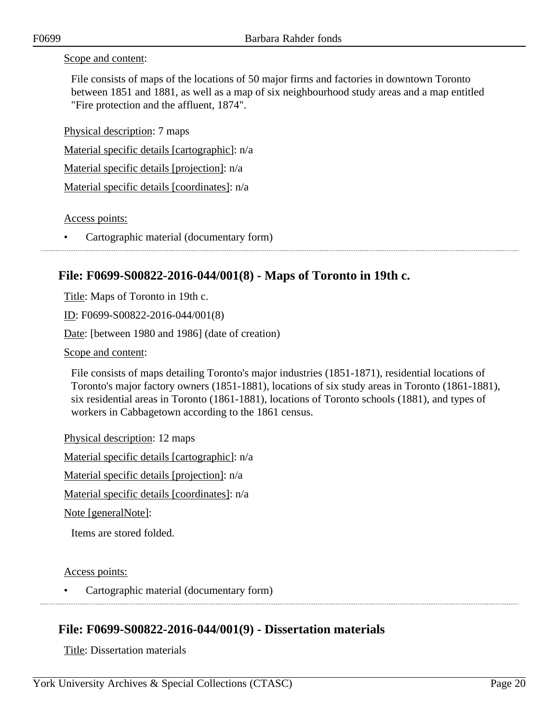#### Scope and content:

File consists of maps of the locations of 50 major firms and factories in downtown Toronto between 1851 and 1881, as well as a map of six neighbourhood study areas and a map entitled "Fire protection and the affluent, 1874".

Physical description: 7 maps

Material specific details [cartographic]: n/a

Material specific details [projection]: n/a

Material specific details [coordinates]: n/a

Access points:

• Cartographic material (documentary form)

## <span id="page-19-0"></span>**File: F0699-S00822-2016-044/001(8) - Maps of Toronto in 19th c.**

Title: Maps of Toronto in 19th c.

ID: F0699-S00822-2016-044/001(8)

Date: [between 1980 and 1986] (date of creation)

Scope and content:

File consists of maps detailing Toronto's major industries (1851-1871), residential locations of Toronto's major factory owners (1851-1881), locations of six study areas in Toronto (1861-1881), six residential areas in Toronto (1861-1881), locations of Toronto schools (1881), and types of workers in Cabbagetown according to the 1861 census.

Physical description: 12 maps

Material specific details [cartographic]: n/a

Material specific details [projection]: n/a

Material specific details [coordinates]: n/a

Note [generalNote]:

Items are stored folded.

Access points:

• Cartographic material (documentary form)

## <span id="page-19-1"></span>**File: F0699-S00822-2016-044/001(9) - Dissertation materials**

Title: Dissertation materials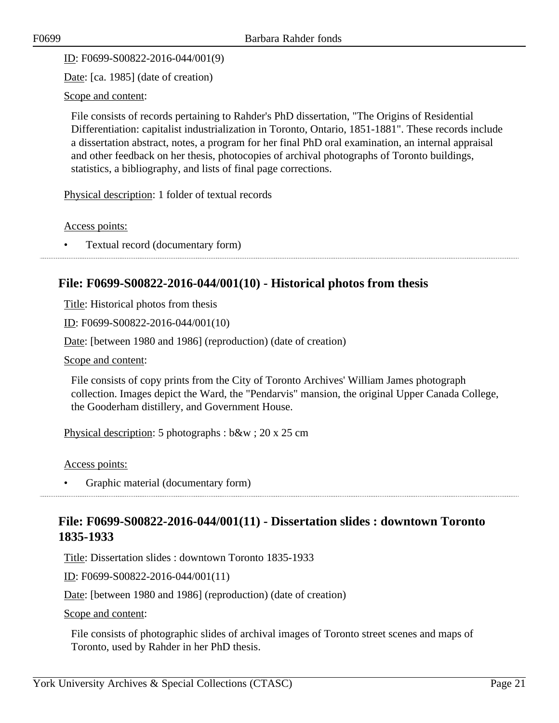ID: F0699-S00822-2016-044/001(9)

Date: [ca. 1985] (date of creation)

Scope and content:

File consists of records pertaining to Rahder's PhD dissertation, "The Origins of Residential Differentiation: capitalist industrialization in Toronto, Ontario, 1851-1881". These records include a dissertation abstract, notes, a program for her final PhD oral examination, an internal appraisal and other feedback on her thesis, photocopies of archival photographs of Toronto buildings, statistics, a bibliography, and lists of final page corrections.

Physical description: 1 folder of textual records

Access points:

• Textual record (documentary form)

## <span id="page-20-0"></span>**File: F0699-S00822-2016-044/001(10) - Historical photos from thesis**

Title: Historical photos from thesis

ID: F0699-S00822-2016-044/001(10)

Date: [between 1980 and 1986] (reproduction) (date of creation)

Scope and content:

File consists of copy prints from the City of Toronto Archives' William James photograph collection. Images depict the Ward, the "Pendarvis" mansion, the original Upper Canada College, the Gooderham distillery, and Government House.

Physical description: 5 photographs : b&w ; 20 x 25 cm

Access points:

• Graphic material (documentary form)

## <span id="page-20-1"></span>**File: F0699-S00822-2016-044/001(11) - Dissertation slides : downtown Toronto 1835-1933**

Title: Dissertation slides : downtown Toronto 1835-1933

ID: F0699-S00822-2016-044/001(11)

Date: [between 1980 and 1986] (reproduction) (date of creation)

Scope and content:

File consists of photographic slides of archival images of Toronto street scenes and maps of Toronto, used by Rahder in her PhD thesis.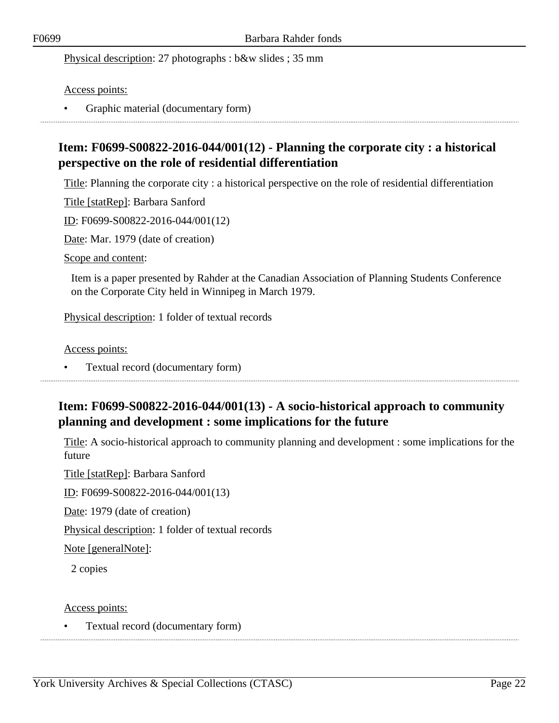Physical description: 27 photographs : b&w slides ; 35 mm

Access points:

• Graphic material (documentary form)

## <span id="page-21-0"></span>**Item: F0699-S00822-2016-044/001(12) - Planning the corporate city : a historical perspective on the role of residential differentiation**

Title: Planning the corporate city : a historical perspective on the role of residential differentiation

Title [statRep]: Barbara Sanford

ID: F0699-S00822-2016-044/001(12)

Date: Mar. 1979 (date of creation)

Scope and content:

Item is a paper presented by Rahder at the Canadian Association of Planning Students Conference on the Corporate City held in Winnipeg in March 1979.

Physical description: 1 folder of textual records

Access points:

• Textual record (documentary form)

## <span id="page-21-1"></span>**Item: F0699-S00822-2016-044/001(13) - A socio-historical approach to community planning and development : some implications for the future**

Title: A socio-historical approach to community planning and development : some implications for the future

Title [statRep]: Barbara Sanford

ID: F0699-S00822-2016-044/001(13)

Date: 1979 (date of creation)

Physical description: 1 folder of textual records

Note [generalNote]:

2 copies

Access points:

• Textual record (documentary form)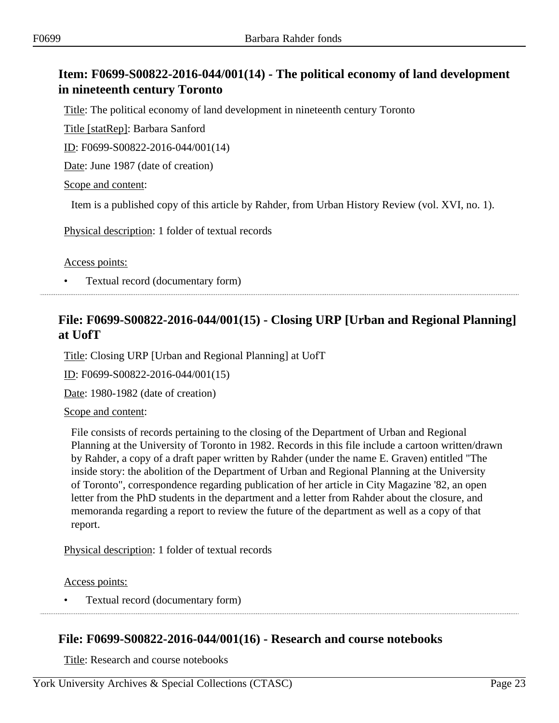## <span id="page-22-0"></span>**Item: F0699-S00822-2016-044/001(14) - The political economy of land development in nineteenth century Toronto**

Title: The political economy of land development in nineteenth century Toronto

Title [statRep]: Barbara Sanford

ID: F0699-S00822-2016-044/001(14)

Date: June 1987 (date of creation)

Scope and content:

Item is a published copy of this article by Rahder, from Urban History Review (vol. XVI, no. 1).

Physical description: 1 folder of textual records

Access points:

• Textual record (documentary form)

## <span id="page-22-1"></span>**File: F0699-S00822-2016-044/001(15) - Closing URP [Urban and Regional Planning] at UofT**

Title: Closing URP [Urban and Regional Planning] at UofT

ID: F0699-S00822-2016-044/001(15)

Date: 1980-1982 (date of creation)

#### Scope and content:

File consists of records pertaining to the closing of the Department of Urban and Regional Planning at the University of Toronto in 1982. Records in this file include a cartoon written/drawn by Rahder, a copy of a draft paper written by Rahder (under the name E. Graven) entitled "The inside story: the abolition of the Department of Urban and Regional Planning at the University of Toronto", correspondence regarding publication of her article in City Magazine '82, an open letter from the PhD students in the department and a letter from Rahder about the closure, and memoranda regarding a report to review the future of the department as well as a copy of that report.

Physical description: 1 folder of textual records

Access points:

• Textual record (documentary form)

## <span id="page-22-2"></span>**File: F0699-S00822-2016-044/001(16) - Research and course notebooks**

Title: Research and course notebooks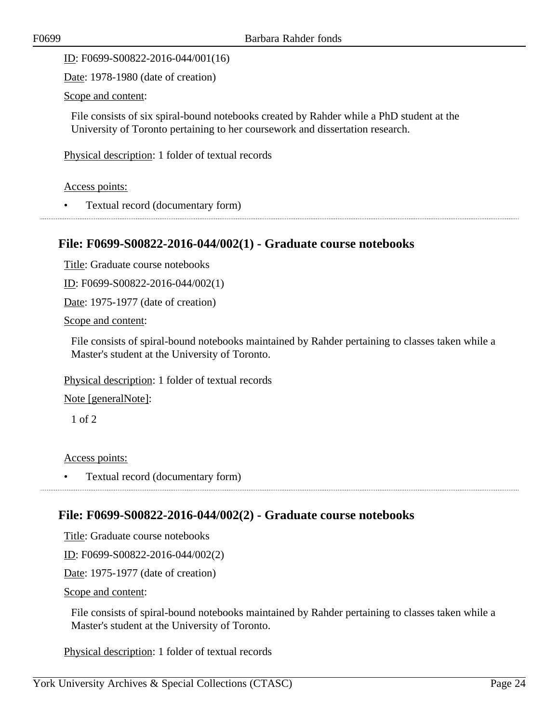ID: F0699-S00822-2016-044/001(16)

Date: 1978-1980 (date of creation)

Scope and content:

File consists of six spiral-bound notebooks created by Rahder while a PhD student at the University of Toronto pertaining to her coursework and dissertation research.

Physical description: 1 folder of textual records

Access points:

• Textual record (documentary form)

## <span id="page-23-0"></span>**File: F0699-S00822-2016-044/002(1) - Graduate course notebooks**

Title: Graduate course notebooks

ID: F0699-S00822-2016-044/002(1)

Date: 1975-1977 (date of creation)

Scope and content:

File consists of spiral-bound notebooks maintained by Rahder pertaining to classes taken while a Master's student at the University of Toronto.

Physical description: 1 folder of textual records

Note [generalNote]:

1 of 2

Access points:

• Textual record (documentary form)

<span id="page-23-1"></span>

## **File: F0699-S00822-2016-044/002(2) - Graduate course notebooks**

Title: Graduate course notebooks

ID: F0699-S00822-2016-044/002(2)

Date: 1975-1977 (date of creation)

Scope and content:

File consists of spiral-bound notebooks maintained by Rahder pertaining to classes taken while a Master's student at the University of Toronto.

Physical description: 1 folder of textual records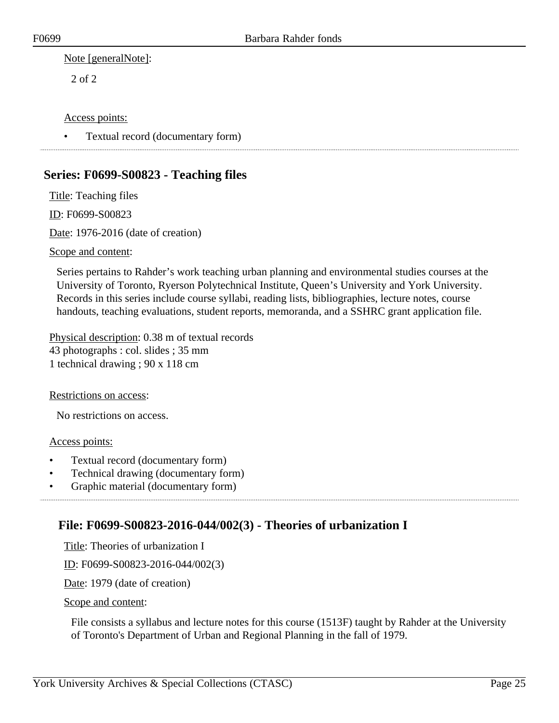Note [generalNote]:

2 of 2

#### Access points:

• Textual record (documentary form)

## <span id="page-24-0"></span>**Series: F0699-S00823 - Teaching files**

Title: Teaching files ID: F0699-S00823 Date: 1976-2016 (date of creation) Scope and content:

Series pertains to Rahder's work teaching urban planning and environmental studies courses at the University of Toronto, Ryerson Polytechnical Institute, Queen's University and York University. Records in this series include course syllabi, reading lists, bibliographies, lecture notes, course handouts, teaching evaluations, student reports, memoranda, and a SSHRC grant application file.

Physical description: 0.38 m of textual records 43 photographs : col. slides ; 35 mm 1 technical drawing ; 90 x 118 cm

Restrictions on access:

No restrictions on access.

#### Access points:

- Textual record (documentary form)
- Technical drawing (documentary form)
- Graphic material (documentary form)

## <span id="page-24-1"></span>**File: F0699-S00823-2016-044/002(3) - Theories of urbanization I**

Title: Theories of urbanization I

ID: F0699-S00823-2016-044/002(3)

Date: 1979 (date of creation)

#### Scope and content:

File consists a syllabus and lecture notes for this course (1513F) taught by Rahder at the University of Toronto's Department of Urban and Regional Planning in the fall of 1979.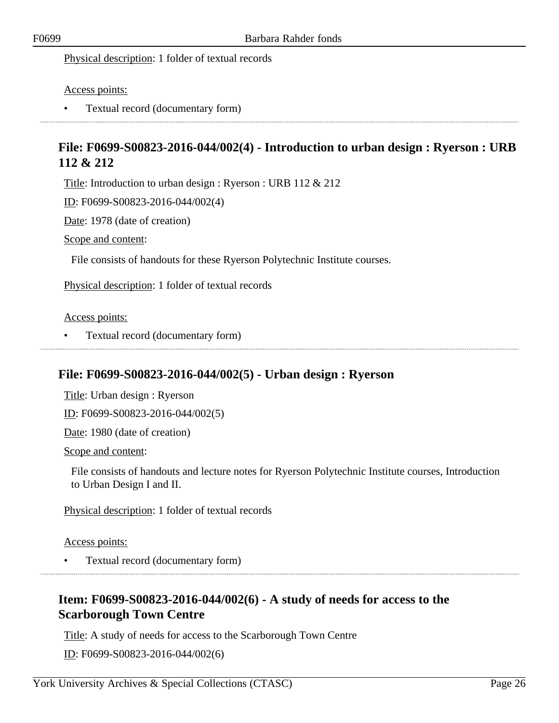Physical description: 1 folder of textual records

Access points:

• Textual record (documentary form)

## <span id="page-25-0"></span>**File: F0699-S00823-2016-044/002(4) - Introduction to urban design : Ryerson : URB 112 & 212**

Title: Introduction to urban design : Ryerson : URB 112 & 212

ID: F0699-S00823-2016-044/002(4)

Date: 1978 (date of creation)

Scope and content:

File consists of handouts for these Ryerson Polytechnic Institute courses.

Physical description: 1 folder of textual records

#### Access points:

• Textual record (documentary form)

### <span id="page-25-1"></span>**File: F0699-S00823-2016-044/002(5) - Urban design : Ryerson**

Title: Urban design : Ryerson

ID: F0699-S00823-2016-044/002(5)

Date: 1980 (date of creation)

Scope and content:

File consists of handouts and lecture notes for Ryerson Polytechnic Institute courses, Introduction to Urban Design I and II.

Physical description: 1 folder of textual records

Access points:

• Textual record (documentary form)

## <span id="page-25-2"></span>**Item: F0699-S00823-2016-044/002(6) - A study of needs for access to the Scarborough Town Centre**

Title: A study of needs for access to the Scarborough Town Centre

ID: F0699-S00823-2016-044/002(6)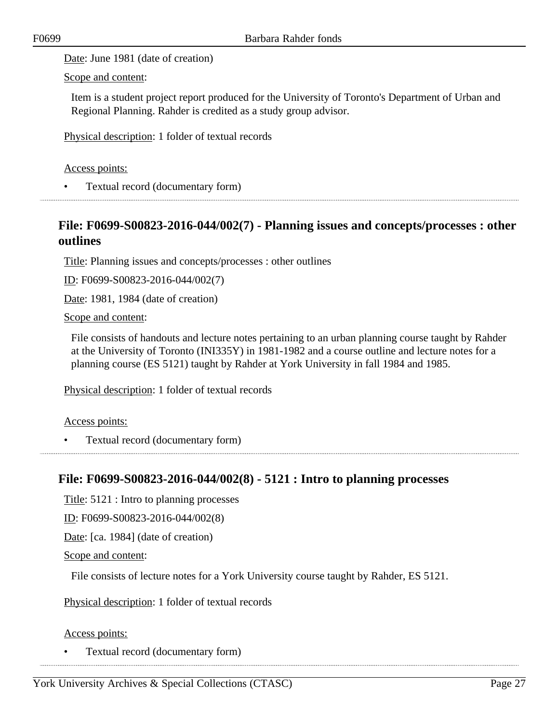Date: June 1981 (date of creation)

Scope and content:

Item is a student project report produced for the University of Toronto's Department of Urban and Regional Planning. Rahder is credited as a study group advisor.

Physical description: 1 folder of textual records

#### Access points:

• Textual record (documentary form)

## <span id="page-26-0"></span>**File: F0699-S00823-2016-044/002(7) - Planning issues and concepts/processes : other outlines**

Title: Planning issues and concepts/processes : other outlines

ID: F0699-S00823-2016-044/002(7)

Date: 1981, 1984 (date of creation)

Scope and content:

File consists of handouts and lecture notes pertaining to an urban planning course taught by Rahder at the University of Toronto (INI335Y) in 1981-1982 and a course outline and lecture notes for a planning course (ES 5121) taught by Rahder at York University in fall 1984 and 1985.

Physical description: 1 folder of textual records

Access points:

• Textual record (documentary form) 

## <span id="page-26-1"></span>**File: F0699-S00823-2016-044/002(8) - 5121 : Intro to planning processes**

Title: 5121 : Intro to planning processes

ID: F0699-S00823-2016-044/002(8)

Date: [ca. 1984] (date of creation)

Scope and content:

File consists of lecture notes for a York University course taught by Rahder, ES 5121.

Physical description: 1 folder of textual records

#### Access points:

• Textual record (documentary form)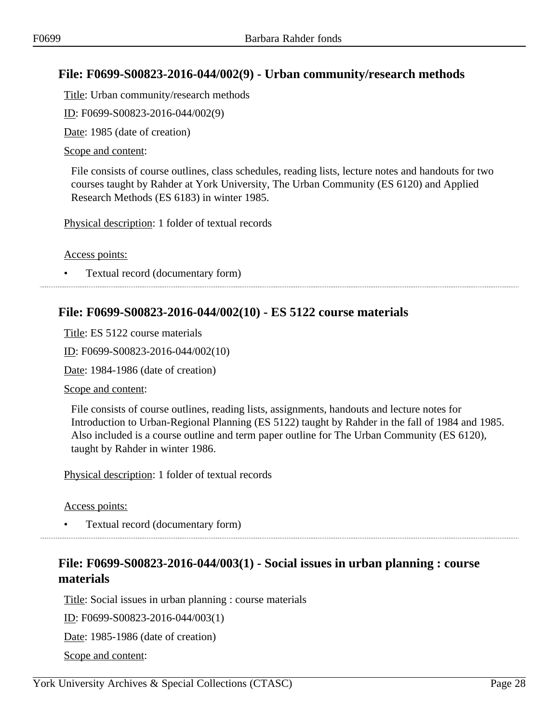## <span id="page-27-0"></span>**File: F0699-S00823-2016-044/002(9) - Urban community/research methods**

Title: Urban community/research methods

ID: F0699-S00823-2016-044/002(9)

Date: 1985 (date of creation)

#### Scope and content:

File consists of course outlines, class schedules, reading lists, lecture notes and handouts for two courses taught by Rahder at York University, The Urban Community (ES 6120) and Applied Research Methods (ES 6183) in winter 1985.

Physical description: 1 folder of textual records

Access points:

• Textual record (documentary form)

### <span id="page-27-1"></span>**File: F0699-S00823-2016-044/002(10) - ES 5122 course materials**

Title: ES 5122 course materials

ID: F0699-S00823-2016-044/002(10)

Date: 1984-1986 (date of creation)

Scope and content:

File consists of course outlines, reading lists, assignments, handouts and lecture notes for Introduction to Urban-Regional Planning (ES 5122) taught by Rahder in the fall of 1984 and 1985. Also included is a course outline and term paper outline for The Urban Community (ES 6120), taught by Rahder in winter 1986.

Physical description: 1 folder of textual records

Access points:

• Textual record (documentary form)

## <span id="page-27-2"></span>**File: F0699-S00823-2016-044/003(1) - Social issues in urban planning : course materials**

Title: Social issues in urban planning : course materials

ID: F0699-S00823-2016-044/003(1)

Date: 1985-1986 (date of creation)

Scope and content: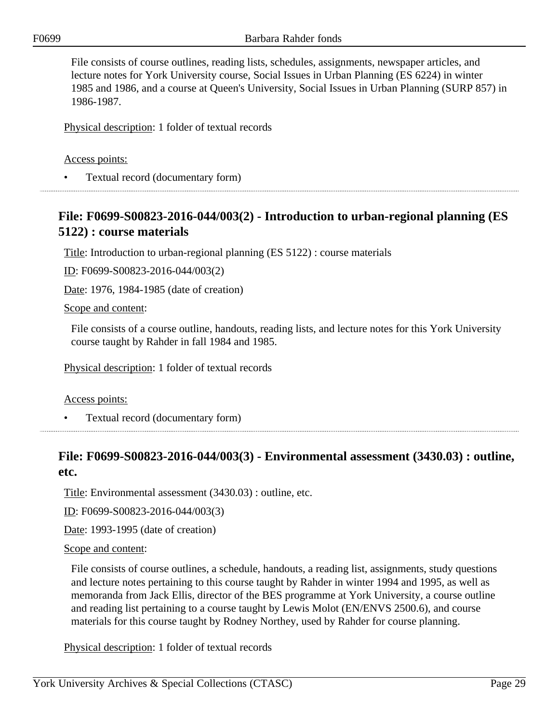File consists of course outlines, reading lists, schedules, assignments, newspaper articles, and lecture notes for York University course, Social Issues in Urban Planning (ES 6224) in winter 1985 and 1986, and a course at Queen's University, Social Issues in Urban Planning (SURP 857) in 1986-1987.

Physical description: 1 folder of textual records

#### Access points:

• Textual record (documentary form)

## <span id="page-28-0"></span>**File: F0699-S00823-2016-044/003(2) - Introduction to urban-regional planning (ES 5122) : course materials**

Title: Introduction to urban-regional planning (ES 5122) : course materials

ID: F0699-S00823-2016-044/003(2)

Date: 1976, 1984-1985 (date of creation)

Scope and content:

File consists of a course outline, handouts, reading lists, and lecture notes for this York University course taught by Rahder in fall 1984 and 1985.

Physical description: 1 folder of textual records

#### Access points:

• Textual record (documentary form)

## <span id="page-28-1"></span>**File: F0699-S00823-2016-044/003(3) - Environmental assessment (3430.03) : outline, etc.**

Title: Environmental assessment (3430.03) : outline, etc.

ID: F0699-S00823-2016-044/003(3)

Date: 1993-1995 (date of creation)

Scope and content:

File consists of course outlines, a schedule, handouts, a reading list, assignments, study questions and lecture notes pertaining to this course taught by Rahder in winter 1994 and 1995, as well as memoranda from Jack Ellis, director of the BES programme at York University, a course outline and reading list pertaining to a course taught by Lewis Molot (EN/ENVS 2500.6), and course materials for this course taught by Rodney Northey, used by Rahder for course planning.

Physical description: 1 folder of textual records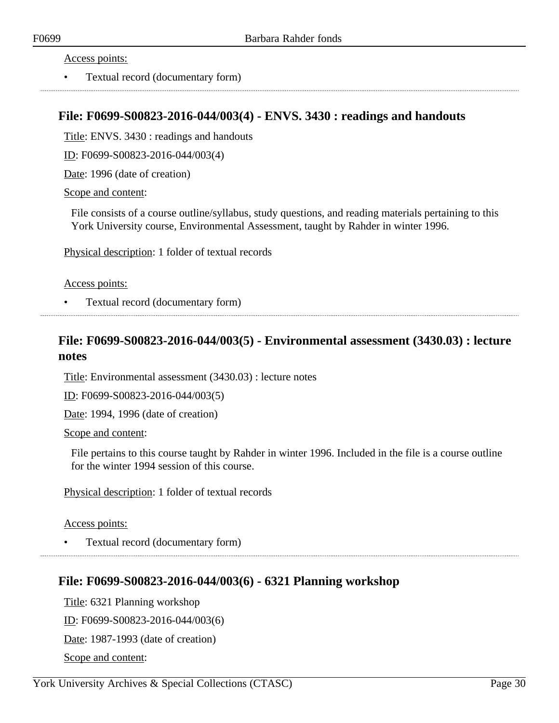#### Access points:

• Textual record (documentary form)

### <span id="page-29-0"></span>**File: F0699-S00823-2016-044/003(4) - ENVS. 3430 : readings and handouts**

Title: ENVS. 3430 : readings and handouts

ID: F0699-S00823-2016-044/003(4)

Date: 1996 (date of creation)

Scope and content:

File consists of a course outline/syllabus, study questions, and reading materials pertaining to this York University course, Environmental Assessment, taught by Rahder in winter 1996.

Physical description: 1 folder of textual records

#### Access points:

• Textual record (documentary form)

### <span id="page-29-1"></span>**File: F0699-S00823-2016-044/003(5) - Environmental assessment (3430.03) : lecture notes**

Title: Environmental assessment (3430.03) : lecture notes

ID: F0699-S00823-2016-044/003(5)

Date: 1994, 1996 (date of creation)

Scope and content:

File pertains to this course taught by Rahder in winter 1996. Included in the file is a course outline for the winter 1994 session of this course.

Physical description: 1 folder of textual records

#### Access points:

• Textual record (documentary form)

### <span id="page-29-2"></span>**File: F0699-S00823-2016-044/003(6) - 6321 Planning workshop**

Title: 6321 Planning workshop ID: F0699-S00823-2016-044/003(6) Date: 1987-1993 (date of creation) Scope and content: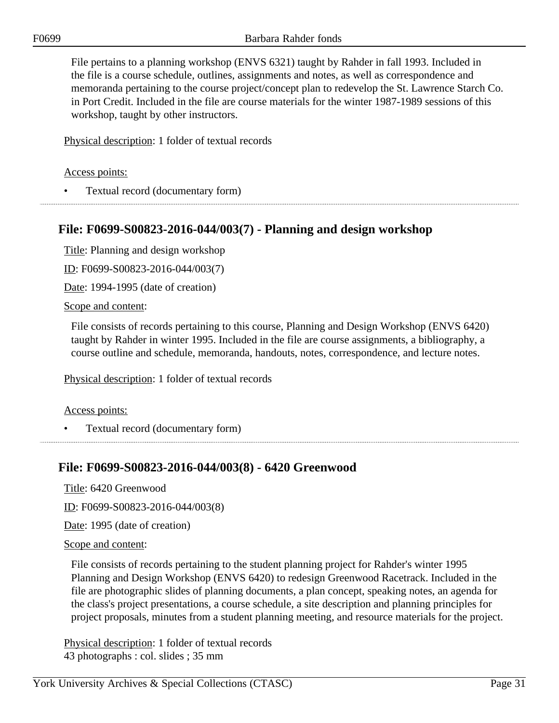File pertains to a planning workshop (ENVS 6321) taught by Rahder in fall 1993. Included in the file is a course schedule, outlines, assignments and notes, as well as correspondence and memoranda pertaining to the course project/concept plan to redevelop the St. Lawrence Starch Co. in Port Credit. Included in the file are course materials for the winter 1987-1989 sessions of this workshop, taught by other instructors.

Physical description: 1 folder of textual records

Access points:

• Textual record (documentary form)

## <span id="page-30-0"></span>**File: F0699-S00823-2016-044/003(7) - Planning and design workshop**

Title: Planning and design workshop

ID: F0699-S00823-2016-044/003(7)

Date: 1994-1995 (date of creation)

Scope and content:

File consists of records pertaining to this course, Planning and Design Workshop (ENVS 6420) taught by Rahder in winter 1995. Included in the file are course assignments, a bibliography, a course outline and schedule, memoranda, handouts, notes, correspondence, and lecture notes.

Physical description: 1 folder of textual records

#### Access points:

• Textual record (documentary form)

## <span id="page-30-1"></span>**File: F0699-S00823-2016-044/003(8) - 6420 Greenwood**

Title: 6420 Greenwood

ID: F0699-S00823-2016-044/003(8)

Date: 1995 (date of creation)

Scope and content:

File consists of records pertaining to the student planning project for Rahder's winter 1995 Planning and Design Workshop (ENVS 6420) to redesign Greenwood Racetrack. Included in the file are photographic slides of planning documents, a plan concept, speaking notes, an agenda for the class's project presentations, a course schedule, a site description and planning principles for project proposals, minutes from a student planning meeting, and resource materials for the project.

Physical description: 1 folder of textual records 43 photographs : col. slides ; 35 mm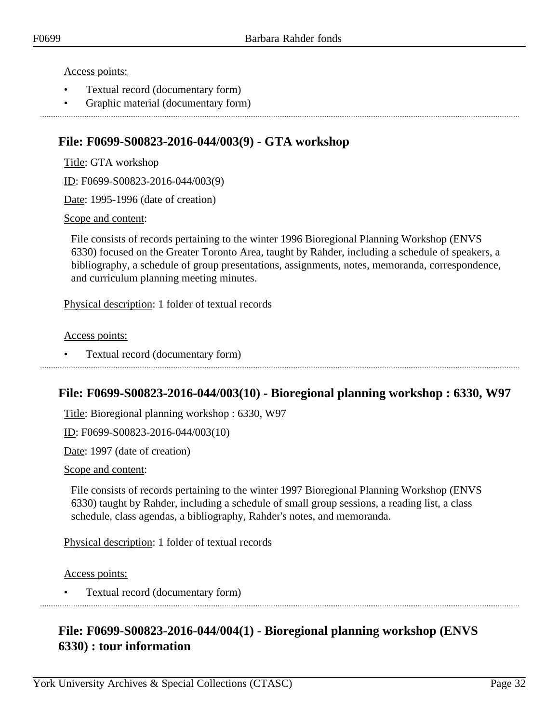#### Access points:

- Textual record (documentary form)
- Graphic material (documentary form)

### <span id="page-31-0"></span>**File: F0699-S00823-2016-044/003(9) - GTA workshop**

Title: GTA workshop

ID: F0699-S00823-2016-044/003(9)

Date: 1995-1996 (date of creation)

Scope and content:

File consists of records pertaining to the winter 1996 Bioregional Planning Workshop (ENVS 6330) focused on the Greater Toronto Area, taught by Rahder, including a schedule of speakers, a bibliography, a schedule of group presentations, assignments, notes, memoranda, correspondence, and curriculum planning meeting minutes.

Physical description: 1 folder of textual records

#### Access points:

• Textual record (documentary form)

### <span id="page-31-1"></span>**File: F0699-S00823-2016-044/003(10) - Bioregional planning workshop : 6330, W97**

Title: Bioregional planning workshop : 6330, W97

ID: F0699-S00823-2016-044/003(10)

Date: 1997 (date of creation)

Scope and content:

File consists of records pertaining to the winter 1997 Bioregional Planning Workshop (ENVS 6330) taught by Rahder, including a schedule of small group sessions, a reading list, a class schedule, class agendas, a bibliography, Rahder's notes, and memoranda.

Physical description: 1 folder of textual records

Access points:

• Textual record (documentary form)

## <span id="page-31-2"></span>**File: F0699-S00823-2016-044/004(1) - Bioregional planning workshop (ENVS 6330) : tour information**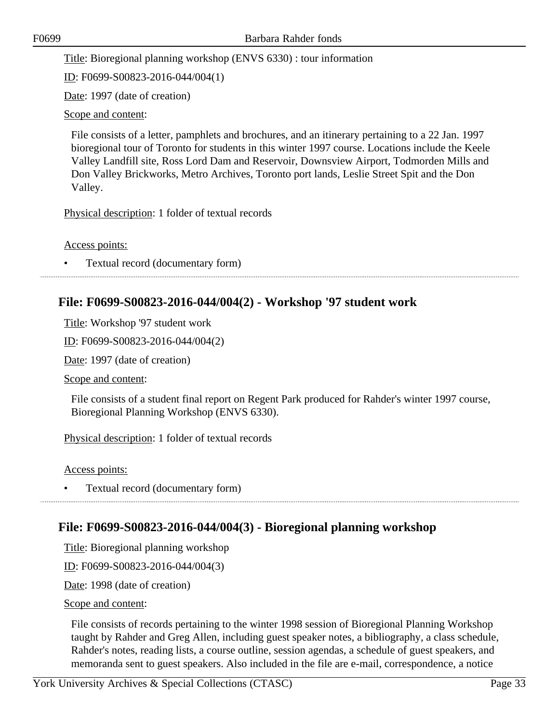Title: Bioregional planning workshop (ENVS 6330) : tour information

ID: F0699-S00823-2016-044/004(1)

Date: 1997 (date of creation)

Scope and content:

File consists of a letter, pamphlets and brochures, and an itinerary pertaining to a 22 Jan. 1997 bioregional tour of Toronto for students in this winter 1997 course. Locations include the Keele Valley Landfill site, Ross Lord Dam and Reservoir, Downsview Airport, Todmorden Mills and Don Valley Brickworks, Metro Archives, Toronto port lands, Leslie Street Spit and the Don Valley.

Physical description: 1 folder of textual records

Access points:

• Textual record (documentary form)

### <span id="page-32-0"></span>**File: F0699-S00823-2016-044/004(2) - Workshop '97 student work**

Title: Workshop '97 student work

ID: F0699-S00823-2016-044/004(2)

Date: 1997 (date of creation)

Scope and content:

File consists of a student final report on Regent Park produced for Rahder's winter 1997 course, Bioregional Planning Workshop (ENVS 6330).

Physical description: 1 folder of textual records

Access points:

• Textual record (documentary form)

### <span id="page-32-1"></span>**File: F0699-S00823-2016-044/004(3) - Bioregional planning workshop**

Title: Bioregional planning workshop

ID: F0699-S00823-2016-044/004(3)

Date: 1998 (date of creation)

Scope and content:

File consists of records pertaining to the winter 1998 session of Bioregional Planning Workshop taught by Rahder and Greg Allen, including guest speaker notes, a bibliography, a class schedule, Rahder's notes, reading lists, a course outline, session agendas, a schedule of guest speakers, and memoranda sent to guest speakers. Also included in the file are e-mail, correspondence, a notice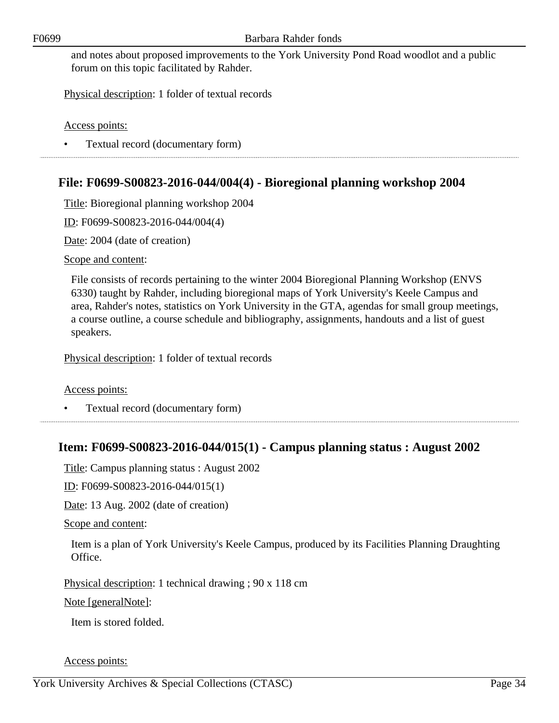and notes about proposed improvements to the York University Pond Road woodlot and a public forum on this topic facilitated by Rahder.

Physical description: 1 folder of textual records

Access points:

• Textual record (documentary form)

## <span id="page-33-0"></span>**File: F0699-S00823-2016-044/004(4) - Bioregional planning workshop 2004**

Title: Bioregional planning workshop 2004

ID: F0699-S00823-2016-044/004(4)

Date: 2004 (date of creation)

Scope and content:

File consists of records pertaining to the winter 2004 Bioregional Planning Workshop (ENVS 6330) taught by Rahder, including bioregional maps of York University's Keele Campus and area, Rahder's notes, statistics on York University in the GTA, agendas for small group meetings, a course outline, a course schedule and bibliography, assignments, handouts and a list of guest speakers.

Physical description: 1 folder of textual records

Access points:

• Textual record (documentary form)

### <span id="page-33-1"></span>**Item: F0699-S00823-2016-044/015(1) - Campus planning status : August 2002**

Title: Campus planning status : August 2002

ID: F0699-S00823-2016-044/015(1)

Date: 13 Aug. 2002 (date of creation)

Scope and content:

Item is a plan of York University's Keele Campus, produced by its Facilities Planning Draughting Office.

Physical description: 1 technical drawing ; 90 x 118 cm

Note [generalNote]:

Item is stored folded.

Access points: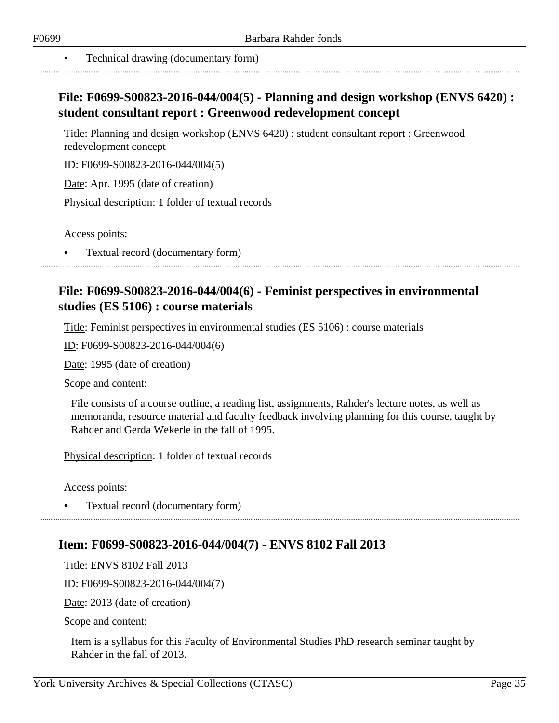#### • Technical drawing (documentary form)

## <span id="page-34-0"></span>**File: F0699-S00823-2016-044/004(5) - Planning and design workshop (ENVS 6420) : student consultant report : Greenwood redevelopment concept**

Title: Planning and design workshop (ENVS 6420) : student consultant report : Greenwood redevelopment concept

ID: F0699-S00823-2016-044/004(5)

Date: Apr. 1995 (date of creation)

Physical description: 1 folder of textual records

Access points:

• Textual record (documentary form)

## <span id="page-34-1"></span>**File: F0699-S00823-2016-044/004(6) - Feminist perspectives in environmental studies (ES 5106) : course materials**

Title: Feminist perspectives in environmental studies (ES 5106) : course materials

ID: F0699-S00823-2016-044/004(6)

Date: 1995 (date of creation)

Scope and content:

File consists of a course outline, a reading list, assignments, Rahder's lecture notes, as well as memoranda, resource material and faculty feedback involving planning for this course, taught by Rahder and Gerda Wekerle in the fall of 1995.

Physical description: 1 folder of textual records

Access points:

• Textual record (documentary form)

### <span id="page-34-2"></span>**Item: F0699-S00823-2016-044/004(7) - ENVS 8102 Fall 2013**

Title: ENVS 8102 Fall 2013

ID: F0699-S00823-2016-044/004(7)

Date: 2013 (date of creation)

Scope and content:

Item is a syllabus for this Faculty of Environmental Studies PhD research seminar taught by Rahder in the fall of 2013.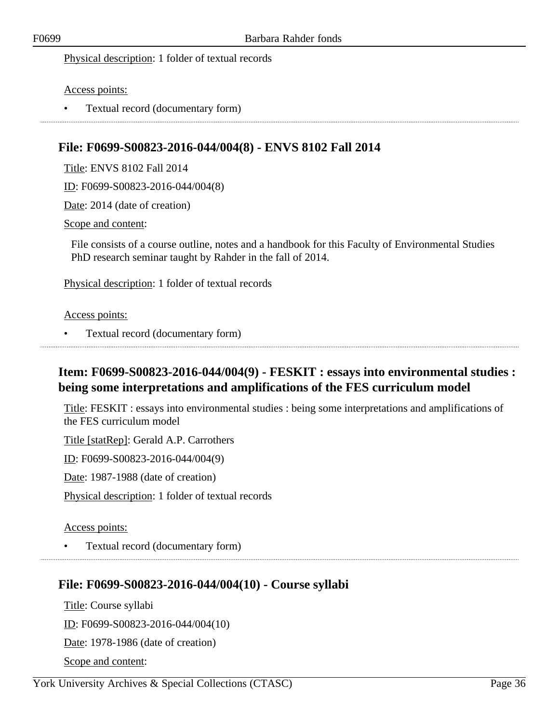Physical description: 1 folder of textual records

#### Access points:

• Textual record (documentary form)

## <span id="page-35-0"></span>**File: F0699-S00823-2016-044/004(8) - ENVS 8102 Fall 2014**

Title: ENVS 8102 Fall 2014

ID: F0699-S00823-2016-044/004(8)

Date: 2014 (date of creation)

#### Scope and content:

File consists of a course outline, notes and a handbook for this Faculty of Environmental Studies PhD research seminar taught by Rahder in the fall of 2014.

Physical description: 1 folder of textual records

#### Access points:

• Textual record (documentary form)

## <span id="page-35-1"></span>**Item: F0699-S00823-2016-044/004(9) - FESKIT : essays into environmental studies : being some interpretations and amplifications of the FES curriculum model**

Title: FESKIT : essays into environmental studies : being some interpretations and amplifications of the FES curriculum model

Title [statRep]: Gerald A.P. Carrothers

ID: F0699-S00823-2016-044/004(9)

Date: 1987-1988 (date of creation)

Physical description: 1 folder of textual records

#### Access points:

• Textual record (documentary form)

### <span id="page-35-2"></span>**File: F0699-S00823-2016-044/004(10) - Course syllabi**

Title: Course syllabi ID: F0699-S00823-2016-044/004(10) Date: 1978-1986 (date of creation) Scope and content: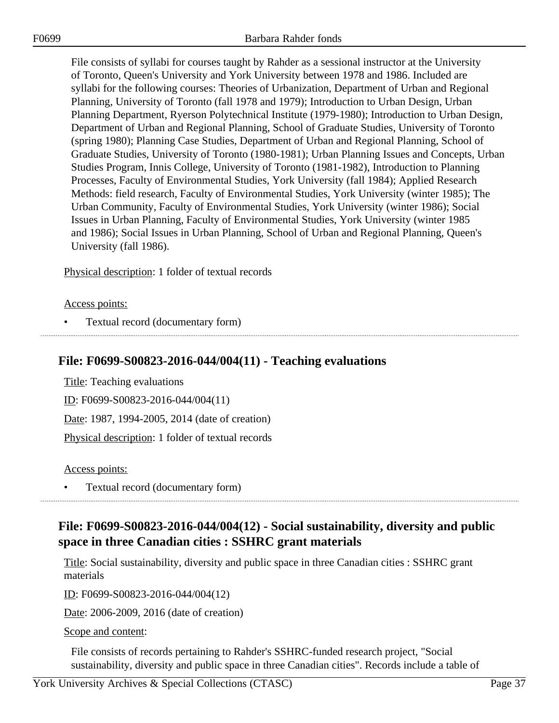File consists of syllabi for courses taught by Rahder as a sessional instructor at the University of Toronto, Queen's University and York University between 1978 and 1986. Included are syllabi for the following courses: Theories of Urbanization, Department of Urban and Regional Planning, University of Toronto (fall 1978 and 1979); Introduction to Urban Design, Urban Planning Department, Ryerson Polytechnical Institute (1979-1980); Introduction to Urban Design, Department of Urban and Regional Planning, School of Graduate Studies, University of Toronto (spring 1980); Planning Case Studies, Department of Urban and Regional Planning, School of Graduate Studies, University of Toronto (1980-1981); Urban Planning Issues and Concepts, Urban Studies Program, Innis College, University of Toronto (1981-1982), Introduction to Planning Processes, Faculty of Environmental Studies, York University (fall 1984); Applied Research Methods: field research, Faculty of Environmental Studies, York University (winter 1985); The Urban Community, Faculty of Environmental Studies, York University (winter 1986); Social Issues in Urban Planning, Faculty of Environmental Studies, York University (winter 1985 and 1986); Social Issues in Urban Planning, School of Urban and Regional Planning, Queen's University (fall 1986).

Physical description: 1 folder of textual records

Access points:

• Textual record (documentary form)

### **File: F0699-S00823-2016-044/004(11) - Teaching evaluations**

Title: Teaching evaluations ID: F0699-S00823-2016-044/004(11) Date: 1987, 1994-2005, 2014 (date of creation) Physical description: 1 folder of textual records

Access points:

• Textual record (documentary form)

# **File: F0699-S00823-2016-044/004(12) - Social sustainability, diversity and public space in three Canadian cities : SSHRC grant materials**

Title: Social sustainability, diversity and public space in three Canadian cities : SSHRC grant materials

ID: F0699-S00823-2016-044/004(12)

Date: 2006-2009, 2016 (date of creation)

Scope and content:

File consists of records pertaining to Rahder's SSHRC-funded research project, "Social sustainability, diversity and public space in three Canadian cities". Records include a table of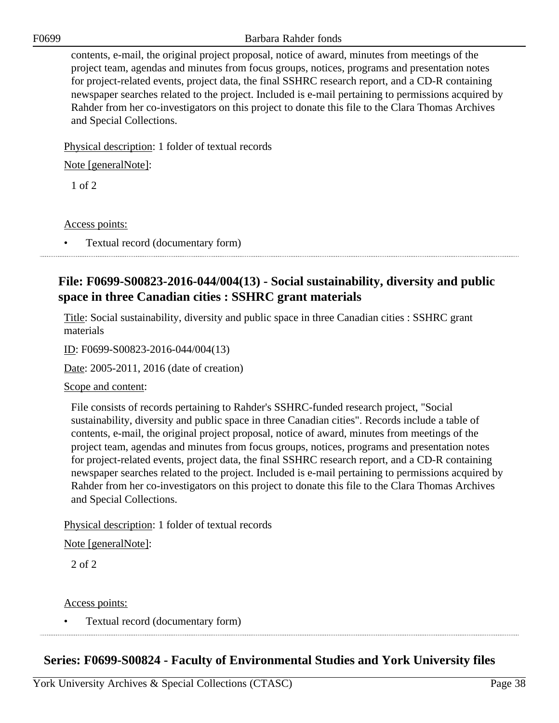F0699 Barbara Rahder fonds

contents, e-mail, the original project proposal, notice of award, minutes from meetings of the project team, agendas and minutes from focus groups, notices, programs and presentation notes for project-related events, project data, the final SSHRC research report, and a CD-R containing newspaper searches related to the project. Included is e-mail pertaining to permissions acquired by Rahder from her co-investigators on this project to donate this file to the Clara Thomas Archives and Special Collections.

Physical description: 1 folder of textual records

Note [generalNote]:

1 of 2

Access points:

• Textual record (documentary form)

# **File: F0699-S00823-2016-044/004(13) - Social sustainability, diversity and public space in three Canadian cities : SSHRC grant materials**

Title: Social sustainability, diversity and public space in three Canadian cities : SSHRC grant materials

ID: F0699-S00823-2016-044/004(13)

Date: 2005-2011, 2016 (date of creation)

Scope and content:

File consists of records pertaining to Rahder's SSHRC-funded research project, "Social sustainability, diversity and public space in three Canadian cities". Records include a table of contents, e-mail, the original project proposal, notice of award, minutes from meetings of the project team, agendas and minutes from focus groups, notices, programs and presentation notes for project-related events, project data, the final SSHRC research report, and a CD-R containing newspaper searches related to the project. Included is e-mail pertaining to permissions acquired by Rahder from her co-investigators on this project to donate this file to the Clara Thomas Archives and Special Collections.

Physical description: 1 folder of textual records

Note [generalNote]:

2 of 2

Access points:

• Textual record (documentary form)

# **Series: F0699-S00824 - Faculty of Environmental Studies and York University files**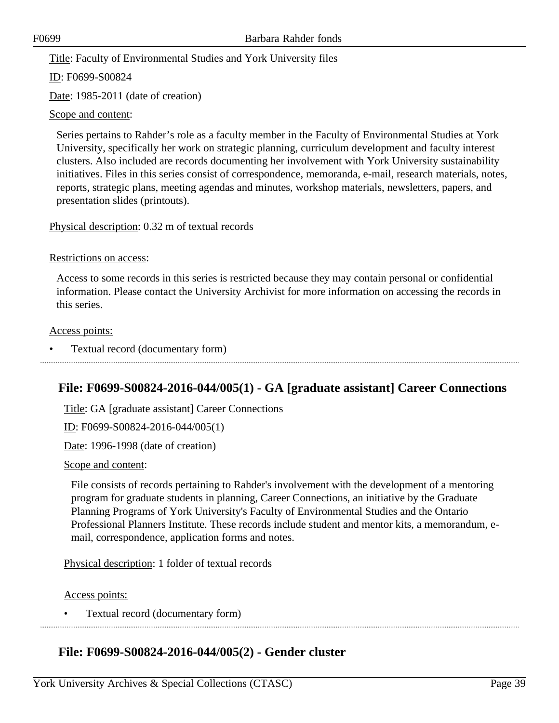Title: Faculty of Environmental Studies and York University files

ID: F0699-S00824

Date: 1985-2011 (date of creation)

Scope and content:

Series pertains to Rahder's role as a faculty member in the Faculty of Environmental Studies at York University, specifically her work on strategic planning, curriculum development and faculty interest clusters. Also included are records documenting her involvement with York University sustainability initiatives. Files in this series consist of correspondence, memoranda, e-mail, research materials, notes, reports, strategic plans, meeting agendas and minutes, workshop materials, newsletters, papers, and presentation slides (printouts).

Physical description: 0.32 m of textual records

Restrictions on access:

Access to some records in this series is restricted because they may contain personal or confidential information. Please contact the University Archivist for more information on accessing the records in this series.

Access points:

• Textual record (documentary form)

### **File: F0699-S00824-2016-044/005(1) - GA [graduate assistant] Career Connections**

Title: GA [graduate assistant] Career Connections

ID: F0699-S00824-2016-044/005(1)

Date: 1996-1998 (date of creation)

Scope and content:

File consists of records pertaining to Rahder's involvement with the development of a mentoring program for graduate students in planning, Career Connections, an initiative by the Graduate Planning Programs of York University's Faculty of Environmental Studies and the Ontario Professional Planners Institute. These records include student and mentor kits, a memorandum, email, correspondence, application forms and notes.

Physical description: 1 folder of textual records

Access points:

• Textual record (documentary form) 

### **File: F0699-S00824-2016-044/005(2) - Gender cluster**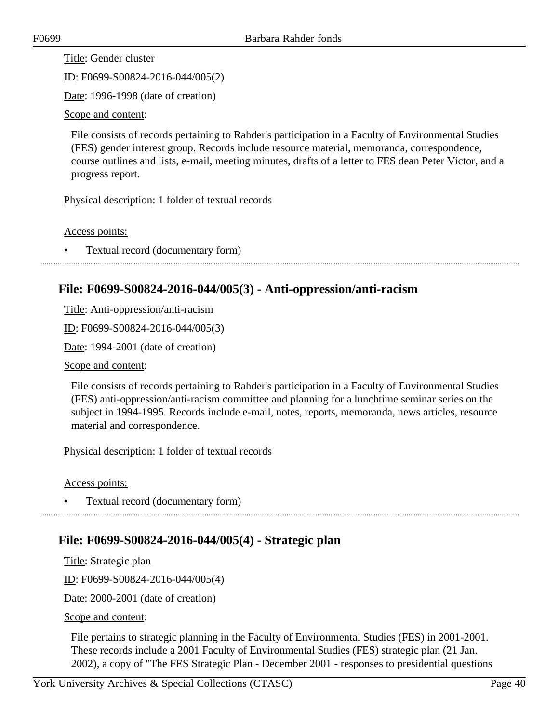Title: Gender cluster

ID: F0699-S00824-2016-044/005(2)

Date: 1996-1998 (date of creation)

Scope and content:

File consists of records pertaining to Rahder's participation in a Faculty of Environmental Studies (FES) gender interest group. Records include resource material, memoranda, correspondence, course outlines and lists, e-mail, meeting minutes, drafts of a letter to FES dean Peter Victor, and a progress report.

Physical description: 1 folder of textual records

Access points:

• Textual record (documentary form)

### **File: F0699-S00824-2016-044/005(3) - Anti-oppression/anti-racism**

Title: Anti-oppression/anti-racism

ID: F0699-S00824-2016-044/005(3)

Date: 1994-2001 (date of creation)

Scope and content:

File consists of records pertaining to Rahder's participation in a Faculty of Environmental Studies (FES) anti-oppression/anti-racism committee and planning for a lunchtime seminar series on the subject in 1994-1995. Records include e-mail, notes, reports, memoranda, news articles, resource material and correspondence.

Physical description: 1 folder of textual records

Access points:

• Textual record (documentary form)

### **File: F0699-S00824-2016-044/005(4) - Strategic plan**

Title: Strategic plan

ID: F0699-S00824-2016-044/005(4)

Date: 2000-2001 (date of creation)

Scope and content:

File pertains to strategic planning in the Faculty of Environmental Studies (FES) in 2001-2001. These records include a 2001 Faculty of Environmental Studies (FES) strategic plan (21 Jan. 2002), a copy of "The FES Strategic Plan - December 2001 - responses to presidential questions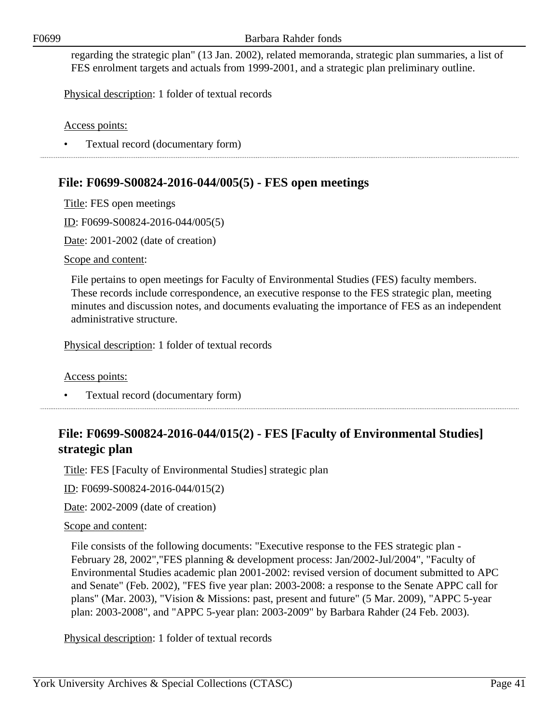regarding the strategic plan" (13 Jan. 2002), related memoranda, strategic plan summaries, a list of FES enrolment targets and actuals from 1999-2001, and a strategic plan preliminary outline.

Physical description: 1 folder of textual records

Access points:

• Textual record (documentary form)

## **File: F0699-S00824-2016-044/005(5) - FES open meetings**

Title: FES open meetings

ID: F0699-S00824-2016-044/005(5)

Date: 2001-2002 (date of creation)

Scope and content:

File pertains to open meetings for Faculty of Environmental Studies (FES) faculty members. These records include correspondence, an executive response to the FES strategic plan, meeting minutes and discussion notes, and documents evaluating the importance of FES as an independent administrative structure.

Physical description: 1 folder of textual records

Access points:

• Textual record (documentary form)

# **File: F0699-S00824-2016-044/015(2) - FES [Faculty of Environmental Studies] strategic plan**

Title: FES [Faculty of Environmental Studies] strategic plan

ID: F0699-S00824-2016-044/015(2)

Date: 2002-2009 (date of creation)

### Scope and content:

File consists of the following documents: "Executive response to the FES strategic plan - February 28, 2002","FES planning & development process: Jan/2002-Jul/2004", "Faculty of Environmental Studies academic plan 2001-2002: revised version of document submitted to APC and Senate" (Feb. 2002), "FES five year plan: 2003-2008: a response to the Senate APPC call for plans" (Mar. 2003), "Vision & Missions: past, present and future" (5 Mar. 2009), "APPC 5-year plan: 2003-2008", and "APPC 5-year plan: 2003-2009" by Barbara Rahder (24 Feb. 2003).

Physical description: 1 folder of textual records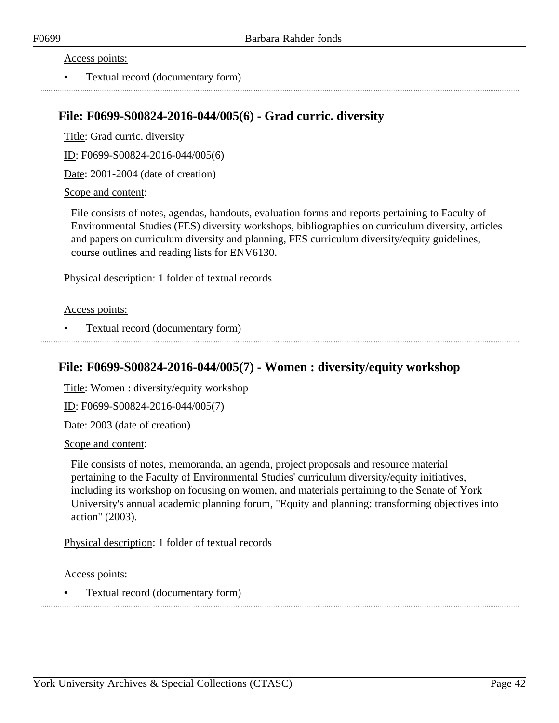### Access points:

• Textual record (documentary form)

### **File: F0699-S00824-2016-044/005(6) - Grad curric. diversity**

Title: Grad curric. diversity

ID: F0699-S00824-2016-044/005(6)

Date: 2001-2004 (date of creation)

### Scope and content:

File consists of notes, agendas, handouts, evaluation forms and reports pertaining to Faculty of Environmental Studies (FES) diversity workshops, bibliographies on curriculum diversity, articles and papers on curriculum diversity and planning, FES curriculum diversity/equity guidelines, course outlines and reading lists for ENV6130.

Physical description: 1 folder of textual records

### Access points:

• Textual record (documentary form)

### **File: F0699-S00824-2016-044/005(7) - Women : diversity/equity workshop**

Title: Women : diversity/equity workshop

ID: F0699-S00824-2016-044/005(7)

Date: 2003 (date of creation)

### Scope and content:

File consists of notes, memoranda, an agenda, project proposals and resource material pertaining to the Faculty of Environmental Studies' curriculum diversity/equity initiatives, including its workshop on focusing on women, and materials pertaining to the Senate of York University's annual academic planning forum, "Equity and planning: transforming objectives into action" (2003).

Physical description: 1 folder of textual records

Access points:

• Textual record (documentary form)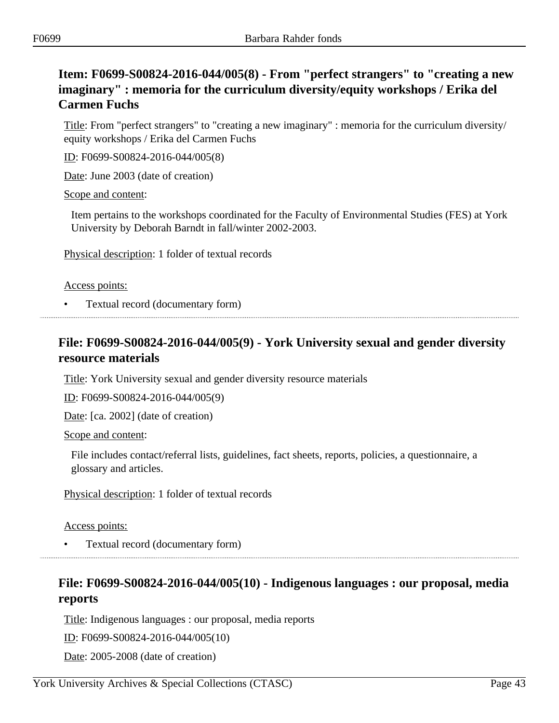# **Item: F0699-S00824-2016-044/005(8) - From "perfect strangers" to "creating a new imaginary" : memoria for the curriculum diversity/equity workshops / Erika del Carmen Fuchs**

Title: From "perfect strangers" to "creating a new imaginary" : memoria for the curriculum diversity/ equity workshops / Erika del Carmen Fuchs

ID: F0699-S00824-2016-044/005(8)

Date: June 2003 (date of creation)

### Scope and content:

Item pertains to the workshops coordinated for the Faculty of Environmental Studies (FES) at York University by Deborah Barndt in fall/winter 2002-2003.

Physical description: 1 folder of textual records

### Access points:

• Textual record (documentary form)

# **File: F0699-S00824-2016-044/005(9) - York University sexual and gender diversity resource materials**

Title: York University sexual and gender diversity resource materials

ID: F0699-S00824-2016-044/005(9)

Date: [ca. 2002] (date of creation)

Scope and content:

File includes contact/referral lists, guidelines, fact sheets, reports, policies, a questionnaire, a glossary and articles.

Physical description: 1 folder of textual records

Access points:

• Textual record (documentary form)

## **File: F0699-S00824-2016-044/005(10) - Indigenous languages : our proposal, media reports**

Title: Indigenous languages : our proposal, media reports

ID: F0699-S00824-2016-044/005(10)

Date: 2005-2008 (date of creation)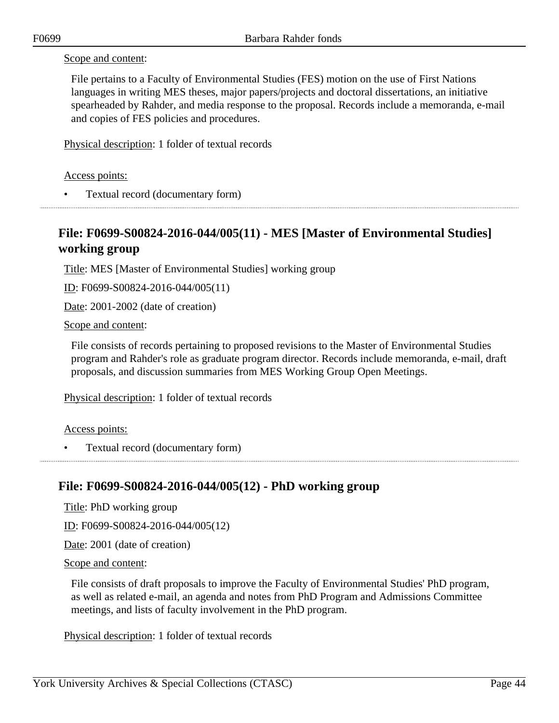### Scope and content:

File pertains to a Faculty of Environmental Studies (FES) motion on the use of First Nations languages in writing MES theses, major papers/projects and doctoral dissertations, an initiative spearheaded by Rahder, and media response to the proposal. Records include a memoranda, e-mail and copies of FES policies and procedures.

Physical description: 1 folder of textual records

### Access points:

• Textual record (documentary form)

## **File: F0699-S00824-2016-044/005(11) - MES [Master of Environmental Studies] working group**

Title: MES [Master of Environmental Studies] working group

ID: F0699-S00824-2016-044/005(11)

Date: 2001-2002 (date of creation)

Scope and content:

File consists of records pertaining to proposed revisions to the Master of Environmental Studies program and Rahder's role as graduate program director. Records include memoranda, e-mail, draft proposals, and discussion summaries from MES Working Group Open Meetings.

Physical description: 1 folder of textual records

### Access points:

• Textual record (documentary form)

### **File: F0699-S00824-2016-044/005(12) - PhD working group**

Title: PhD working group

ID: F0699-S00824-2016-044/005(12)

Date: 2001 (date of creation)

### Scope and content:

File consists of draft proposals to improve the Faculty of Environmental Studies' PhD program, as well as related e-mail, an agenda and notes from PhD Program and Admissions Committee meetings, and lists of faculty involvement in the PhD program.

Physical description: 1 folder of textual records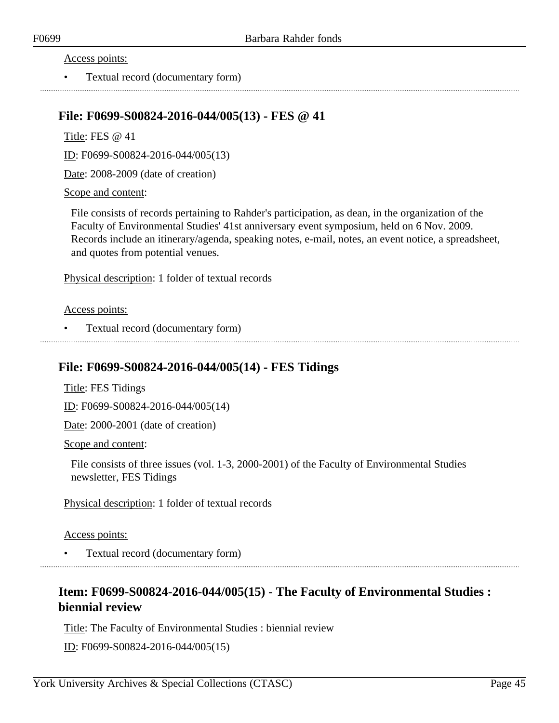#### Access points:

• Textual record (documentary form)

### **File: F0699-S00824-2016-044/005(13) - FES @ 41**

Title: FES @ 41

ID: F0699-S00824-2016-044/005(13)

Date: 2008-2009 (date of creation)

#### Scope and content:

File consists of records pertaining to Rahder's participation, as dean, in the organization of the Faculty of Environmental Studies' 41st anniversary event symposium, held on 6 Nov. 2009. Records include an itinerary/agenda, speaking notes, e-mail, notes, an event notice, a spreadsheet, and quotes from potential venues.

Physical description: 1 folder of textual records

#### Access points:

• Textual record (documentary form)

### **File: F0699-S00824-2016-044/005(14) - FES Tidings**

Title: FES Tidings

ID: F0699-S00824-2016-044/005(14)

Date: 2000-2001 (date of creation)

Scope and content:

File consists of three issues (vol. 1-3, 2000-2001) of the Faculty of Environmental Studies newsletter, FES Tidings

Physical description: 1 folder of textual records

### Access points:

• Textual record (documentary form)

## **Item: F0699-S00824-2016-044/005(15) - The Faculty of Environmental Studies : biennial review**

Title: The Faculty of Environmental Studies : biennial review

ID: F0699-S00824-2016-044/005(15)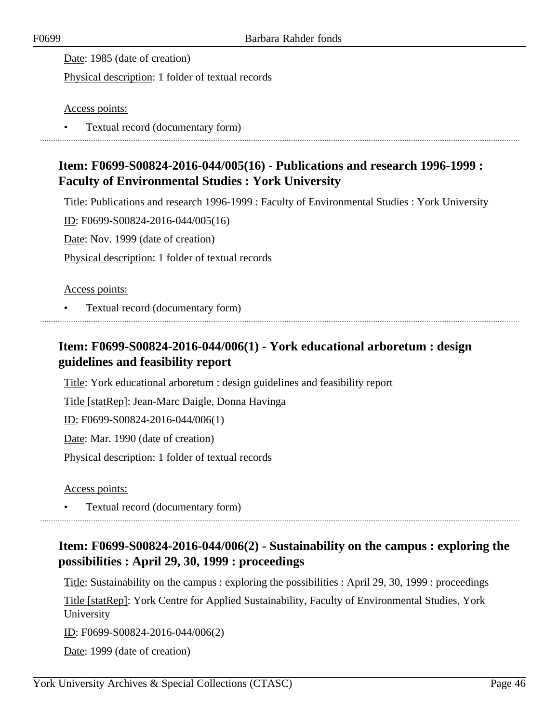Date: 1985 (date of creation)

Physical description: 1 folder of textual records

Access points:

• Textual record (documentary form)

# **Item: F0699-S00824-2016-044/005(16) - Publications and research 1996-1999 : Faculty of Environmental Studies : York University**

Title: Publications and research 1996-1999 : Faculty of Environmental Studies : York University

ID: F0699-S00824-2016-044/005(16)

Date: Nov. 1999 (date of creation)

Physical description: 1 folder of textual records

### Access points:

• Textual record (documentary form)

# **Item: F0699-S00824-2016-044/006(1) - York educational arboretum : design guidelines and feasibility report**

Title: York educational arboretum : design guidelines and feasibility report

Title [statRep]: Jean-Marc Daigle, Donna Havinga

ID: F0699-S00824-2016-044/006(1)

Date: Mar. 1990 (date of creation)

Physical description: 1 folder of textual records

Access points:

• Textual record (documentary form)

# **Item: F0699-S00824-2016-044/006(2) - Sustainability on the campus : exploring the possibilities : April 29, 30, 1999 : proceedings**

Title: Sustainability on the campus : exploring the possibilities : April 29, 30, 1999 : proceedings

Title [statRep]: York Centre for Applied Sustainability, Faculty of Environmental Studies, York University

ID: F0699-S00824-2016-044/006(2)

Date: 1999 (date of creation)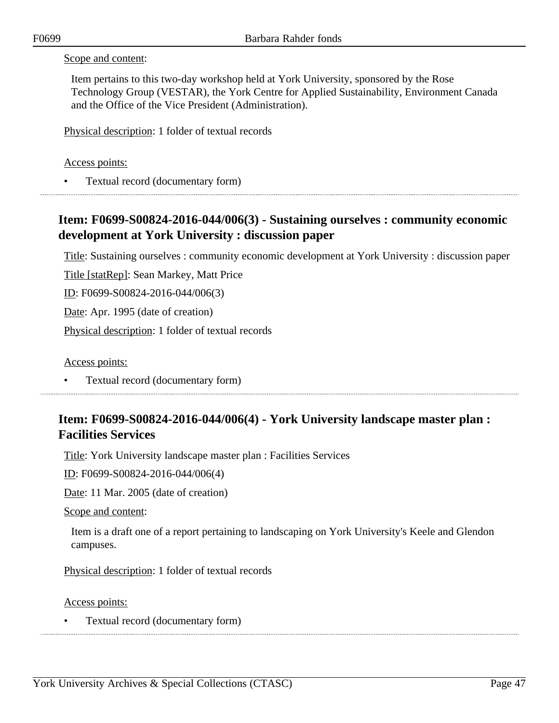### Scope and content:

Item pertains to this two-day workshop held at York University, sponsored by the Rose Technology Group (VESTAR), the York Centre for Applied Sustainability, Environment Canada and the Office of the Vice President (Administration).

Physical description: 1 folder of textual records

### Access points:

• Textual record (documentary form)

# **Item: F0699-S00824-2016-044/006(3) - Sustaining ourselves : community economic development at York University : discussion paper**

Title: Sustaining ourselves : community economic development at York University : discussion paper

Title [statRep]: Sean Markey, Matt Price

ID: F0699-S00824-2016-044/006(3)

Date: Apr. 1995 (date of creation)

Physical description: 1 folder of textual records

Access points:

• Textual record (documentary form)

## **Item: F0699-S00824-2016-044/006(4) - York University landscape master plan : Facilities Services**

Title: York University landscape master plan : Facilities Services

ID: F0699-S00824-2016-044/006(4)

Date: 11 Mar. 2005 (date of creation)

Scope and content:

Item is a draft one of a report pertaining to landscaping on York University's Keele and Glendon campuses.

Physical description: 1 folder of textual records

Access points:

• Textual record (documentary form)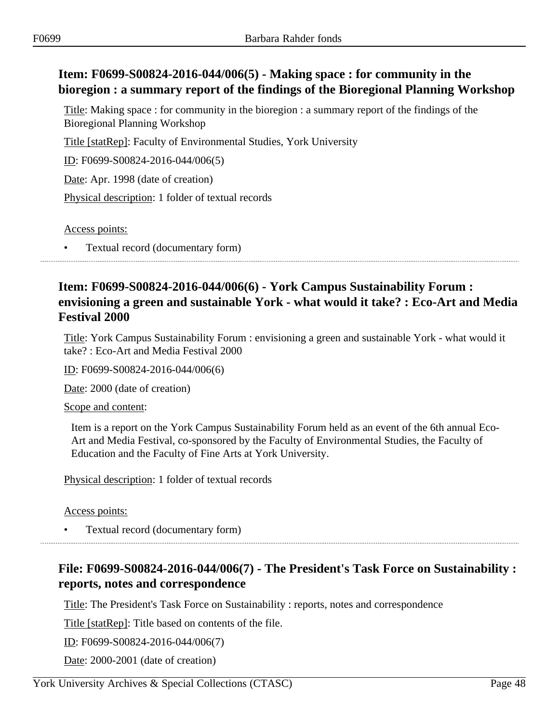# **Item: F0699-S00824-2016-044/006(5) - Making space : for community in the bioregion : a summary report of the findings of the Bioregional Planning Workshop**

Title: Making space : for community in the bioregion : a summary report of the findings of the Bioregional Planning Workshop

Title [statRep]: Faculty of Environmental Studies, York University

ID: F0699-S00824-2016-044/006(5)

Date: Apr. 1998 (date of creation)

Physical description: 1 folder of textual records

Access points:

• Textual record (documentary form)

## **Item: F0699-S00824-2016-044/006(6) - York Campus Sustainability Forum : envisioning a green and sustainable York - what would it take? : Eco-Art and Media Festival 2000**

Title: York Campus Sustainability Forum : envisioning a green and sustainable York - what would it take? : Eco-Art and Media Festival 2000

ID: F0699-S00824-2016-044/006(6)

Date: 2000 (date of creation)

Scope and content:

Item is a report on the York Campus Sustainability Forum held as an event of the 6th annual Eco-Art and Media Festival, co-sponsored by the Faculty of Environmental Studies, the Faculty of Education and the Faculty of Fine Arts at York University.

Physical description: 1 folder of textual records

Access points:

• Textual record (documentary form)

# **File: F0699-S00824-2016-044/006(7) - The President's Task Force on Sustainability : reports, notes and correspondence**

Title: The President's Task Force on Sustainability : reports, notes and correspondence

Title [statRep]: Title based on contents of the file.

ID: F0699-S00824-2016-044/006(7)

Date: 2000-2001 (date of creation)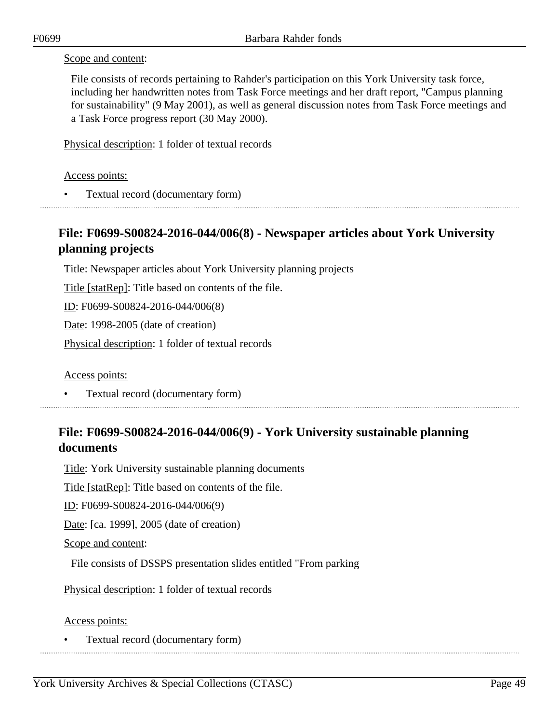### Scope and content:

File consists of records pertaining to Rahder's participation on this York University task force, including her handwritten notes from Task Force meetings and her draft report, "Campus planning for sustainability" (9 May 2001), as well as general discussion notes from Task Force meetings and a Task Force progress report (30 May 2000).

Physical description: 1 folder of textual records

### Access points:

• Textual record (documentary form)

## **File: F0699-S00824-2016-044/006(8) - Newspaper articles about York University planning projects**

Title: Newspaper articles about York University planning projects

Title [statRep]: Title based on contents of the file.

ID: F0699-S00824-2016-044/006(8)

Date: 1998-2005 (date of creation)

Physical description: 1 folder of textual records

Access points:

• Textual record (documentary form)

## **File: F0699-S00824-2016-044/006(9) - York University sustainable planning documents**

Title: York University sustainable planning documents

Title [statRep]: Title based on contents of the file.

ID: F0699-S00824-2016-044/006(9)

Date: [ca. 1999], 2005 (date of creation)

### Scope and content:

File consists of DSSPS presentation slides entitled "From parking

Physical description: 1 folder of textual records

### Access points:

• Textual record (documentary form)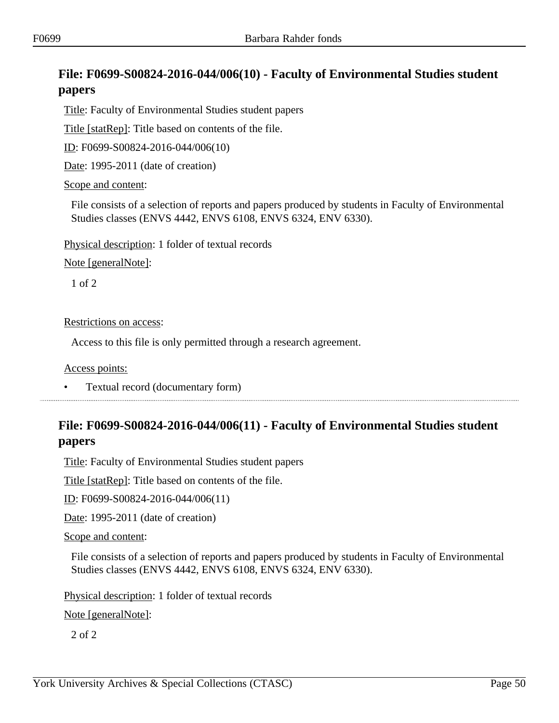# **File: F0699-S00824-2016-044/006(10) - Faculty of Environmental Studies student papers**

Title: Faculty of Environmental Studies student papers

Title [statRep]: Title based on contents of the file.

ID: F0699-S00824-2016-044/006(10)

Date: 1995-2011 (date of creation)

### Scope and content:

File consists of a selection of reports and papers produced by students in Faculty of Environmental Studies classes (ENVS 4442, ENVS 6108, ENVS 6324, ENV 6330).

Physical description: 1 folder of textual records

Note [generalNote]:

1 of 2

Restrictions on access:

Access to this file is only permitted through a research agreement.

Access points:

• Textual record (documentary form)

## **File: F0699-S00824-2016-044/006(11) - Faculty of Environmental Studies student papers**

Title: Faculty of Environmental Studies student papers

Title [statRep]: Title based on contents of the file.

ID: F0699-S00824-2016-044/006(11)

Date: 1995-2011 (date of creation)

Scope and content:

File consists of a selection of reports and papers produced by students in Faculty of Environmental Studies classes (ENVS 4442, ENVS 6108, ENVS 6324, ENV 6330).

Physical description: 1 folder of textual records

Note [generalNote]:

2 of 2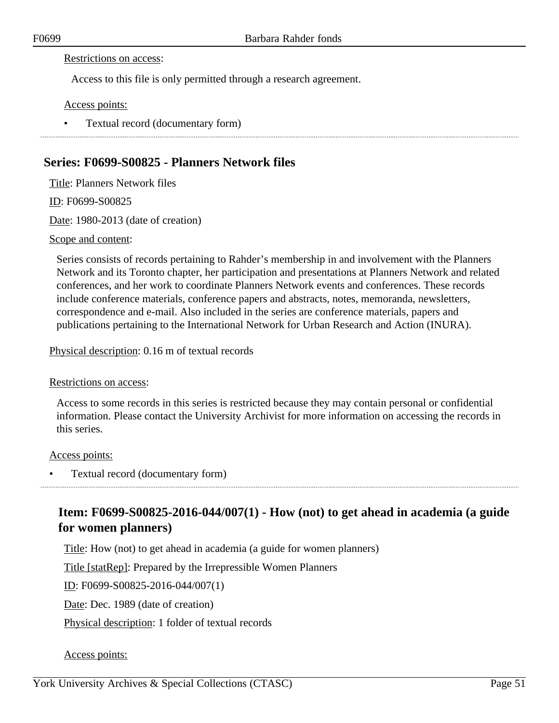#### Restrictions on access:

Access to this file is only permitted through a research agreement.

Access points:

• Textual record (documentary form)

### **Series: F0699-S00825 - Planners Network files**

Title: Planners Network files

ID: F0699-S00825

Date: 1980-2013 (date of creation)

### Scope and content:

Series consists of records pertaining to Rahder's membership in and involvement with the Planners Network and its Toronto chapter, her participation and presentations at Planners Network and related conferences, and her work to coordinate Planners Network events and conferences. These records include conference materials, conference papers and abstracts, notes, memoranda, newsletters, correspondence and e-mail. Also included in the series are conference materials, papers and publications pertaining to the International Network for Urban Research and Action (INURA).

Physical description: 0.16 m of textual records

### Restrictions on access:

Access to some records in this series is restricted because they may contain personal or confidential information. Please contact the University Archivist for more information on accessing the records in this series.

### Access points:

• Textual record (documentary form)

# **Item: F0699-S00825-2016-044/007(1) - How (not) to get ahead in academia (a guide for women planners)**

Title: How (not) to get ahead in academia (a guide for women planners)

Title [statRep]: Prepared by the Irrepressible Women Planners

ID: F0699-S00825-2016-044/007(1)

Date: Dec. 1989 (date of creation)

Physical description: 1 folder of textual records

### Access points: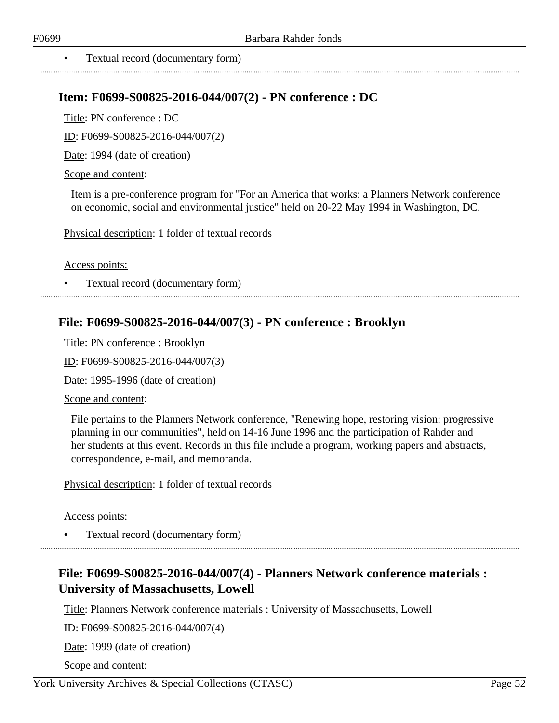• Textual record (documentary form)

### **Item: F0699-S00825-2016-044/007(2) - PN conference : DC**

Title: PN conference : DC

ID: F0699-S00825-2016-044/007(2)

Date: 1994 (date of creation)

### Scope and content:

Item is a pre-conference program for "For an America that works: a Planners Network conference on economic, social and environmental justice" held on 20-22 May 1994 in Washington, DC.

Physical description: 1 folder of textual records

Access points:

• Textual record (documentary form) 

## **File: F0699-S00825-2016-044/007(3) - PN conference : Brooklyn**

Title: PN conference : Brooklyn

ID: F0699-S00825-2016-044/007(3)

Date: 1995-1996 (date of creation)

Scope and content:

File pertains to the Planners Network conference, "Renewing hope, restoring vision: progressive planning in our communities", held on 14-16 June 1996 and the participation of Rahder and her students at this event. Records in this file include a program, working papers and abstracts, correspondence, e-mail, and memoranda.

Physical description: 1 folder of textual records

Access points:

• Textual record (documentary form)

# **File: F0699-S00825-2016-044/007(4) - Planners Network conference materials : University of Massachusetts, Lowell**

Title: Planners Network conference materials : University of Massachusetts, Lowell

ID: F0699-S00825-2016-044/007(4)

Date: 1999 (date of creation)

Scope and content: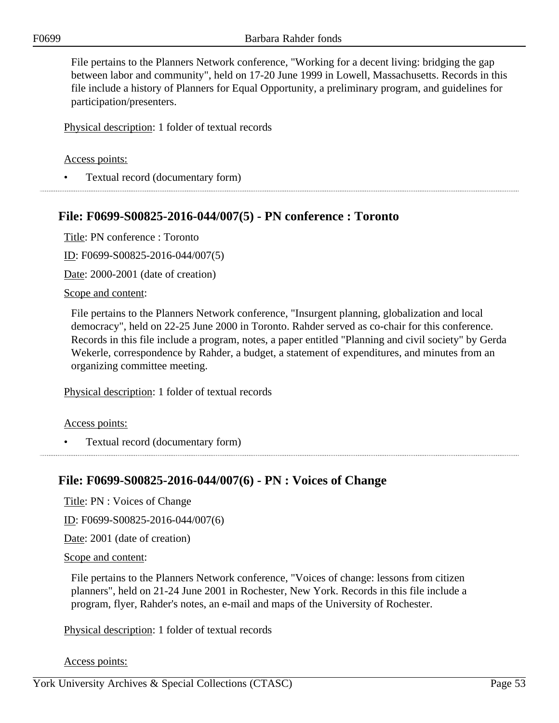File pertains to the Planners Network conference, "Working for a decent living: bridging the gap between labor and community", held on 17-20 June 1999 in Lowell, Massachusetts. Records in this file include a history of Planners for Equal Opportunity, a preliminary program, and guidelines for participation/presenters.

Physical description: 1 folder of textual records

### Access points:

• Textual record (documentary form)

### **File: F0699-S00825-2016-044/007(5) - PN conference : Toronto**

Title: PN conference : Toronto

ID: F0699-S00825-2016-044/007(5)

Date: 2000-2001 (date of creation)

### Scope and content:

File pertains to the Planners Network conference, "Insurgent planning, globalization and local democracy", held on 22-25 June 2000 in Toronto. Rahder served as co-chair for this conference. Records in this file include a program, notes, a paper entitled "Planning and civil society" by Gerda Wekerle, correspondence by Rahder, a budget, a statement of expenditures, and minutes from an organizing committee meeting.

Physical description: 1 folder of textual records

#### Access points:

• Textual record (documentary form)

### **File: F0699-S00825-2016-044/007(6) - PN : Voices of Change**

Title: PN : Voices of Change

ID: F0699-S00825-2016-044/007(6)

Date: 2001 (date of creation)

Scope and content:

File pertains to the Planners Network conference, "Voices of change: lessons from citizen planners", held on 21-24 June 2001 in Rochester, New York. Records in this file include a program, flyer, Rahder's notes, an e-mail and maps of the University of Rochester.

Physical description: 1 folder of textual records

Access points: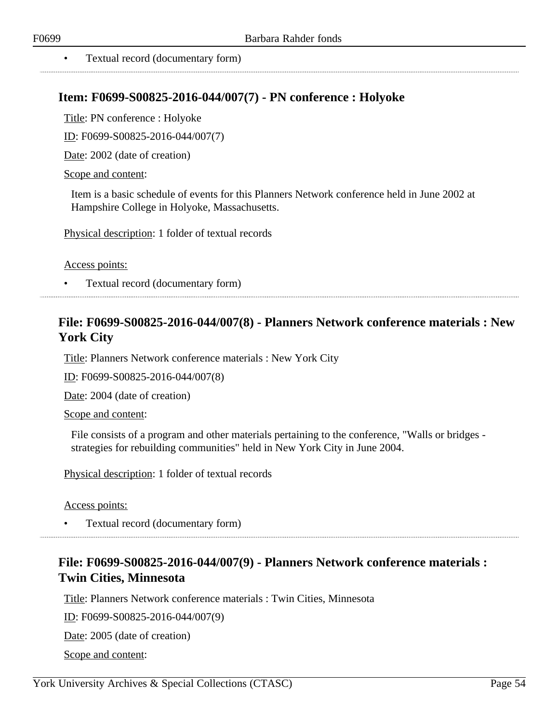. . . . . . . . . . . . . . . . . . . .

• Textual record (documentary form)

### **Item: F0699-S00825-2016-044/007(7) - PN conference : Holyoke**

Title: PN conference : Holyoke

ID: F0699-S00825-2016-044/007(7)

Date: 2002 (date of creation)

### Scope and content:

Item is a basic schedule of events for this Planners Network conference held in June 2002 at Hampshire College in Holyoke, Massachusetts.

Physical description: 1 folder of textual records

Access points:

• Textual record (documentary form)

## **File: F0699-S00825-2016-044/007(8) - Planners Network conference materials : New York City**

Title: Planners Network conference materials : New York City

ID: F0699-S00825-2016-044/007(8)

Date: 2004 (date of creation)

Scope and content:

File consists of a program and other materials pertaining to the conference, "Walls or bridges strategies for rebuilding communities" held in New York City in June 2004.

Physical description: 1 folder of textual records

Access points:

• Textual record (documentary form)

## **File: F0699-S00825-2016-044/007(9) - Planners Network conference materials : Twin Cities, Minnesota**

Title: Planners Network conference materials : Twin Cities, Minnesota

ID: F0699-S00825-2016-044/007(9)

Date: 2005 (date of creation)

Scope and content: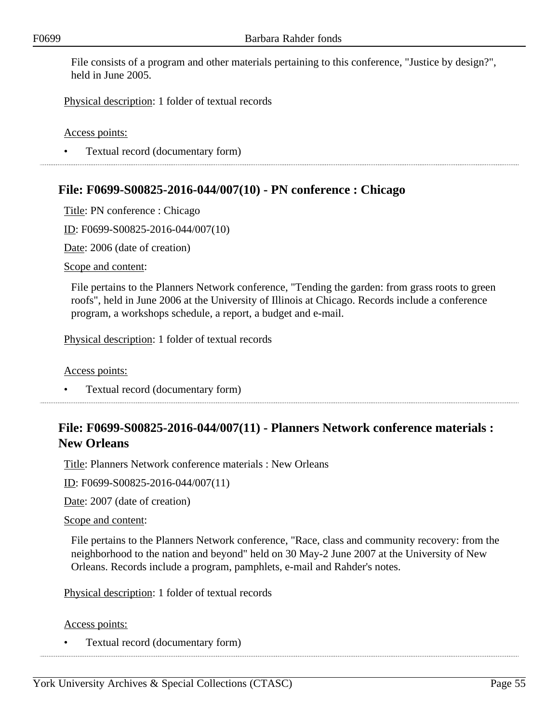File consists of a program and other materials pertaining to this conference, "Justice by design?", held in June 2005.

Physical description: 1 folder of textual records

Access points:

• Textual record (documentary form)

## **File: F0699-S00825-2016-044/007(10) - PN conference : Chicago**

Title: PN conference : Chicago

ID: F0699-S00825-2016-044/007(10)

Date: 2006 (date of creation)

Scope and content:

File pertains to the Planners Network conference, "Tending the garden: from grass roots to green roofs", held in June 2006 at the University of Illinois at Chicago. Records include a conference program, a workshops schedule, a report, a budget and e-mail.

Physical description: 1 folder of textual records

Access points:

• Textual record (documentary form)

# **File: F0699-S00825-2016-044/007(11) - Planners Network conference materials : New Orleans**

Title: Planners Network conference materials : New Orleans

ID: F0699-S00825-2016-044/007(11)

Date: 2007 (date of creation)

Scope and content:

File pertains to the Planners Network conference, "Race, class and community recovery: from the neighborhood to the nation and beyond" held on 30 May-2 June 2007 at the University of New Orleans. Records include a program, pamphlets, e-mail and Rahder's notes.

Physical description: 1 folder of textual records

Access points:

• Textual record (documentary form)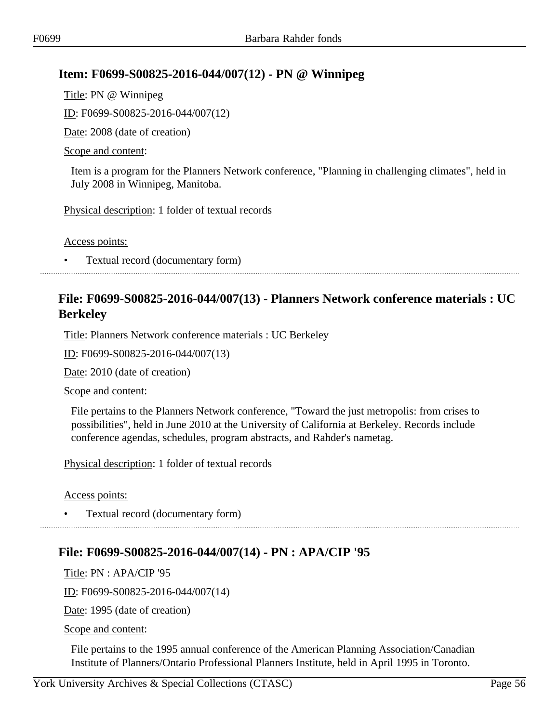# **Item: F0699-S00825-2016-044/007(12) - PN @ Winnipeg**

Title: PN @ Winnipeg ID: F0699-S00825-2016-044/007(12) Date: 2008 (date of creation) Scope and content:

Item is a program for the Planners Network conference, "Planning in challenging climates", held in July 2008 in Winnipeg, Manitoba.

Physical description: 1 folder of textual records

Access points:

• Textual record (documentary form)

## **File: F0699-S00825-2016-044/007(13) - Planners Network conference materials : UC Berkeley**

Title: Planners Network conference materials : UC Berkeley

ID: F0699-S00825-2016-044/007(13)

Date: 2010 (date of creation)

Scope and content:

File pertains to the Planners Network conference, "Toward the just metropolis: from crises to possibilities", held in June 2010 at the University of California at Berkeley. Records include conference agendas, schedules, program abstracts, and Rahder's nametag.

Physical description: 1 folder of textual records

Access points:

• Textual record (documentary form)

# **File: F0699-S00825-2016-044/007(14) - PN : APA/CIP '95**

Title: PN : APA/CIP '95

ID: F0699-S00825-2016-044/007(14)

Date: 1995 (date of creation)

Scope and content:

File pertains to the 1995 annual conference of the American Planning Association/Canadian Institute of Planners/Ontario Professional Planners Institute, held in April 1995 in Toronto.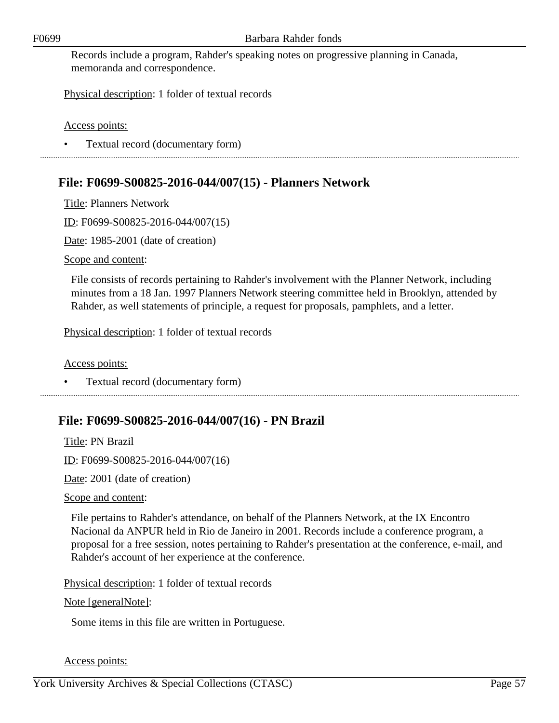Records include a program, Rahder's speaking notes on progressive planning in Canada, memoranda and correspondence.

Physical description: 1 folder of textual records

Access points:

• Textual record (documentary form)

## **File: F0699-S00825-2016-044/007(15) - Planners Network**

Title: Planners Network

ID: F0699-S00825-2016-044/007(15)

Date: 1985-2001 (date of creation)

Scope and content:

File consists of records pertaining to Rahder's involvement with the Planner Network, including minutes from a 18 Jan. 1997 Planners Network steering committee held in Brooklyn, attended by Rahder, as well statements of principle, a request for proposals, pamphlets, and a letter.

Physical description: 1 folder of textual records

Access points:

• Textual record (documentary form)

# **File: F0699-S00825-2016-044/007(16) - PN Brazil**

Title: PN Brazil ID: F0699-S00825-2016-044/007(16)

Date: 2001 (date of creation)

Scope and content:

File pertains to Rahder's attendance, on behalf of the Planners Network, at the IX Encontro Nacional da ANPUR held in Rio de Janeiro in 2001. Records include a conference program, a proposal for a free session, notes pertaining to Rahder's presentation at the conference, e-mail, and Rahder's account of her experience at the conference.

Physical description: 1 folder of textual records

### Note [generalNote]:

Some items in this file are written in Portuguese.

Access points: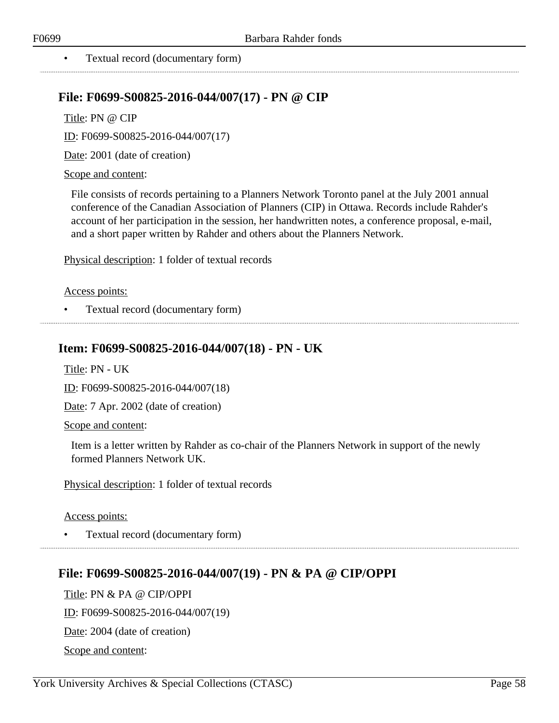### • Textual record (documentary form)

### **File: F0699-S00825-2016-044/007(17) - PN @ CIP**

Title: PN @ CIP

ID: F0699-S00825-2016-044/007(17)

Date: 2001 (date of creation)

#### Scope and content:

File consists of records pertaining to a Planners Network Toronto panel at the July 2001 annual conference of the Canadian Association of Planners (CIP) in Ottawa. Records include Rahder's account of her participation in the session, her handwritten notes, a conference proposal, e-mail, and a short paper written by Rahder and others about the Planners Network.

Physical description: 1 folder of textual records

#### Access points:

• Textual record (documentary form)

### **Item: F0699-S00825-2016-044/007(18) - PN - UK**

Title: PN - UK

ID: F0699-S00825-2016-044/007(18)

Date: 7 Apr. 2002 (date of creation)

Scope and content:

Item is a letter written by Rahder as co-chair of the Planners Network in support of the newly formed Planners Network UK.

Physical description: 1 folder of textual records

Access points:

• Textual record (documentary form)

### **File: F0699-S00825-2016-044/007(19) - PN & PA @ CIP/OPPI**

Title: PN & PA @ CIP/OPPI ID: F0699-S00825-2016-044/007(19) Date: 2004 (date of creation) Scope and content: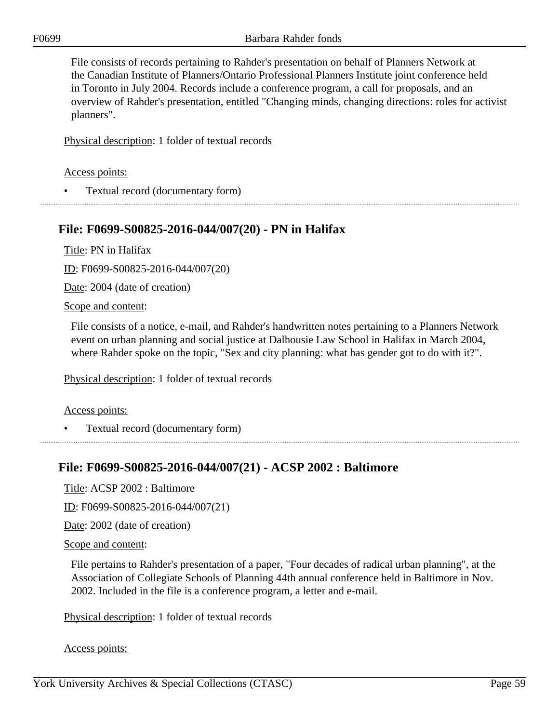File consists of records pertaining to Rahder's presentation on behalf of Planners Network at the Canadian Institute of Planners/Ontario Professional Planners Institute joint conference held in Toronto in July 2004. Records include a conference program, a call for proposals, and an overview of Rahder's presentation, entitled "Changing minds, changing directions: roles for activist planners".

Physical description: 1 folder of textual records

Access points:

• Textual record (documentary form)

### **File: F0699-S00825-2016-044/007(20) - PN in Halifax**

Title: PN in Halifax

ID: F0699-S00825-2016-044/007(20)

Date: 2004 (date of creation)

Scope and content:

File consists of a notice, e-mail, and Rahder's handwritten notes pertaining to a Planners Network event on urban planning and social justice at Dalhousie Law School in Halifax in March 2004, where Rahder spoke on the topic, "Sex and city planning: what has gender got to do with it?".

Physical description: 1 folder of textual records

Access points:

• Textual record (documentary form)

### **File: F0699-S00825-2016-044/007(21) - ACSP 2002 : Baltimore**

Title: ACSP 2002 : Baltimore

ID: F0699-S00825-2016-044/007(21)

Date: 2002 (date of creation)

Scope and content:

File pertains to Rahder's presentation of a paper, "Four decades of radical urban planning", at the Association of Collegiate Schools of Planning 44th annual conference held in Baltimore in Nov. 2002. Included in the file is a conference program, a letter and e-mail.

Physical description: 1 folder of textual records

Access points: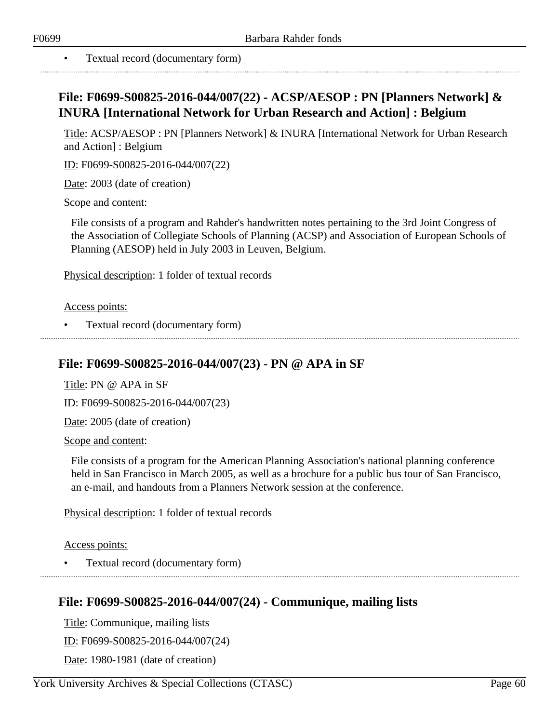• Textual record (documentary form)

# **File: F0699-S00825-2016-044/007(22) - ACSP/AESOP : PN [Planners Network] & INURA [International Network for Urban Research and Action] : Belgium**

Title: ACSP/AESOP : PN [Planners Network] & INURA [International Network for Urban Research and Action] : Belgium

ID: F0699-S00825-2016-044/007(22)

Date: 2003 (date of creation)

Scope and content:

File consists of a program and Rahder's handwritten notes pertaining to the 3rd Joint Congress of the Association of Collegiate Schools of Planning (ACSP) and Association of European Schools of Planning (AESOP) held in July 2003 in Leuven, Belgium.

Physical description: 1 folder of textual records

Access points:

• Textual record (documentary form)

### **File: F0699-S00825-2016-044/007(23) - PN @ APA in SF**

Title: PN @ APA in SF

ID: F0699-S00825-2016-044/007(23)

Date: 2005 (date of creation)

Scope and content:

File consists of a program for the American Planning Association's national planning conference held in San Francisco in March 2005, as well as a brochure for a public bus tour of San Francisco, an e-mail, and handouts from a Planners Network session at the conference.

Physical description: 1 folder of textual records

Access points:

• Textual record (documentary form)

### **File: F0699-S00825-2016-044/007(24) - Communique, mailing lists**

Title: Communique, mailing lists

ID: F0699-S00825-2016-044/007(24)

Date: 1980-1981 (date of creation)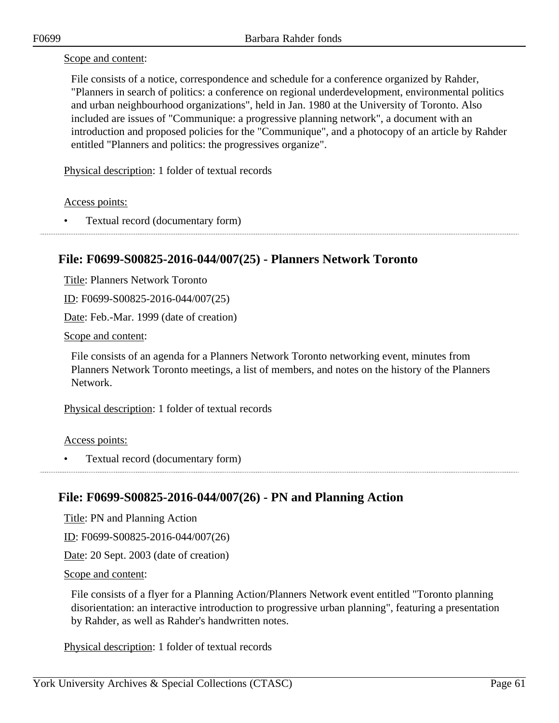Scope and content:

File consists of a notice, correspondence and schedule for a conference organized by Rahder, "Planners in search of politics: a conference on regional underdevelopment, environmental politics and urban neighbourhood organizations", held in Jan. 1980 at the University of Toronto. Also included are issues of "Communique: a progressive planning network", a document with an introduction and proposed policies for the "Communique", and a photocopy of an article by Rahder entitled "Planners and politics: the progressives organize".

Physical description: 1 folder of textual records

Access points:

• Textual record (documentary form)

## **File: F0699-S00825-2016-044/007(25) - Planners Network Toronto**

Title: Planners Network Toronto

ID: F0699-S00825-2016-044/007(25)

Date: Feb.-Mar. 1999 (date of creation)

Scope and content:

File consists of an agenda for a Planners Network Toronto networking event, minutes from Planners Network Toronto meetings, a list of members, and notes on the history of the Planners Network.

Physical description: 1 folder of textual records

Access points:

• Textual record (documentary form)

### **File: F0699-S00825-2016-044/007(26) - PN and Planning Action**

Title: PN and Planning Action

ID: F0699-S00825-2016-044/007(26)

Date: 20 Sept. 2003 (date of creation)

Scope and content:

File consists of a flyer for a Planning Action/Planners Network event entitled "Toronto planning disorientation: an interactive introduction to progressive urban planning", featuring a presentation by Rahder, as well as Rahder's handwritten notes.

Physical description: 1 folder of textual records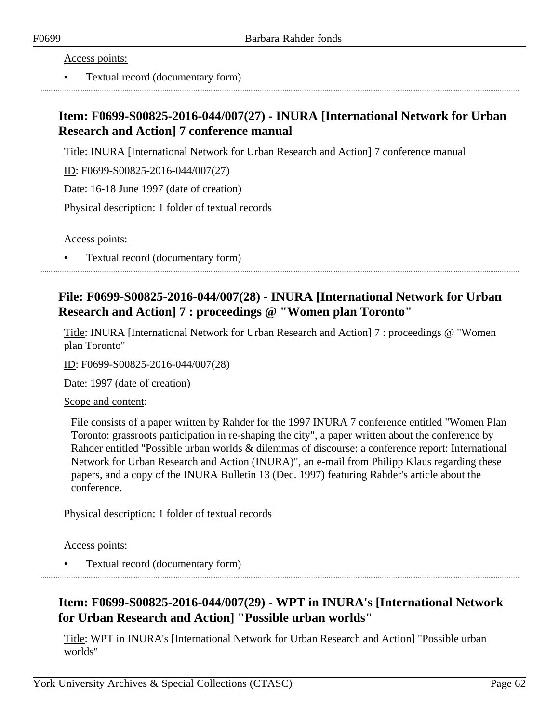Access points:

• Textual record (documentary form)

## **Item: F0699-S00825-2016-044/007(27) - INURA [International Network for Urban Research and Action] 7 conference manual**

Title: INURA [International Network for Urban Research and Action] 7 conference manual

ID: F0699-S00825-2016-044/007(27)

Date: 16-18 June 1997 (date of creation)

Physical description: 1 folder of textual records

Access points:

• Textual record (documentary form)

# **File: F0699-S00825-2016-044/007(28) - INURA [International Network for Urban Research and Action] 7 : proceedings @ "Women plan Toronto"**

Title: INURA [International Network for Urban Research and Action] 7 : proceedings @ "Women plan Toronto"

ID: F0699-S00825-2016-044/007(28)

Date: 1997 (date of creation)

Scope and content:

File consists of a paper written by Rahder for the 1997 INURA 7 conference entitled "Women Plan Toronto: grassroots participation in re-shaping the city", a paper written about the conference by Rahder entitled "Possible urban worlds & dilemmas of discourse: a conference report: International Network for Urban Research and Action (INURA)", an e-mail from Philipp Klaus regarding these papers, and a copy of the INURA Bulletin 13 (Dec. 1997) featuring Rahder's article about the conference.

Physical description: 1 folder of textual records

Access points:

• Textual record (documentary form)

# **Item: F0699-S00825-2016-044/007(29) - WPT in INURA's [International Network for Urban Research and Action] "Possible urban worlds"**

Title: WPT in INURA's [International Network for Urban Research and Action] "Possible urban worlds"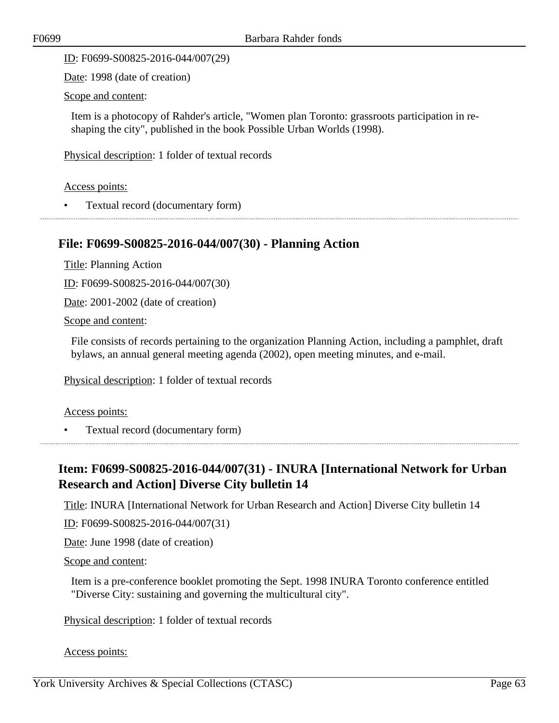ID: F0699-S00825-2016-044/007(29)

Date: 1998 (date of creation)

Scope and content:

Item is a photocopy of Rahder's article, "Women plan Toronto: grassroots participation in reshaping the city", published in the book Possible Urban Worlds (1998).

Physical description: 1 folder of textual records

Access points:

• Textual record (documentary form)

### **File: F0699-S00825-2016-044/007(30) - Planning Action**

Title: Planning Action

ID: F0699-S00825-2016-044/007(30)

Date: 2001-2002 (date of creation)

Scope and content:

File consists of records pertaining to the organization Planning Action, including a pamphlet, draft bylaws, an annual general meeting agenda (2002), open meeting minutes, and e-mail.

Physical description: 1 folder of textual records

#### Access points:

• Textual record (documentary form)

## **Item: F0699-S00825-2016-044/007(31) - INURA [International Network for Urban Research and Action] Diverse City bulletin 14**

Title: INURA [International Network for Urban Research and Action] Diverse City bulletin 14

ID: F0699-S00825-2016-044/007(31)

Date: June 1998 (date of creation)

#### Scope and content:

Item is a pre-conference booklet promoting the Sept. 1998 INURA Toronto conference entitled "Diverse City: sustaining and governing the multicultural city".

Physical description: 1 folder of textual records

### Access points: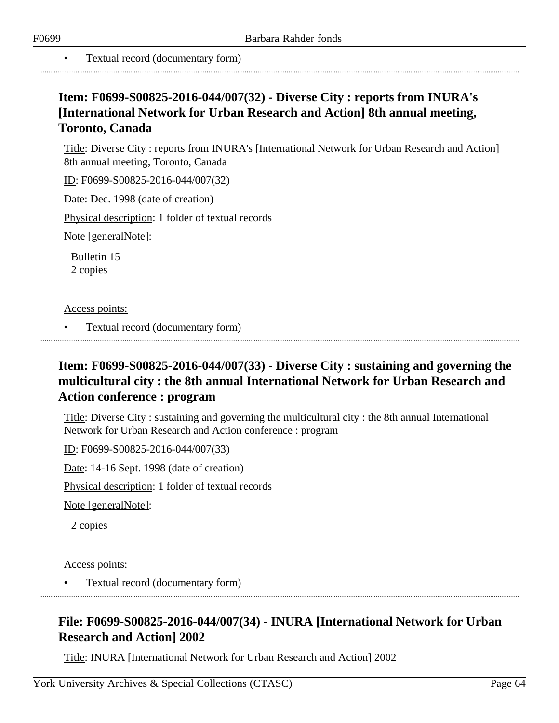• Textual record (documentary form)

# **Item: F0699-S00825-2016-044/007(32) - Diverse City : reports from INURA's [International Network for Urban Research and Action] 8th annual meeting, Toronto, Canada**

Title: Diverse City : reports from INURA's [International Network for Urban Research and Action] 8th annual meeting, Toronto, Canada

ID: F0699-S00825-2016-044/007(32)

Date: Dec. 1998 (date of creation)

Physical description: 1 folder of textual records

Note [generalNote]:

Bulletin 15 2 copies

### Access points:

• Textual record (documentary form)

# **Item: F0699-S00825-2016-044/007(33) - Diverse City : sustaining and governing the multicultural city : the 8th annual International Network for Urban Research and Action conference : program**

Title: Diverse City : sustaining and governing the multicultural city : the 8th annual International Network for Urban Research and Action conference : program

ID: F0699-S00825-2016-044/007(33)

Date: 14-16 Sept. 1998 (date of creation)

Physical description: 1 folder of textual records

Note [generalNote]:

2 copies

### Access points:

• Textual record (documentary form)

# **File: F0699-S00825-2016-044/007(34) - INURA [International Network for Urban Research and Action] 2002**

Title: INURA [International Network for Urban Research and Action] 2002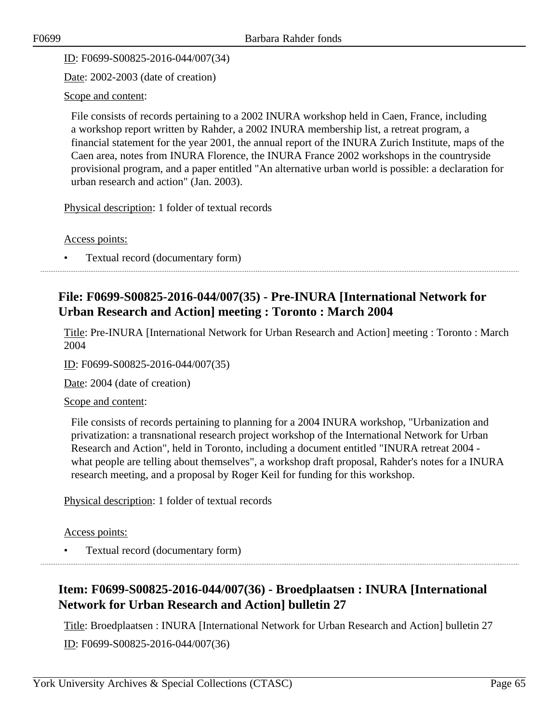ID: F0699-S00825-2016-044/007(34)

Date: 2002-2003 (date of creation)

### Scope and content:

File consists of records pertaining to a 2002 INURA workshop held in Caen, France, including a workshop report written by Rahder, a 2002 INURA membership list, a retreat program, a financial statement for the year 2001, the annual report of the INURA Zurich Institute, maps of the Caen area, notes from INURA Florence, the INURA France 2002 workshops in the countryside provisional program, and a paper entitled "An alternative urban world is possible: a declaration for urban research and action" (Jan. 2003).

Physical description: 1 folder of textual records

Access points:

• Textual record (documentary form)

# **File: F0699-S00825-2016-044/007(35) - Pre-INURA [International Network for Urban Research and Action] meeting : Toronto : March 2004**

Title: Pre-INURA [International Network for Urban Research and Action] meeting : Toronto : March 2004

ID: F0699-S00825-2016-044/007(35)

Date: 2004 (date of creation)

Scope and content:

File consists of records pertaining to planning for a 2004 INURA workshop, "Urbanization and privatization: a transnational research project workshop of the International Network for Urban Research and Action", held in Toronto, including a document entitled "INURA retreat 2004 what people are telling about themselves", a workshop draft proposal, Rahder's notes for a INURA research meeting, and a proposal by Roger Keil for funding for this workshop.

Physical description: 1 folder of textual records

Access points:

• Textual record (documentary form)

# **Item: F0699-S00825-2016-044/007(36) - Broedplaatsen : INURA [International Network for Urban Research and Action] bulletin 27**

Title: Broedplaatsen : INURA [International Network for Urban Research and Action] bulletin 27 ID: F0699-S00825-2016-044/007(36)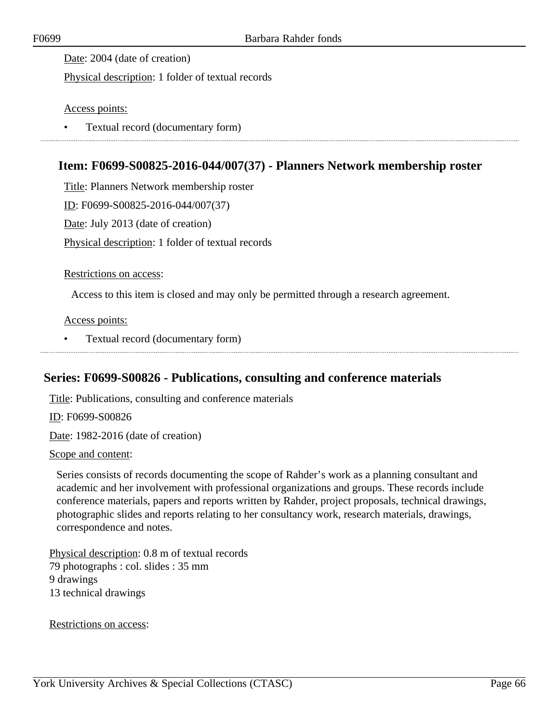Date: 2004 (date of creation)

Physical description: 1 folder of textual records

Access points:

• Textual record (documentary form)

### **Item: F0699-S00825-2016-044/007(37) - Planners Network membership roster**

Title: Planners Network membership roster

ID: F0699-S00825-2016-044/007(37)

Date: July 2013 (date of creation)

Physical description: 1 folder of textual records

#### Restrictions on access:

Access to this item is closed and may only be permitted through a research agreement.

### Access points:

• Textual record (documentary form)

### **Series: F0699-S00826 - Publications, consulting and conference materials**

Title: Publications, consulting and conference materials

ID: F0699-S00826

Date: 1982-2016 (date of creation)

Scope and content:

Series consists of records documenting the scope of Rahder's work as a planning consultant and academic and her involvement with professional organizations and groups. These records include conference materials, papers and reports written by Rahder, project proposals, technical drawings, photographic slides and reports relating to her consultancy work, research materials, drawings, correspondence and notes.

Physical description: 0.8 m of textual records 79 photographs : col. slides : 35 mm 9 drawings 13 technical drawings

Restrictions on access: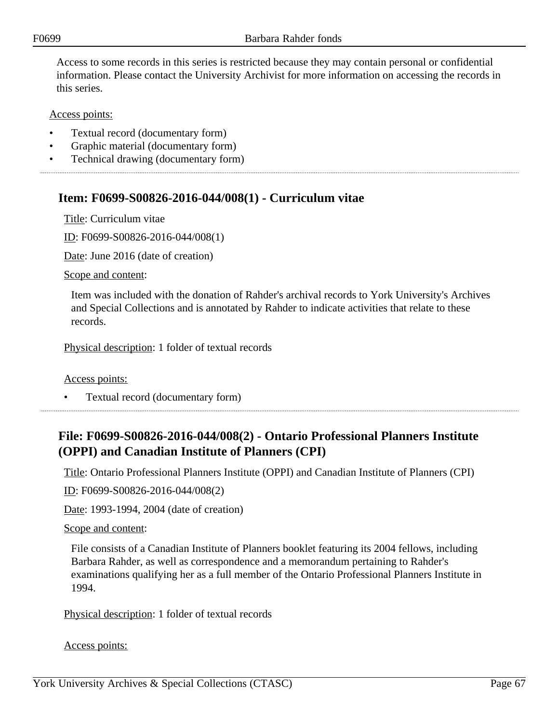Access to some records in this series is restricted because they may contain personal or confidential information. Please contact the University Archivist for more information on accessing the records in this series.

Access points:

- Textual record (documentary form)
- Graphic material (documentary form)
- Technical drawing (documentary form)

## **Item: F0699-S00826-2016-044/008(1) - Curriculum vitae**

Title: Curriculum vitae

ID: F0699-S00826-2016-044/008(1)

Date: June 2016 (date of creation)

Scope and content:

Item was included with the donation of Rahder's archival records to York University's Archives and Special Collections and is annotated by Rahder to indicate activities that relate to these records.

Physical description: 1 folder of textual records

Access points:

• Textual record (documentary form)

# **File: F0699-S00826-2016-044/008(2) - Ontario Professional Planners Institute (OPPI) and Canadian Institute of Planners (CPI)**

Title: Ontario Professional Planners Institute (OPPI) and Canadian Institute of Planners (CPI)

ID: F0699-S00826-2016-044/008(2)

Date: 1993-1994, 2004 (date of creation)

### Scope and content:

File consists of a Canadian Institute of Planners booklet featuring its 2004 fellows, including Barbara Rahder, as well as correspondence and a memorandum pertaining to Rahder's examinations qualifying her as a full member of the Ontario Professional Planners Institute in 1994.

Physical description: 1 folder of textual records

Access points: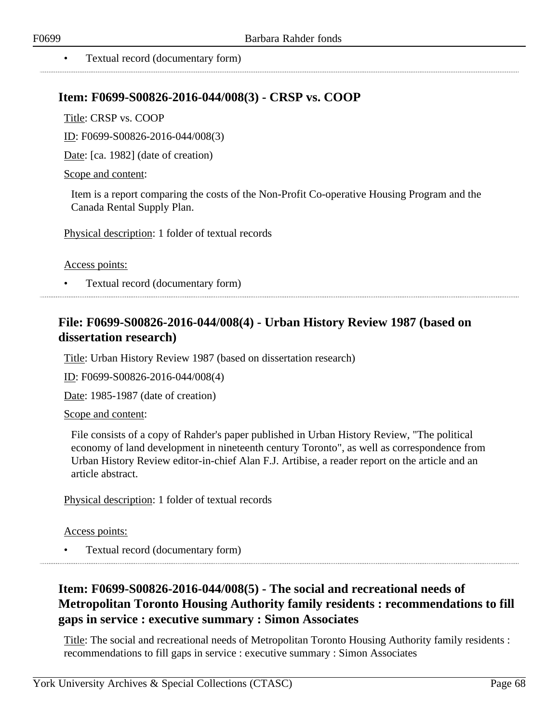### • Textual record (documentary form)

### **Item: F0699-S00826-2016-044/008(3) - CRSP vs. COOP**

Title: CRSP vs. COOP

ID: F0699-S00826-2016-044/008(3)

Date: [ca. 1982] (date of creation)

#### Scope and content:

Item is a report comparing the costs of the Non-Profit Co-operative Housing Program and the Canada Rental Supply Plan.

Physical description: 1 folder of textual records

#### Access points:

• Textual record (documentary form)

## **File: F0699-S00826-2016-044/008(4) - Urban History Review 1987 (based on dissertation research)**

Title: Urban History Review 1987 (based on dissertation research)

ID: F0699-S00826-2016-044/008(4)

Date: 1985-1987 (date of creation)

#### Scope and content:

File consists of a copy of Rahder's paper published in Urban History Review, "The political economy of land development in nineteenth century Toronto", as well as correspondence from Urban History Review editor-in-chief Alan F.J. Artibise, a reader report on the article and an article abstract.

Physical description: 1 folder of textual records

### Access points:

• Textual record (documentary form)

# **Item: F0699-S00826-2016-044/008(5) - The social and recreational needs of Metropolitan Toronto Housing Authority family residents : recommendations to fill gaps in service : executive summary : Simon Associates**

Title: The social and recreational needs of Metropolitan Toronto Housing Authority family residents : recommendations to fill gaps in service : executive summary : Simon Associates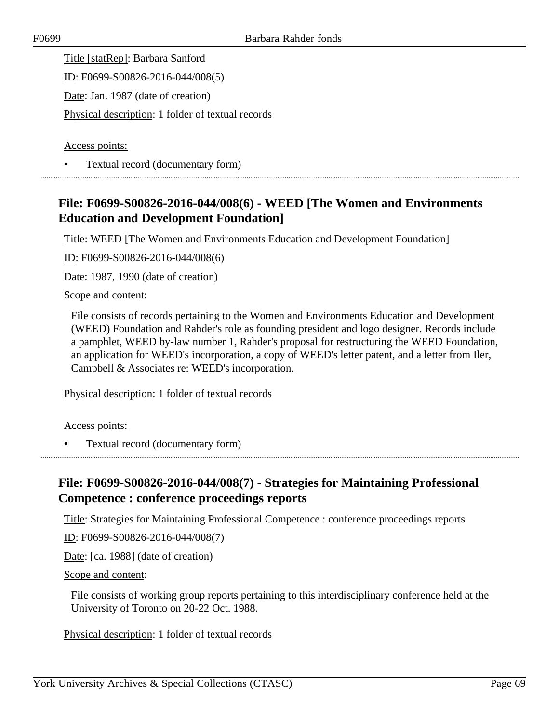Title [statRep]: Barbara Sanford

ID: F0699-S00826-2016-044/008(5)

Date: Jan. 1987 (date of creation)

Physical description: 1 folder of textual records

Access points:

• Textual record (documentary form)

# **File: F0699-S00826-2016-044/008(6) - WEED [The Women and Environments Education and Development Foundation]**

Title: WEED [The Women and Environments Education and Development Foundation]

ID: F0699-S00826-2016-044/008(6)

Date: 1987, 1990 (date of creation)

### Scope and content:

File consists of records pertaining to the Women and Environments Education and Development (WEED) Foundation and Rahder's role as founding president and logo designer. Records include a pamphlet, WEED by-law number 1, Rahder's proposal for restructuring the WEED Foundation, an application for WEED's incorporation, a copy of WEED's letter patent, and a letter from Iler, Campbell & Associates re: WEED's incorporation.

Physical description: 1 folder of textual records

Access points:

• Textual record (documentary form)

# **File: F0699-S00826-2016-044/008(7) - Strategies for Maintaining Professional Competence : conference proceedings reports**

Title: Strategies for Maintaining Professional Competence : conference proceedings reports

ID: F0699-S00826-2016-044/008(7)

Date: [ca. 1988] (date of creation)

Scope and content:

File consists of working group reports pertaining to this interdisciplinary conference held at the University of Toronto on 20-22 Oct. 1988.

Physical description: 1 folder of textual records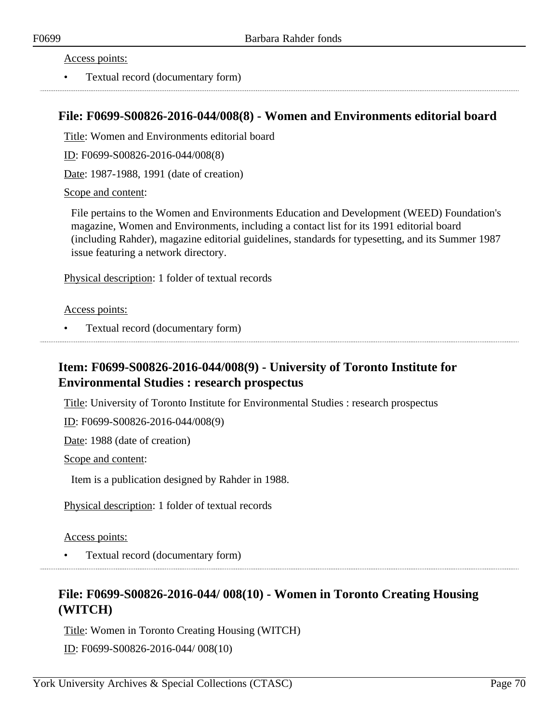### Access points:

• Textual record (documentary form)

### **File: F0699-S00826-2016-044/008(8) - Women and Environments editorial board**

Title: Women and Environments editorial board

ID: F0699-S00826-2016-044/008(8)

Date: 1987-1988, 1991 (date of creation)

### Scope and content:

File pertains to the Women and Environments Education and Development (WEED) Foundation's magazine, Women and Environments, including a contact list for its 1991 editorial board (including Rahder), magazine editorial guidelines, standards for typesetting, and its Summer 1987 issue featuring a network directory.

Physical description: 1 folder of textual records

### Access points:

• Textual record (documentary form)

# **Item: F0699-S00826-2016-044/008(9) - University of Toronto Institute for Environmental Studies : research prospectus**

Title: University of Toronto Institute for Environmental Studies : research prospectus

ID: F0699-S00826-2016-044/008(9)

Date: 1988 (date of creation)

Scope and content:

Item is a publication designed by Rahder in 1988.

Physical description: 1 folder of textual records

### Access points:

• Textual record (documentary form) 

## **File: F0699-S00826-2016-044/ 008(10) - Women in Toronto Creating Housing (WITCH)**

Title: Women in Toronto Creating Housing (WITCH) ID: F0699-S00826-2016-044/ 008(10)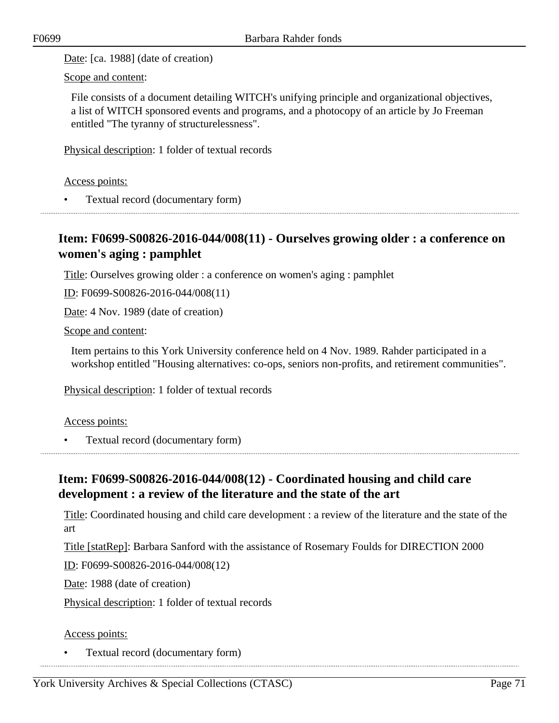Date: [ca. 1988] (date of creation)

Scope and content:

File consists of a document detailing WITCH's unifying principle and organizational objectives, a list of WITCH sponsored events and programs, and a photocopy of an article by Jo Freeman entitled "The tyranny of structurelessness".

Physical description: 1 folder of textual records

Access points:

• Textual record (documentary form)

### **Item: F0699-S00826-2016-044/008(11) - Ourselves growing older : a conference on women's aging : pamphlet**

Title: Ourselves growing older : a conference on women's aging : pamphlet

<u>ID</u>: F0699-S00826-2016-044/008(11)

Date: 4 Nov. 1989 (date of creation)

Scope and content:

Item pertains to this York University conference held on 4 Nov. 1989. Rahder participated in a workshop entitled "Housing alternatives: co-ops, seniors non-profits, and retirement communities".

Physical description: 1 folder of textual records

Access points:

• Textual record (documentary form)

# **Item: F0699-S00826-2016-044/008(12) - Coordinated housing and child care development : a review of the literature and the state of the art**

Title: Coordinated housing and child care development : a review of the literature and the state of the art

Title [statRep]: Barbara Sanford with the assistance of Rosemary Foulds for DIRECTION 2000

ID: F0699-S00826-2016-044/008(12)

Date: 1988 (date of creation)

Physical description: 1 folder of textual records

### Access points:

• Textual record (documentary form)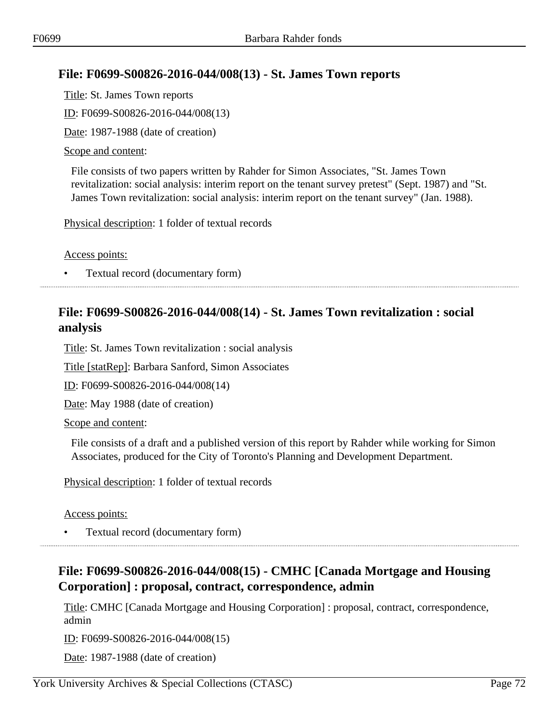# **File: F0699-S00826-2016-044/008(13) - St. James Town reports**

Title: St. James Town reports

ID: F0699-S00826-2016-044/008(13)

Date: 1987-1988 (date of creation)

### Scope and content:

File consists of two papers written by Rahder for Simon Associates, "St. James Town revitalization: social analysis: interim report on the tenant survey pretest" (Sept. 1987) and "St. James Town revitalization: social analysis: interim report on the tenant survey" (Jan. 1988).

Physical description: 1 folder of textual records

Access points:

• Textual record (documentary form)

## **File: F0699-S00826-2016-044/008(14) - St. James Town revitalization : social analysis**

Title: St. James Town revitalization : social analysis

Title [statRep]: Barbara Sanford, Simon Associates

ID: F0699-S00826-2016-044/008(14)

Date: May 1988 (date of creation)

Scope and content:

File consists of a draft and a published version of this report by Rahder while working for Simon Associates, produced for the City of Toronto's Planning and Development Department.

Physical description: 1 folder of textual records

Access points:

• Textual record (documentary form)

# **File: F0699-S00826-2016-044/008(15) - CMHC [Canada Mortgage and Housing Corporation] : proposal, contract, correspondence, admin**

Title: CMHC [Canada Mortgage and Housing Corporation] : proposal, contract, correspondence, admin

ID: F0699-S00826-2016-044/008(15)

Date: 1987-1988 (date of creation)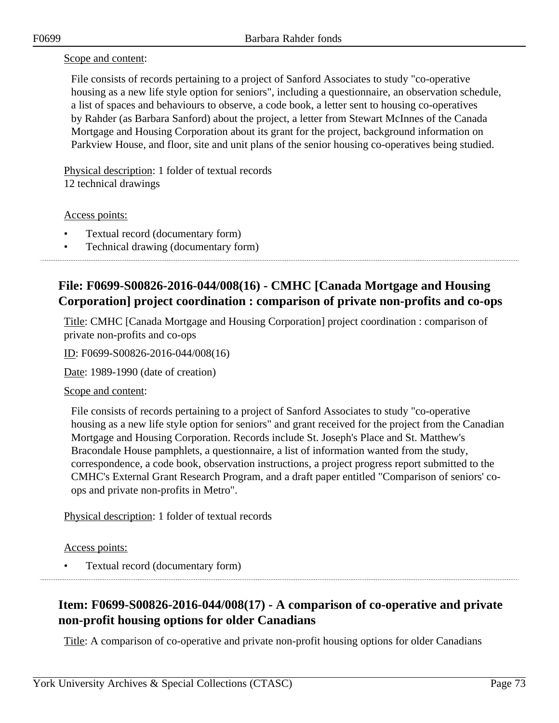### Scope and content:

File consists of records pertaining to a project of Sanford Associates to study "co-operative housing as a new life style option for seniors", including a questionnaire, an observation schedule, a list of spaces and behaviours to observe, a code book, a letter sent to housing co-operatives by Rahder (as Barbara Sanford) about the project, a letter from Stewart McInnes of the Canada Mortgage and Housing Corporation about its grant for the project, background information on Parkview House, and floor, site and unit plans of the senior housing co-operatives being studied.

Physical description: 1 folder of textual records 12 technical drawings

Access points:

- Textual record (documentary form)
- Technical drawing (documentary form)

# **File: F0699-S00826-2016-044/008(16) - CMHC [Canada Mortgage and Housing Corporation] project coordination : comparison of private non-profits and co-ops**

Title: CMHC [Canada Mortgage and Housing Corporation] project coordination : comparison of private non-profits and co-ops

ID: F0699-S00826-2016-044/008(16)

Date: 1989-1990 (date of creation)

#### Scope and content:

File consists of records pertaining to a project of Sanford Associates to study "co-operative housing as a new life style option for seniors" and grant received for the project from the Canadian Mortgage and Housing Corporation. Records include St. Joseph's Place and St. Matthew's Bracondale House pamphlets, a questionnaire, a list of information wanted from the study, correspondence, a code book, observation instructions, a project progress report submitted to the CMHC's External Grant Research Program, and a draft paper entitled "Comparison of seniors' coops and private non-profits in Metro".

Physical description: 1 folder of textual records

Access points:

• Textual record (documentary form)

# **Item: F0699-S00826-2016-044/008(17) - A comparison of co-operative and private non-profit housing options for older Canadians**

Title: A comparison of co-operative and private non-profit housing options for older Canadians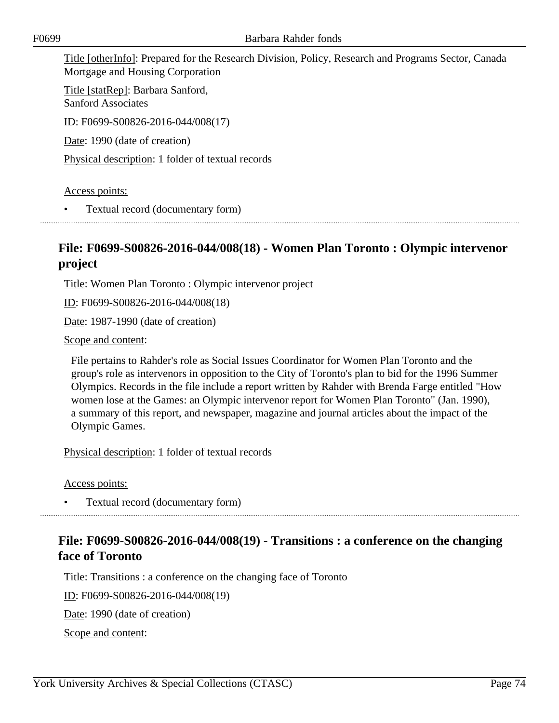Title [otherInfo]: Prepared for the Research Division, Policy, Research and Programs Sector, Canada Mortgage and Housing Corporation

Title [statRep]: Barbara Sanford, Sanford Associates ID: F0699-S00826-2016-044/008(17)

Date: 1990 (date of creation)

Physical description: 1 folder of textual records

Access points:

• Textual record (documentary form)

## **File: F0699-S00826-2016-044/008(18) - Women Plan Toronto : Olympic intervenor project**

Title: Women Plan Toronto : Olympic intervenor project

ID: F0699-S00826-2016-044/008(18)

Date: 1987-1990 (date of creation)

Scope and content:

File pertains to Rahder's role as Social Issues Coordinator for Women Plan Toronto and the group's role as intervenors in opposition to the City of Toronto's plan to bid for the 1996 Summer Olympics. Records in the file include a report written by Rahder with Brenda Farge entitled "How women lose at the Games: an Olympic intervenor report for Women Plan Toronto" (Jan. 1990), a summary of this report, and newspaper, magazine and journal articles about the impact of the Olympic Games.

Physical description: 1 folder of textual records

Access points:

• Textual record (documentary form)

## **File: F0699-S00826-2016-044/008(19) - Transitions : a conference on the changing face of Toronto**

Title: Transitions : a conference on the changing face of Toronto

ID: F0699-S00826-2016-044/008(19)

Date: 1990 (date of creation)

Scope and content: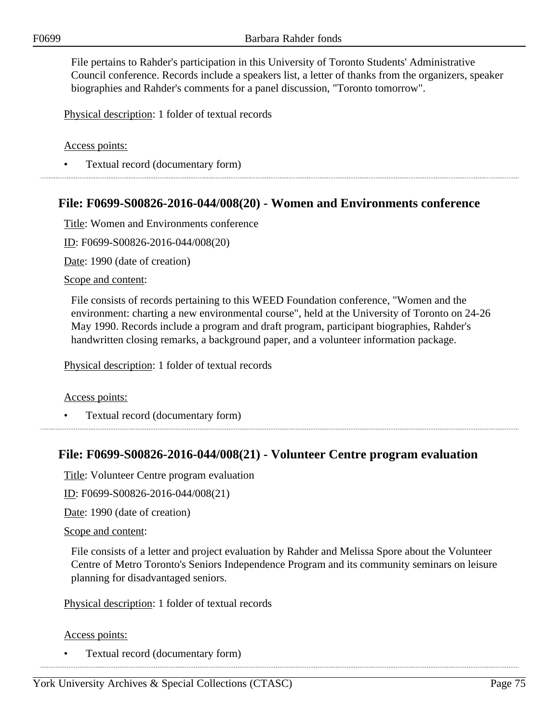File pertains to Rahder's participation in this University of Toronto Students' Administrative Council conference. Records include a speakers list, a letter of thanks from the organizers, speaker biographies and Rahder's comments for a panel discussion, "Toronto tomorrow".

Physical description: 1 folder of textual records

Access points:

• Textual record (documentary form)

### **File: F0699-S00826-2016-044/008(20) - Women and Environments conference**

Title: Women and Environments conference

ID: F0699-S00826-2016-044/008(20)

Date: 1990 (date of creation)

Scope and content:

File consists of records pertaining to this WEED Foundation conference, "Women and the environment: charting a new environmental course", held at the University of Toronto on 24-26 May 1990. Records include a program and draft program, participant biographies, Rahder's handwritten closing remarks, a background paper, and a volunteer information package.

Physical description: 1 folder of textual records

Access points:

• Textual record (documentary form)

### **File: F0699-S00826-2016-044/008(21) - Volunteer Centre program evaluation**

Title: Volunteer Centre program evaluation

ID: F0699-S00826-2016-044/008(21)

Date: 1990 (date of creation)

#### Scope and content:

File consists of a letter and project evaluation by Rahder and Melissa Spore about the Volunteer Centre of Metro Toronto's Seniors Independence Program and its community seminars on leisure planning for disadvantaged seniors.

Physical description: 1 folder of textual records

Access points:

• Textual record (documentary form)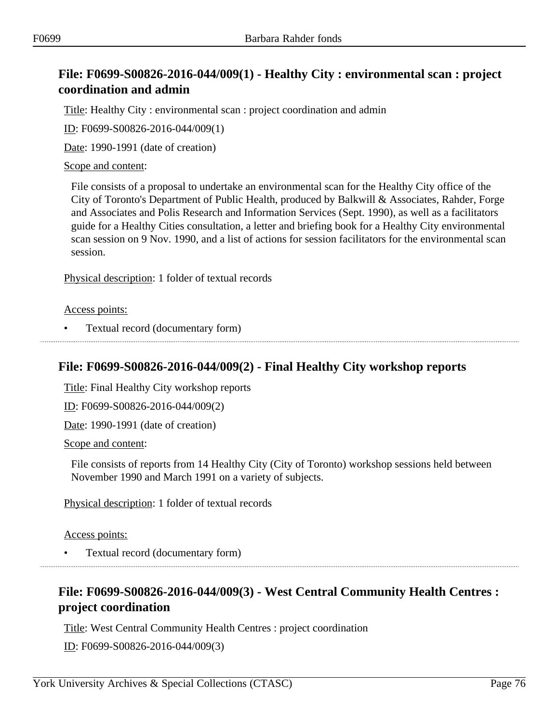# **File: F0699-S00826-2016-044/009(1) - Healthy City : environmental scan : project coordination and admin**

Title: Healthy City : environmental scan : project coordination and admin

ID: F0699-S00826-2016-044/009(1)

Date: 1990-1991 (date of creation)

### Scope and content:

File consists of a proposal to undertake an environmental scan for the Healthy City office of the City of Toronto's Department of Public Health, produced by Balkwill & Associates, Rahder, Forge and Associates and Polis Research and Information Services (Sept. 1990), as well as a facilitators guide for a Healthy Cities consultation, a letter and briefing book for a Healthy City environmental scan session on 9 Nov. 1990, and a list of actions for session facilitators for the environmental scan session.

Physical description: 1 folder of textual records

#### Access points:

• Textual record (documentary form)

## **File: F0699-S00826-2016-044/009(2) - Final Healthy City workshop reports**

Title: Final Healthy City workshop reports

ID: F0699-S00826-2016-044/009(2)

Date: 1990-1991 (date of creation)

Scope and content:

File consists of reports from 14 Healthy City (City of Toronto) workshop sessions held between November 1990 and March 1991 on a variety of subjects.

Physical description: 1 folder of textual records

#### Access points:

• Textual record (documentary form)

## **File: F0699-S00826-2016-044/009(3) - West Central Community Health Centres : project coordination**

Title: West Central Community Health Centres : project coordination

ID: F0699-S00826-2016-044/009(3)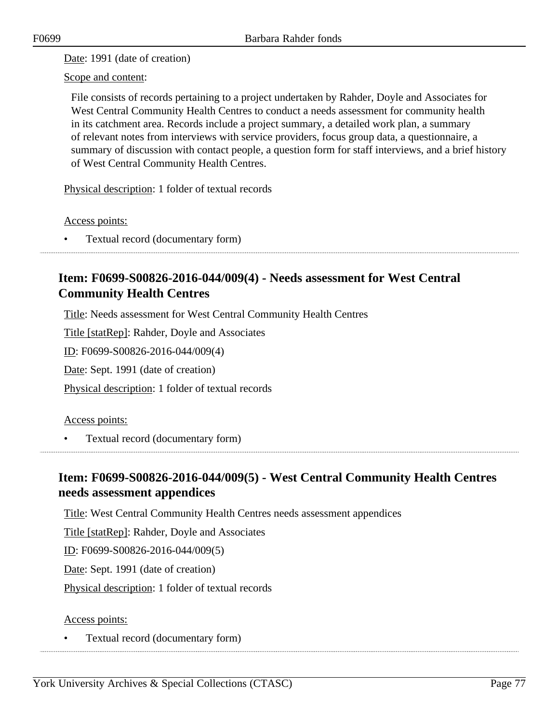Date: 1991 (date of creation)

Scope and content:

File consists of records pertaining to a project undertaken by Rahder, Doyle and Associates for West Central Community Health Centres to conduct a needs assessment for community health in its catchment area. Records include a project summary, a detailed work plan, a summary of relevant notes from interviews with service providers, focus group data, a questionnaire, a summary of discussion with contact people, a question form for staff interviews, and a brief history of West Central Community Health Centres.

Physical description: 1 folder of textual records

Access points:

• Textual record (documentary form)

# **Item: F0699-S00826-2016-044/009(4) - Needs assessment for West Central Community Health Centres**

Title: Needs assessment for West Central Community Health Centres

Title [statRep]: Rahder, Doyle and Associates

ID: F0699-S00826-2016-044/009(4)

Date: Sept. 1991 (date of creation)

Physical description: 1 folder of textual records

### Access points:

• Textual record (documentary form)

## **Item: F0699-S00826-2016-044/009(5) - West Central Community Health Centres needs assessment appendices**

Title: West Central Community Health Centres needs assessment appendices

Title [statRep]: Rahder, Doyle and Associates

ID: F0699-S00826-2016-044/009(5)

Date: Sept. 1991 (date of creation)

Physical description: 1 folder of textual records

### Access points: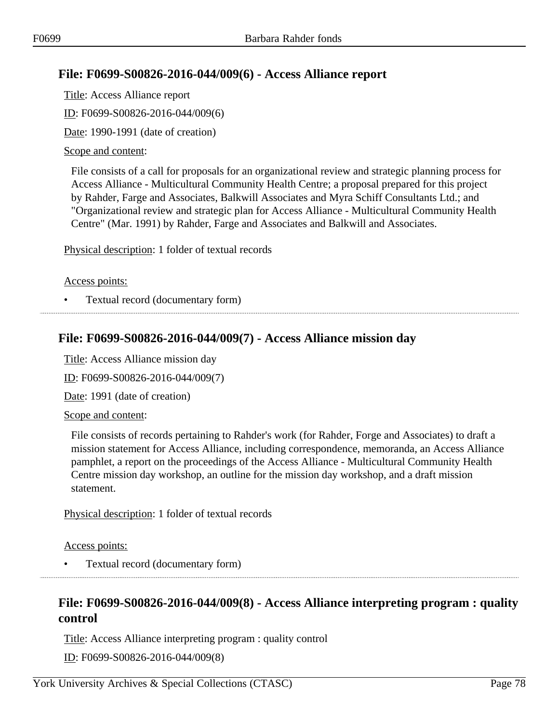# **File: F0699-S00826-2016-044/009(6) - Access Alliance report**

Title: Access Alliance report ID: F0699-S00826-2016-044/009(6) Date: 1990-1991 (date of creation)

### Scope and content:

File consists of a call for proposals for an organizational review and strategic planning process for Access Alliance - Multicultural Community Health Centre; a proposal prepared for this project by Rahder, Farge and Associates, Balkwill Associates and Myra Schiff Consultants Ltd.; and "Organizational review and strategic plan for Access Alliance - Multicultural Community Health Centre" (Mar. 1991) by Rahder, Farge and Associates and Balkwill and Associates.

Physical description: 1 folder of textual records

### Access points:

• Textual record (documentary form)

## **File: F0699-S00826-2016-044/009(7) - Access Alliance mission day**

Title: Access Alliance mission day

ID: F0699-S00826-2016-044/009(7)

Date: 1991 (date of creation)

### Scope and content:

File consists of records pertaining to Rahder's work (for Rahder, Forge and Associates) to draft a mission statement for Access Alliance, including correspondence, memoranda, an Access Alliance pamphlet, a report on the proceedings of the Access Alliance - Multicultural Community Health Centre mission day workshop, an outline for the mission day workshop, and a draft mission statement.

Physical description: 1 folder of textual records

Access points:

• Textual record (documentary form)

## **File: F0699-S00826-2016-044/009(8) - Access Alliance interpreting program : quality control**

Title: Access Alliance interpreting program : quality control

ID: F0699-S00826-2016-044/009(8)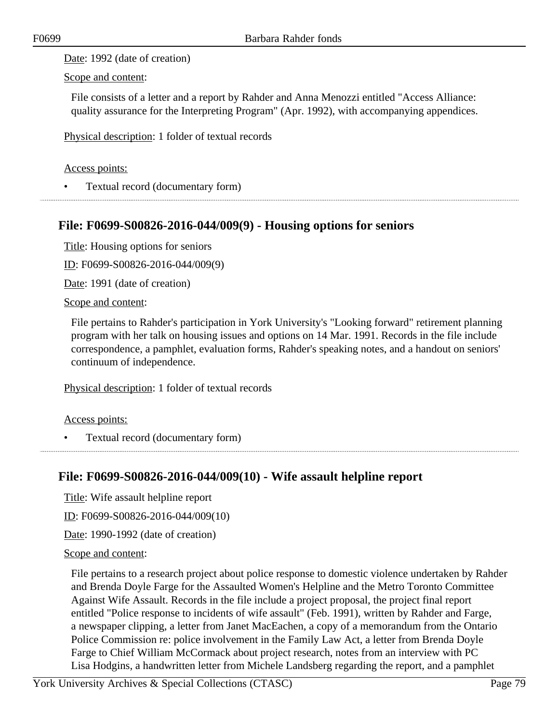Date: 1992 (date of creation)

Scope and content:

File consists of a letter and a report by Rahder and Anna Menozzi entitled "Access Alliance: quality assurance for the Interpreting Program" (Apr. 1992), with accompanying appendices.

Physical description: 1 folder of textual records

### Access points:

• Textual record (documentary form)

## **File: F0699-S00826-2016-044/009(9) - Housing options for seniors**

Title: Housing options for seniors

ID: F0699-S00826-2016-044/009(9)

Date: 1991 (date of creation)

Scope and content:

File pertains to Rahder's participation in York University's "Looking forward" retirement planning program with her talk on housing issues and options on 14 Mar. 1991. Records in the file include correspondence, a pamphlet, evaluation forms, Rahder's speaking notes, and a handout on seniors' continuum of independence.

Physical description: 1 folder of textual records

Access points:

• Textual record (documentary form) 

### **File: F0699-S00826-2016-044/009(10) - Wife assault helpline report**

Title: Wife assault helpline report

ID: F0699-S00826-2016-044/009(10)

Date: 1990-1992 (date of creation)

### Scope and content:

File pertains to a research project about police response to domestic violence undertaken by Rahder and Brenda Doyle Farge for the Assaulted Women's Helpline and the Metro Toronto Committee Against Wife Assault. Records in the file include a project proposal, the project final report entitled "Police response to incidents of wife assault" (Feb. 1991), written by Rahder and Farge, a newspaper clipping, a letter from Janet MacEachen, a copy of a memorandum from the Ontario Police Commission re: police involvement in the Family Law Act, a letter from Brenda Doyle Farge to Chief William McCormack about project research, notes from an interview with PC Lisa Hodgins, a handwritten letter from Michele Landsberg regarding the report, and a pamphlet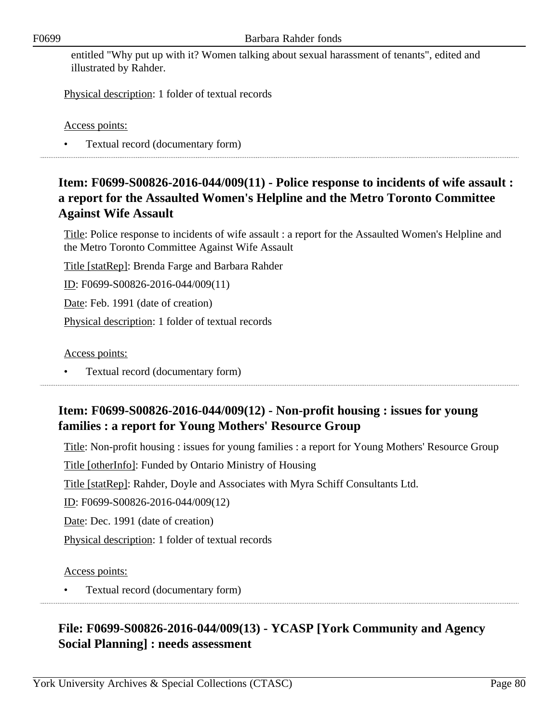entitled "Why put up with it? Women talking about sexual harassment of tenants", edited and illustrated by Rahder.

Physical description: 1 folder of textual records

Access points:

• Textual record (documentary form)

# **Item: F0699-S00826-2016-044/009(11) - Police response to incidents of wife assault : a report for the Assaulted Women's Helpline and the Metro Toronto Committee Against Wife Assault**

Title: Police response to incidents of wife assault : a report for the Assaulted Women's Helpline and the Metro Toronto Committee Against Wife Assault

Title [statRep]: Brenda Farge and Barbara Rahder

ID: F0699-S00826-2016-044/009(11)

Date: Feb. 1991 (date of creation)

Physical description: 1 folder of textual records

Access points:

• Textual record (documentary form)

## **Item: F0699-S00826-2016-044/009(12) - Non-profit housing : issues for young families : a report for Young Mothers' Resource Group**

Title: Non-profit housing : issues for young families : a report for Young Mothers' Resource Group

Title [otherInfo]: Funded by Ontario Ministry of Housing

Title [statRep]: Rahder, Doyle and Associates with Myra Schiff Consultants Ltd.

ID: F0699-S00826-2016-044/009(12)

Date: Dec. 1991 (date of creation)

Physical description: 1 folder of textual records

### Access points:

• Textual record (documentary form)

# **File: F0699-S00826-2016-044/009(13) - YCASP [York Community and Agency Social Planning] : needs assessment**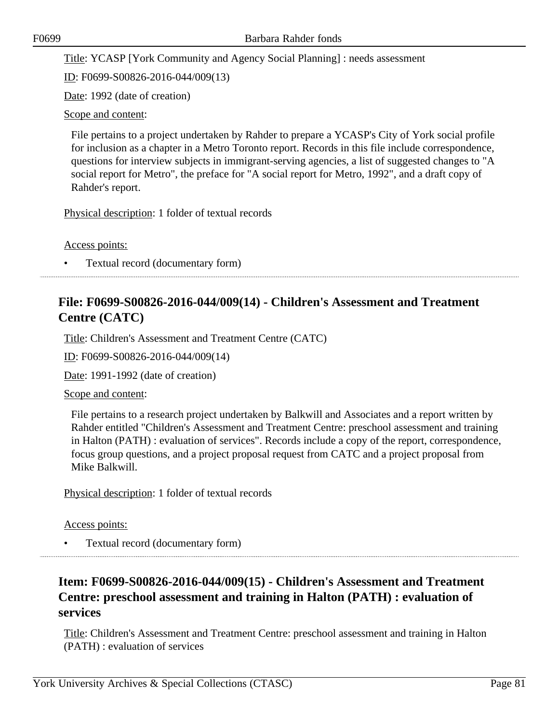Title: YCASP [York Community and Agency Social Planning] : needs assessment

ID: F0699-S00826-2016-044/009(13)

Date: 1992 (date of creation)

Scope and content:

File pertains to a project undertaken by Rahder to prepare a YCASP's City of York social profile for inclusion as a chapter in a Metro Toronto report. Records in this file include correspondence, questions for interview subjects in immigrant-serving agencies, a list of suggested changes to "A social report for Metro", the preface for "A social report for Metro, 1992", and a draft copy of Rahder's report.

Physical description: 1 folder of textual records

Access points:

• Textual record (documentary form)

# **File: F0699-S00826-2016-044/009(14) - Children's Assessment and Treatment Centre (CATC)**

Title: Children's Assessment and Treatment Centre (CATC)

ID: F0699-S00826-2016-044/009(14)

Date: 1991-1992 (date of creation)

Scope and content:

File pertains to a research project undertaken by Balkwill and Associates and a report written by Rahder entitled "Children's Assessment and Treatment Centre: preschool assessment and training in Halton (PATH) : evaluation of services". Records include a copy of the report, correspondence, focus group questions, and a project proposal request from CATC and a project proposal from Mike Balkwill.

Physical description: 1 folder of textual records

Access points:

• Textual record (documentary form)

# **Item: F0699-S00826-2016-044/009(15) - Children's Assessment and Treatment Centre: preschool assessment and training in Halton (PATH) : evaluation of services**

Title: Children's Assessment and Treatment Centre: preschool assessment and training in Halton (PATH) : evaluation of services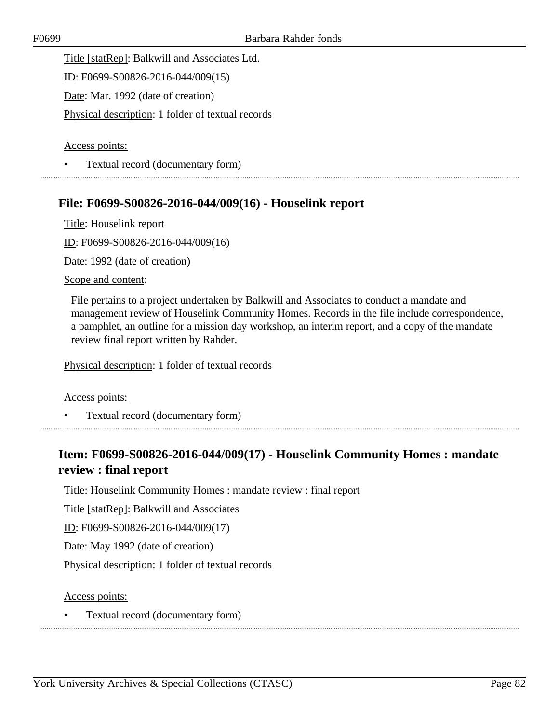Title [statRep]: Balkwill and Associates Ltd.

ID: F0699-S00826-2016-044/009(15)

Date: Mar. 1992 (date of creation)

Physical description: 1 folder of textual records

Access points:

• Textual record (documentary form)

### **File: F0699-S00826-2016-044/009(16) - Houselink report**

Title: Houselink report

ID: F0699-S00826-2016-044/009(16)

Date: 1992 (date of creation)

#### Scope and content:

File pertains to a project undertaken by Balkwill and Associates to conduct a mandate and management review of Houselink Community Homes. Records in the file include correspondence, a pamphlet, an outline for a mission day workshop, an interim report, and a copy of the mandate review final report written by Rahder.

Physical description: 1 folder of textual records

#### Access points:

• Textual record (documentary form)

## **Item: F0699-S00826-2016-044/009(17) - Houselink Community Homes : mandate review : final report**

Title: Houselink Community Homes : mandate review : final report

Title [statRep]: Balkwill and Associates

ID: F0699-S00826-2016-044/009(17)

Date: May 1992 (date of creation)

Physical description: 1 folder of textual records

#### Access points:

• Textual record (documentary form)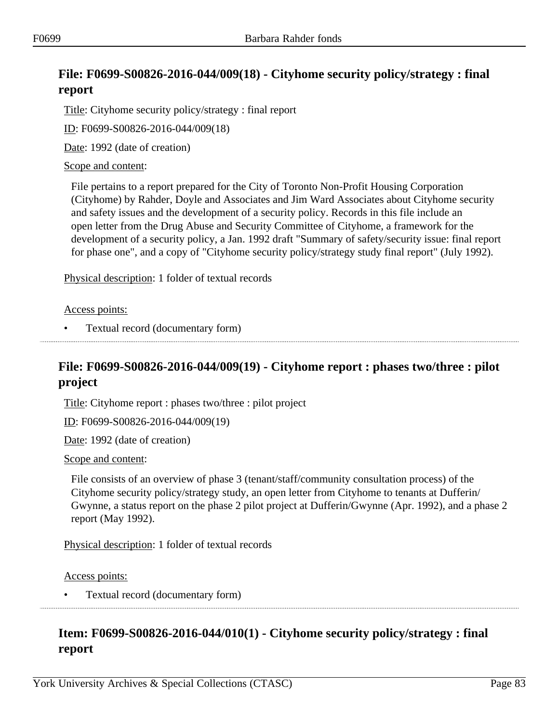# **File: F0699-S00826-2016-044/009(18) - Cityhome security policy/strategy : final report**

Title: Cityhome security policy/strategy : final report

ID: F0699-S00826-2016-044/009(18)

Date: 1992 (date of creation)

### Scope and content:

File pertains to a report prepared for the City of Toronto Non-Profit Housing Corporation (Cityhome) by Rahder, Doyle and Associates and Jim Ward Associates about Cityhome security and safety issues and the development of a security policy. Records in this file include an open letter from the Drug Abuse and Security Committee of Cityhome, a framework for the development of a security policy, a Jan. 1992 draft "Summary of safety/security issue: final report for phase one", and a copy of "Cityhome security policy/strategy study final report" (July 1992).

Physical description: 1 folder of textual records

Access points:

• Textual record (documentary form)

## **File: F0699-S00826-2016-044/009(19) - Cityhome report : phases two/three : pilot project**

Title: Cityhome report : phases two/three : pilot project

ID: F0699-S00826-2016-044/009(19)

Date: 1992 (date of creation)

#### Scope and content:

File consists of an overview of phase 3 (tenant/staff/community consultation process) of the Cityhome security policy/strategy study, an open letter from Cityhome to tenants at Dufferin/ Gwynne, a status report on the phase 2 pilot project at Dufferin/Gwynne (Apr. 1992), and a phase 2 report (May 1992).

Physical description: 1 folder of textual records

Access points:

• Textual record (documentary form)

# **Item: F0699-S00826-2016-044/010(1) - Cityhome security policy/strategy : final report**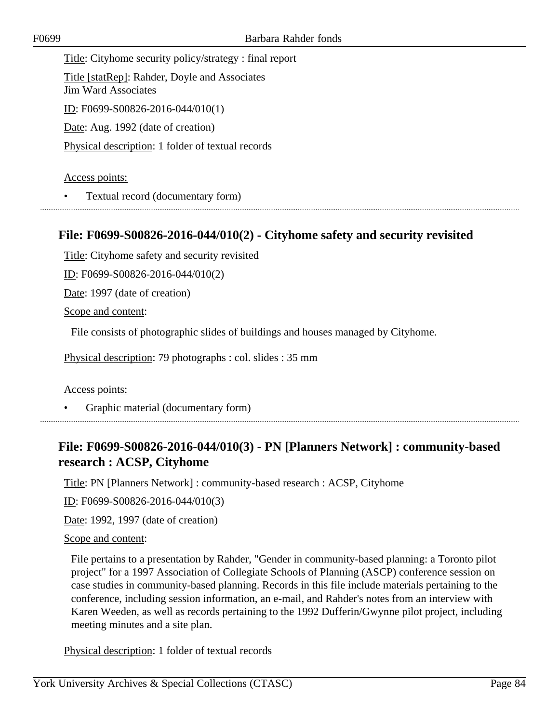Title: Cityhome security policy/strategy : final report Title [statRep]: Rahder, Doyle and Associates Jim Ward Associates ID: F0699-S00826-2016-044/010(1) Date: Aug. 1992 (date of creation) Physical description: 1 folder of textual records

### Access points:

• Textual record (documentary form)

### **File: F0699-S00826-2016-044/010(2) - Cityhome safety and security revisited**

Title: Cityhome safety and security revisited

ID: F0699-S00826-2016-044/010(2)

Date: 1997 (date of creation)

Scope and content:

File consists of photographic slides of buildings and houses managed by Cityhome.

Physical description: 79 photographs : col. slides : 35 mm

Access points:

• Graphic material (documentary form)

## **File: F0699-S00826-2016-044/010(3) - PN [Planners Network] : community-based research : ACSP, Cityhome**

Title: PN [Planners Network] : community-based research : ACSP, Cityhome

ID: F0699-S00826-2016-044/010(3)

Date: 1992, 1997 (date of creation)

#### Scope and content:

File pertains to a presentation by Rahder, "Gender in community-based planning: a Toronto pilot project" for a 1997 Association of Collegiate Schools of Planning (ASCP) conference session on case studies in community-based planning. Records in this file include materials pertaining to the conference, including session information, an e-mail, and Rahder's notes from an interview with Karen Weeden, as well as records pertaining to the 1992 Dufferin/Gwynne pilot project, including meeting minutes and a site plan.

Physical description: 1 folder of textual records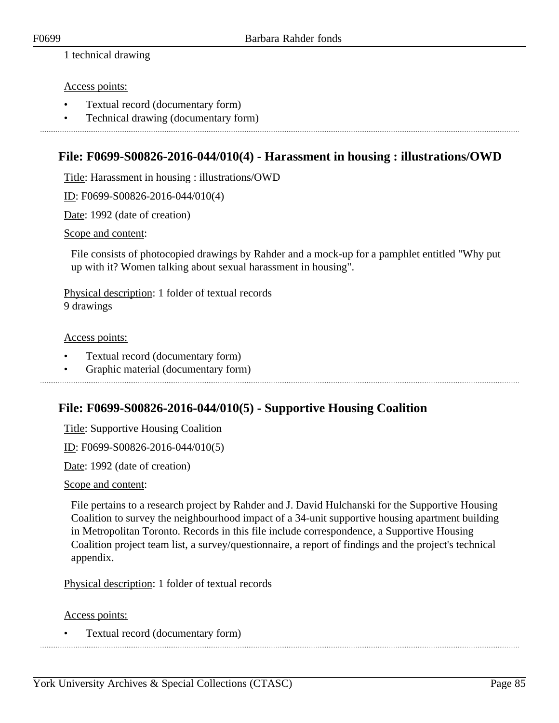1 technical drawing

### Access points:

- Textual record (documentary form)
- Technical drawing (documentary form)

### **File: F0699-S00826-2016-044/010(4) - Harassment in housing : illustrations/OWD**

Title: Harassment in housing : illustrations/OWD

ID: F0699-S00826-2016-044/010(4)

Date: 1992 (date of creation)

#### Scope and content:

File consists of photocopied drawings by Rahder and a mock-up for a pamphlet entitled "Why put up with it? Women talking about sexual harassment in housing".

Physical description: 1 folder of textual records 9 drawings

Access points:

- Textual record (documentary form)
- Graphic material (documentary form)

### **File: F0699-S00826-2016-044/010(5) - Supportive Housing Coalition**

Title: Supportive Housing Coalition

ID: F0699-S00826-2016-044/010(5)

Date: 1992 (date of creation)

Scope and content:

File pertains to a research project by Rahder and J. David Hulchanski for the Supportive Housing Coalition to survey the neighbourhood impact of a 34-unit supportive housing apartment building in Metropolitan Toronto. Records in this file include correspondence, a Supportive Housing Coalition project team list, a survey/questionnaire, a report of findings and the project's technical appendix.

Physical description: 1 folder of textual records

Access points: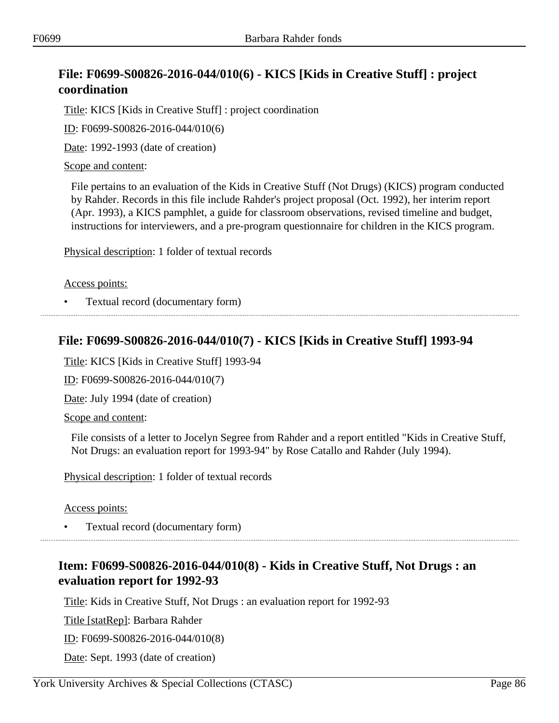# **File: F0699-S00826-2016-044/010(6) - KICS [Kids in Creative Stuff] : project coordination**

Title: KICS [Kids in Creative Stuff] : project coordination

ID: F0699-S00826-2016-044/010(6)

Date: 1992-1993 (date of creation)

Scope and content:

File pertains to an evaluation of the Kids in Creative Stuff (Not Drugs) (KICS) program conducted by Rahder. Records in this file include Rahder's project proposal (Oct. 1992), her interim report (Apr. 1993), a KICS pamphlet, a guide for classroom observations, revised timeline and budget, instructions for interviewers, and a pre-program questionnaire for children in the KICS program.

Physical description: 1 folder of textual records

Access points:

• Textual record (documentary form)

### **File: F0699-S00826-2016-044/010(7) - KICS [Kids in Creative Stuff] 1993-94**

Title: KICS [Kids in Creative Stuff] 1993-94

ID: F0699-S00826-2016-044/010(7)

Date: July 1994 (date of creation)

Scope and content:

File consists of a letter to Jocelyn Segree from Rahder and a report entitled "Kids in Creative Stuff, Not Drugs: an evaluation report for 1993-94" by Rose Catallo and Rahder (July 1994).

Physical description: 1 folder of textual records

Access points:

• Textual record (documentary form)

## **Item: F0699-S00826-2016-044/010(8) - Kids in Creative Stuff, Not Drugs : an evaluation report for 1992-93**

Title: Kids in Creative Stuff, Not Drugs : an evaluation report for 1992-93

Title [statRep]: Barbara Rahder

ID: F0699-S00826-2016-044/010(8)

Date: Sept. 1993 (date of creation)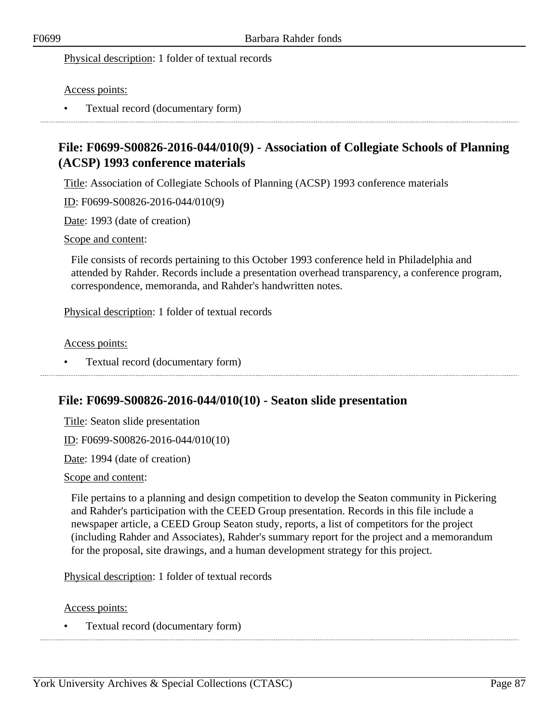### Physical description: 1 folder of textual records

### Access points:

• Textual record (documentary form)

## **File: F0699-S00826-2016-044/010(9) - Association of Collegiate Schools of Planning (ACSP) 1993 conference materials**

Title: Association of Collegiate Schools of Planning (ACSP) 1993 conference materials

ID: F0699-S00826-2016-044/010(9)

Date: 1993 (date of creation)

#### Scope and content:

File consists of records pertaining to this October 1993 conference held in Philadelphia and attended by Rahder. Records include a presentation overhead transparency, a conference program, correspondence, memoranda, and Rahder's handwritten notes.

Physical description: 1 folder of textual records

#### Access points:

• Textual record (documentary form) 

### **File: F0699-S00826-2016-044/010(10) - Seaton slide presentation**

Title: Seaton slide presentation

ID: F0699-S00826-2016-044/010(10)

Date: 1994 (date of creation)

#### Scope and content:

File pertains to a planning and design competition to develop the Seaton community in Pickering and Rahder's participation with the CEED Group presentation. Records in this file include a newspaper article, a CEED Group Seaton study, reports, a list of competitors for the project (including Rahder and Associates), Rahder's summary report for the project and a memorandum for the proposal, site drawings, and a human development strategy for this project.

Physical description: 1 folder of textual records

Access points: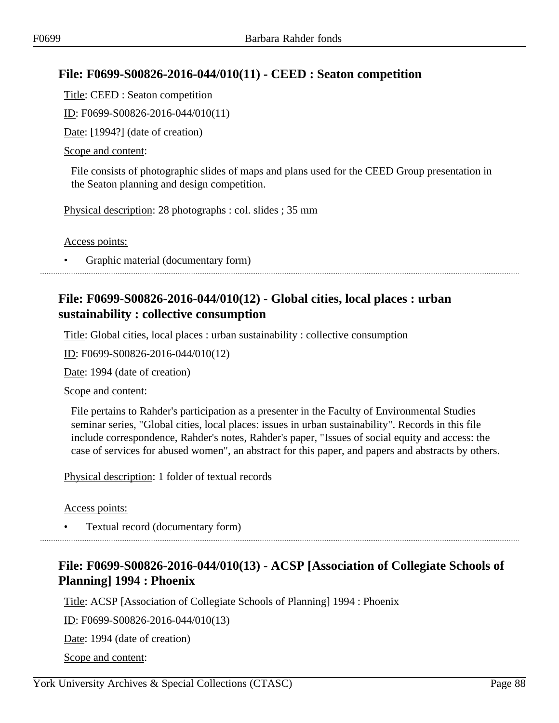## **File: F0699-S00826-2016-044/010(11) - CEED : Seaton competition**

Title: CEED : Seaton competition

ID: F0699-S00826-2016-044/010(11)

Date: [1994?] (date of creation)

### Scope and content:

File consists of photographic slides of maps and plans used for the CEED Group presentation in the Seaton planning and design competition.

Physical description: 28 photographs : col. slides ; 35 mm

Access points:

• Graphic material (documentary form)

## **File: F0699-S00826-2016-044/010(12) - Global cities, local places : urban sustainability : collective consumption**

Title: Global cities, local places : urban sustainability : collective consumption

ID: F0699-S00826-2016-044/010(12)

Date: 1994 (date of creation)

Scope and content:

File pertains to Rahder's participation as a presenter in the Faculty of Environmental Studies seminar series, "Global cities, local places: issues in urban sustainability". Records in this file include correspondence, Rahder's notes, Rahder's paper, "Issues of social equity and access: the case of services for abused women", an abstract for this paper, and papers and abstracts by others.

Physical description: 1 folder of textual records

Access points:

• Textual record (documentary form)

# **File: F0699-S00826-2016-044/010(13) - ACSP [Association of Collegiate Schools of Planning] 1994 : Phoenix**

Title: ACSP [Association of Collegiate Schools of Planning] 1994 : Phoenix

ID: F0699-S00826-2016-044/010(13)

Date: 1994 (date of creation)

Scope and content: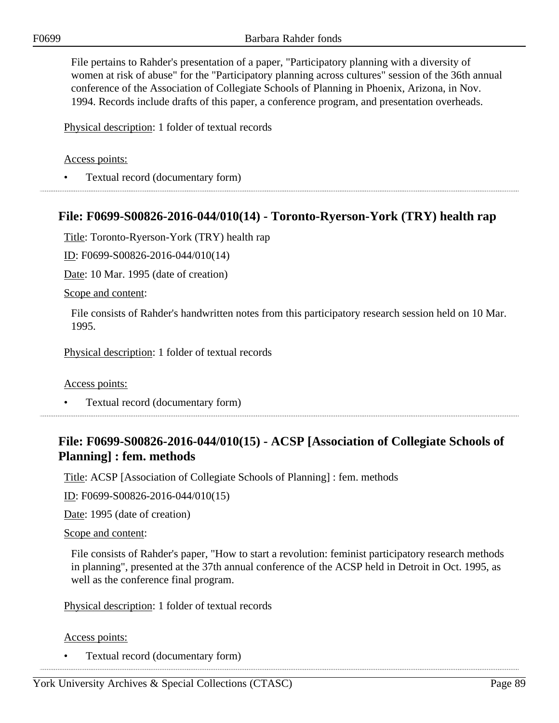File pertains to Rahder's presentation of a paper, "Participatory planning with a diversity of women at risk of abuse" for the "Participatory planning across cultures" session of the 36th annual conference of the Association of Collegiate Schools of Planning in Phoenix, Arizona, in Nov. 1994. Records include drafts of this paper, a conference program, and presentation overheads.

Physical description: 1 folder of textual records

### Access points:

• Textual record (documentary form)

### **File: F0699-S00826-2016-044/010(14) - Toronto-Ryerson-York (TRY) health rap**

Title: Toronto-Ryerson-York (TRY) health rap

ID: F0699-S00826-2016-044/010(14)

Date: 10 Mar. 1995 (date of creation)

#### Scope and content:

File consists of Rahder's handwritten notes from this participatory research session held on 10 Mar. 1995.

Physical description: 1 folder of textual records

Access points:

• Textual record (documentary form)

## **File: F0699-S00826-2016-044/010(15) - ACSP [Association of Collegiate Schools of Planning] : fem. methods**

Title: ACSP [Association of Collegiate Schools of Planning] : fem. methods

ID: F0699-S00826-2016-044/010(15)

Date: 1995 (date of creation)

#### Scope and content:

File consists of Rahder's paper, "How to start a revolution: feminist participatory research methods in planning", presented at the 37th annual conference of the ACSP held in Detroit in Oct. 1995, as well as the conference final program.

Physical description: 1 folder of textual records

Access points: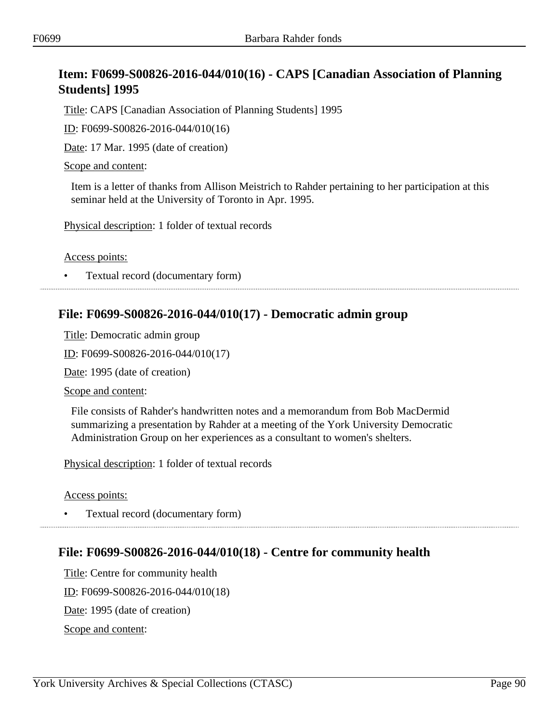# **Item: F0699-S00826-2016-044/010(16) - CAPS [Canadian Association of Planning Students] 1995**

Title: CAPS [Canadian Association of Planning Students] 1995

ID: F0699-S00826-2016-044/010(16)

Date: 17 Mar. 1995 (date of creation)

Scope and content:

Item is a letter of thanks from Allison Meistrich to Rahder pertaining to her participation at this seminar held at the University of Toronto in Apr. 1995.

Physical description: 1 folder of textual records

Access points:

• Textual record (documentary form)

### **File: F0699-S00826-2016-044/010(17) - Democratic admin group**

Title: Democratic admin group

ID: F0699-S00826-2016-044/010(17)

Date: 1995 (date of creation)

Scope and content:

File consists of Rahder's handwritten notes and a memorandum from Bob MacDermid summarizing a presentation by Rahder at a meeting of the York University Democratic Administration Group on her experiences as a consultant to women's shelters.

Physical description: 1 folder of textual records

Access points:

• Textual record (documentary form)

### **File: F0699-S00826-2016-044/010(18) - Centre for community health**

Title: Centre for community health ID: F0699-S00826-2016-044/010(18) Date: 1995 (date of creation) Scope and content: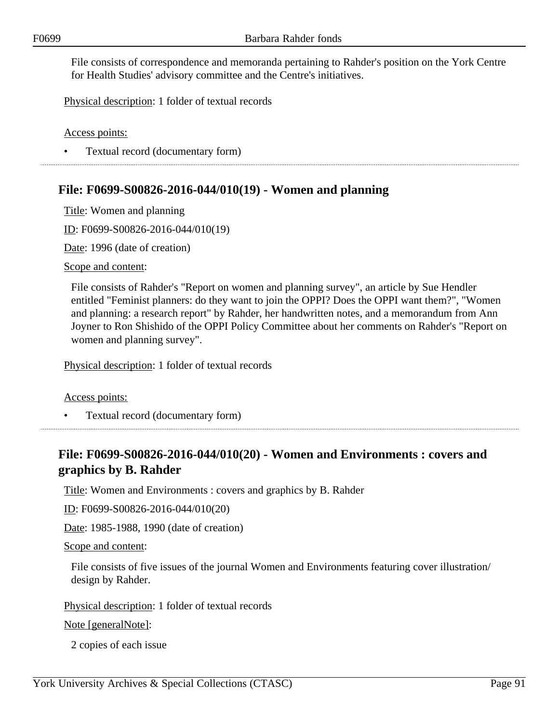File consists of correspondence and memoranda pertaining to Rahder's position on the York Centre for Health Studies' advisory committee and the Centre's initiatives.

Physical description: 1 folder of textual records

Access points:

• Textual record (documentary form)

## **File: F0699-S00826-2016-044/010(19) - Women and planning**

Title: Women and planning

ID: F0699-S00826-2016-044/010(19)

Date: 1996 (date of creation)

Scope and content:

File consists of Rahder's "Report on women and planning survey", an article by Sue Hendler entitled "Feminist planners: do they want to join the OPPI? Does the OPPI want them?", "Women and planning: a research report" by Rahder, her handwritten notes, and a memorandum from Ann Joyner to Ron Shishido of the OPPI Policy Committee about her comments on Rahder's "Report on women and planning survey".

Physical description: 1 folder of textual records

Access points:

• Textual record (documentary form)

## **File: F0699-S00826-2016-044/010(20) - Women and Environments : covers and graphics by B. Rahder**

Title: Women and Environments : covers and graphics by B. Rahder

ID: F0699-S00826-2016-044/010(20)

Date: 1985-1988, 1990 (date of creation)

Scope and content:

File consists of five issues of the journal Women and Environments featuring cover illustration/ design by Rahder.

Physical description: 1 folder of textual records

Note [generalNote]:

2 copies of each issue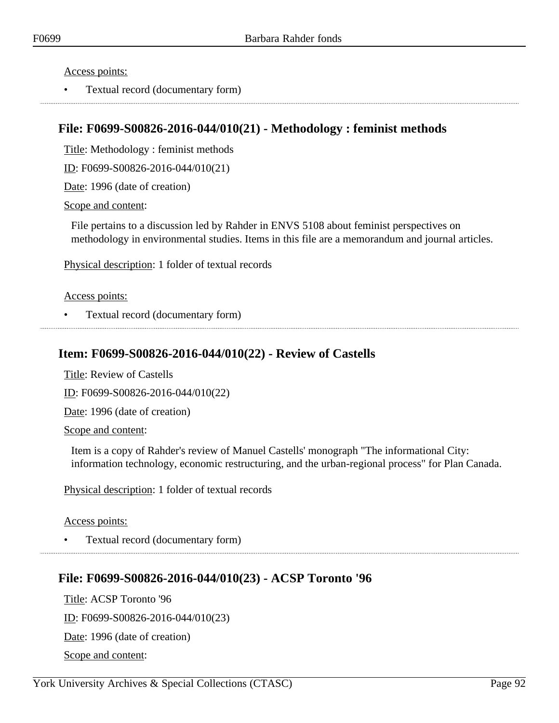Access points:

• Textual record (documentary form)

## **File: F0699-S00826-2016-044/010(21) - Methodology : feminist methods**

Title: Methodology : feminist methods

ID: F0699-S00826-2016-044/010(21)

Date: 1996 (date of creation)

Scope and content:

File pertains to a discussion led by Rahder in ENVS 5108 about feminist perspectives on methodology in environmental studies. Items in this file are a memorandum and journal articles.

Physical description: 1 folder of textual records

Access points:

• Textual record (documentary form)

### **Item: F0699-S00826-2016-044/010(22) - Review of Castells**

Title: Review of Castells

ID: F0699-S00826-2016-044/010(22)

Date: 1996 (date of creation)

Scope and content:

Item is a copy of Rahder's review of Manuel Castells' monograph "The informational City: information technology, economic restructuring, and the urban-regional process" for Plan Canada.

Physical description: 1 folder of textual records

Access points:

• Textual record (documentary form)

### **File: F0699-S00826-2016-044/010(23) - ACSP Toronto '96**

Title: ACSP Toronto '96 ID: F0699-S00826-2016-044/010(23) Date: 1996 (date of creation) Scope and content: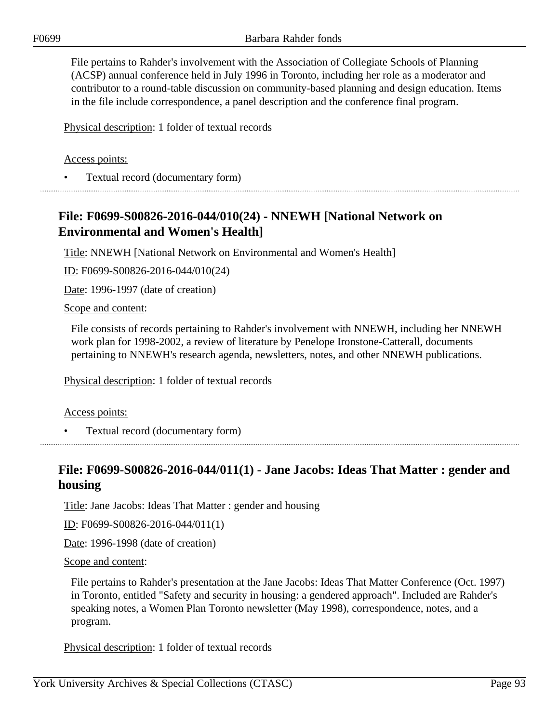File pertains to Rahder's involvement with the Association of Collegiate Schools of Planning (ACSP) annual conference held in July 1996 in Toronto, including her role as a moderator and contributor to a round-table discussion on community-based planning and design education. Items in the file include correspondence, a panel description and the conference final program.

Physical description: 1 folder of textual records

### Access points:

• Textual record (documentary form)

## **File: F0699-S00826-2016-044/010(24) - NNEWH [National Network on Environmental and Women's Health]**

Title: NNEWH [National Network on Environmental and Women's Health]

ID: F0699-S00826-2016-044/010(24)

Date: 1996-1997 (date of creation)

Scope and content:

File consists of records pertaining to Rahder's involvement with NNEWH, including her NNEWH work plan for 1998-2002, a review of literature by Penelope Ironstone-Catterall, documents pertaining to NNEWH's research agenda, newsletters, notes, and other NNEWH publications.

Physical description: 1 folder of textual records

#### Access points:

• Textual record (documentary form)

## **File: F0699-S00826-2016-044/011(1) - Jane Jacobs: Ideas That Matter : gender and housing**

Title: Jane Jacobs: Ideas That Matter : gender and housing

ID: F0699-S00826-2016-044/011(1)

Date: 1996-1998 (date of creation)

Scope and content:

File pertains to Rahder's presentation at the Jane Jacobs: Ideas That Matter Conference (Oct. 1997) in Toronto, entitled "Safety and security in housing: a gendered approach". Included are Rahder's speaking notes, a Women Plan Toronto newsletter (May 1998), correspondence, notes, and a program.

Physical description: 1 folder of textual records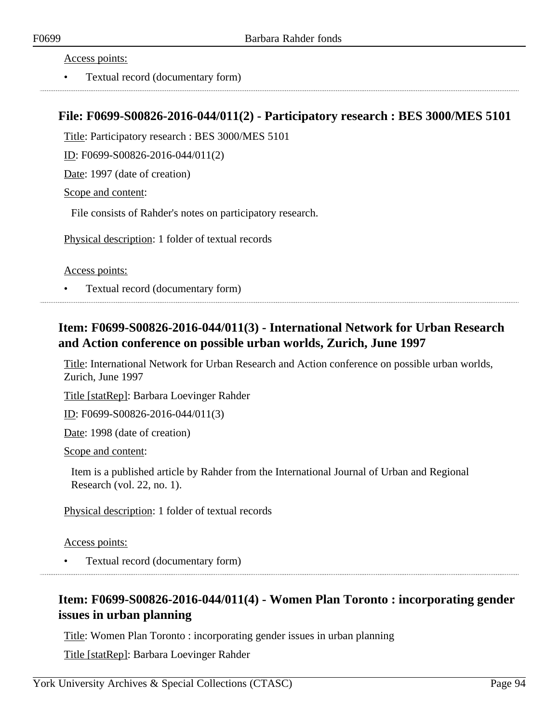#### Access points:

• Textual record (documentary form)

### **File: F0699-S00826-2016-044/011(2) - Participatory research : BES 3000/MES 5101**

Title: Participatory research : BES 3000/MES 5101

ID: F0699-S00826-2016-044/011(2)

Date: 1997 (date of creation)

Scope and content:

File consists of Rahder's notes on participatory research.

Physical description: 1 folder of textual records

Access points:

• Textual record (documentary form)

## **Item: F0699-S00826-2016-044/011(3) - International Network for Urban Research and Action conference on possible urban worlds, Zurich, June 1997**

Title: International Network for Urban Research and Action conference on possible urban worlds, Zurich, June 1997

Title [statRep]: Barbara Loevinger Rahder

ID: F0699-S00826-2016-044/011(3)

Date: 1998 (date of creation)

Scope and content:

Item is a published article by Rahder from the International Journal of Urban and Regional Research (vol. 22, no. 1).

Physical description: 1 folder of textual records

Access points:

• Textual record (documentary form)

## **Item: F0699-S00826-2016-044/011(4) - Women Plan Toronto : incorporating gender issues in urban planning**

Title: Women Plan Toronto : incorporating gender issues in urban planning

Title [statRep]: Barbara Loevinger Rahder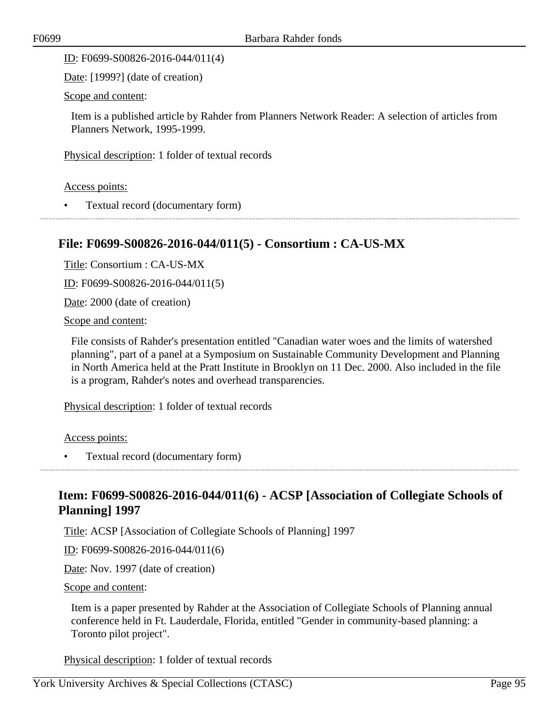ID: F0699-S00826-2016-044/011(4)

Date: [1999?] (date of creation)

Scope and content:

Item is a published article by Rahder from Planners Network Reader: A selection of articles from Planners Network, 1995-1999.

Physical description: 1 folder of textual records

Access points:

• Textual record (documentary form)

### **File: F0699-S00826-2016-044/011(5) - Consortium : CA-US-MX**

Title: Consortium : CA-US-MX

ID: F0699-S00826-2016-044/011(5)

Date: 2000 (date of creation)

Scope and content:

File consists of Rahder's presentation entitled "Canadian water woes and the limits of watershed planning", part of a panel at a Symposium on Sustainable Community Development and Planning in North America held at the Pratt Institute in Brooklyn on 11 Dec. 2000. Also included in the file is a program, Rahder's notes and overhead transparencies.

Physical description: 1 folder of textual records

Access points:

• Textual record (documentary form)

## **Item: F0699-S00826-2016-044/011(6) - ACSP [Association of Collegiate Schools of Planning] 1997**

Title: ACSP [Association of Collegiate Schools of Planning] 1997

ID: F0699-S00826-2016-044/011(6)

Date: Nov. 1997 (date of creation)

Scope and content:

Item is a paper presented by Rahder at the Association of Collegiate Schools of Planning annual conference held in Ft. Lauderdale, Florida, entitled "Gender in community-based planning: a Toronto pilot project".

Physical description: 1 folder of textual records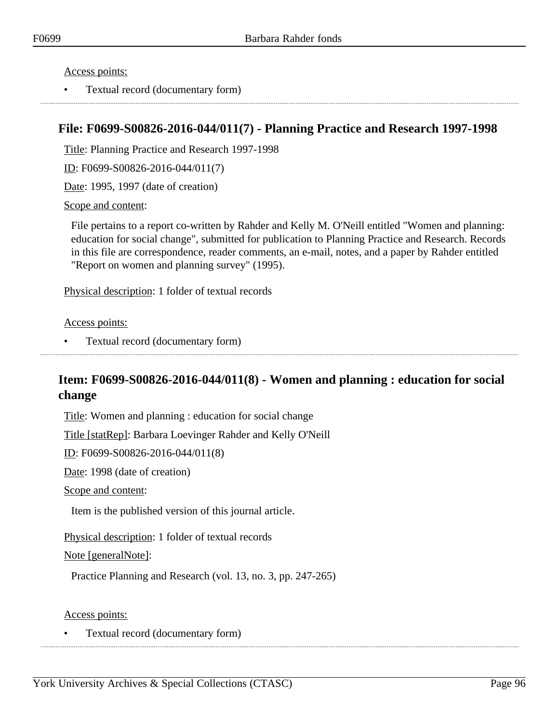Access points:

• Textual record (documentary form)

## **File: F0699-S00826-2016-044/011(7) - Planning Practice and Research 1997-1998**

Title: Planning Practice and Research 1997-1998

ID: F0699-S00826-2016-044/011(7)

Date: 1995, 1997 (date of creation)

Scope and content:

File pertains to a report co-written by Rahder and Kelly M. O'Neill entitled "Women and planning: education for social change", submitted for publication to Planning Practice and Research. Records in this file are correspondence, reader comments, an e-mail, notes, and a paper by Rahder entitled "Report on women and planning survey" (1995).

Physical description: 1 folder of textual records

Access points:

• Textual record (documentary form)

## **Item: F0699-S00826-2016-044/011(8) - Women and planning : education for social change**

Title: Women and planning : education for social change

Title [statRep]: Barbara Loevinger Rahder and Kelly O'Neill

ID: F0699-S00826-2016-044/011(8)

Date: 1998 (date of creation)

Scope and content:

Item is the published version of this journal article.

Physical description: 1 folder of textual records

Note [generalNote]:

Practice Planning and Research (vol. 13, no. 3, pp. 247-265)

Access points: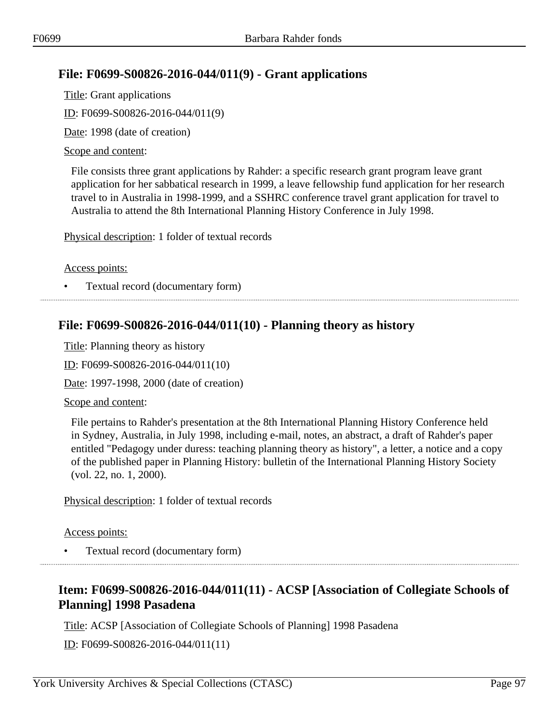## **File: F0699-S00826-2016-044/011(9) - Grant applications**

Title: Grant applications ID: F0699-S00826-2016-044/011(9) Date: 1998 (date of creation)

### Scope and content:

File consists three grant applications by Rahder: a specific research grant program leave grant application for her sabbatical research in 1999, a leave fellowship fund application for her research travel to in Australia in 1998-1999, and a SSHRC conference travel grant application for travel to Australia to attend the 8th International Planning History Conference in July 1998.

Physical description: 1 folder of textual records

Access points:

• Textual record (documentary form)

### **File: F0699-S00826-2016-044/011(10) - Planning theory as history**

Title: Planning theory as history

ID: F0699-S00826-2016-044/011(10)

Date: 1997-1998, 2000 (date of creation)

Scope and content:

File pertains to Rahder's presentation at the 8th International Planning History Conference held in Sydney, Australia, in July 1998, including e-mail, notes, an abstract, a draft of Rahder's paper entitled "Pedagogy under duress: teaching planning theory as history", a letter, a notice and a copy of the published paper in Planning History: bulletin of the International Planning History Society (vol. 22, no. 1, 2000).

Physical description: 1 folder of textual records

Access points:

• Textual record (documentary form)

# **Item: F0699-S00826-2016-044/011(11) - ACSP [Association of Collegiate Schools of Planning] 1998 Pasadena**

Title: ACSP [Association of Collegiate Schools of Planning] 1998 Pasadena

ID: F0699-S00826-2016-044/011(11)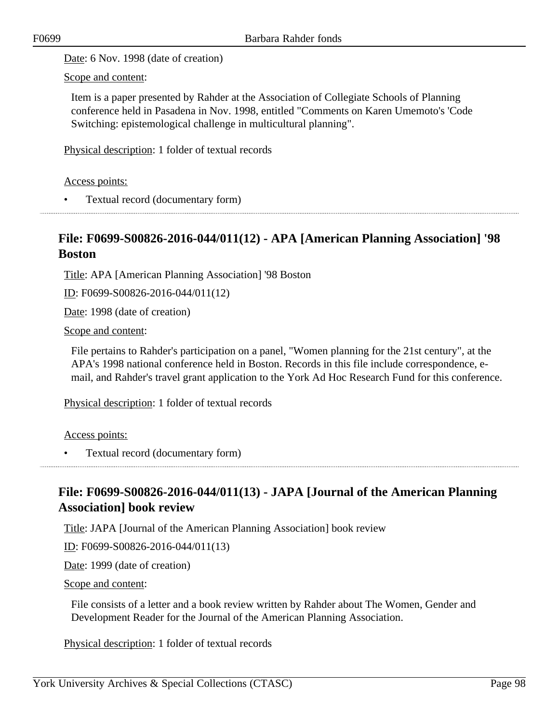Date: 6 Nov. 1998 (date of creation)

Scope and content:

Item is a paper presented by Rahder at the Association of Collegiate Schools of Planning conference held in Pasadena in Nov. 1998, entitled "Comments on Karen Umemoto's 'Code Switching: epistemological challenge in multicultural planning".

Physical description: 1 folder of textual records

Access points:

• Textual record (documentary form)

### **File: F0699-S00826-2016-044/011(12) - APA [American Planning Association] '98 Boston**

Title: APA [American Planning Association] '98 Boston

ID: F0699-S00826-2016-044/011(12)

Date: 1998 (date of creation)

Scope and content:

File pertains to Rahder's participation on a panel, "Women planning for the 21st century", at the APA's 1998 national conference held in Boston. Records in this file include correspondence, email, and Rahder's travel grant application to the York Ad Hoc Research Fund for this conference.

Physical description: 1 folder of textual records

Access points:

• Textual record (documentary form)

## **File: F0699-S00826-2016-044/011(13) - JAPA [Journal of the American Planning Association] book review**

Title: JAPA [Journal of the American Planning Association] book review

ID: F0699-S00826-2016-044/011(13)

Date: 1999 (date of creation)

Scope and content:

File consists of a letter and a book review written by Rahder about The Women, Gender and Development Reader for the Journal of the American Planning Association.

Physical description: 1 folder of textual records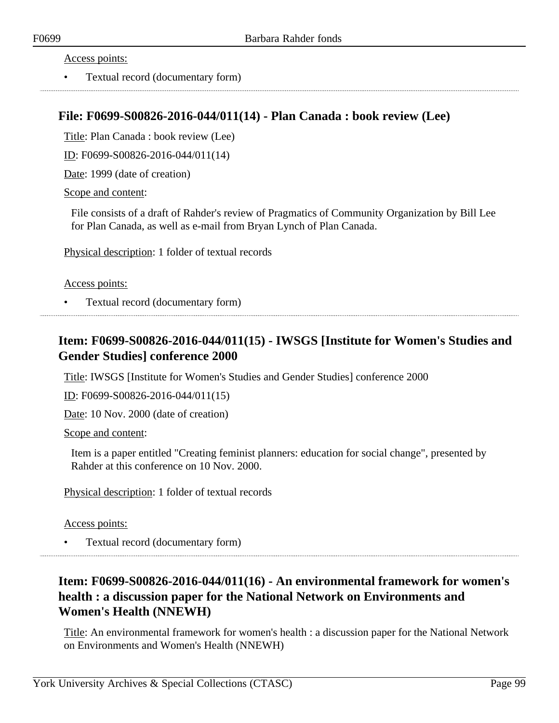### Access points:

• Textual record (documentary form)

### **File: F0699-S00826-2016-044/011(14) - Plan Canada : book review (Lee)**

Title: Plan Canada : book review (Lee)

ID: F0699-S00826-2016-044/011(14)

Date: 1999 (date of creation)

Scope and content:

File consists of a draft of Rahder's review of Pragmatics of Community Organization by Bill Lee for Plan Canada, as well as e-mail from Bryan Lynch of Plan Canada.

Physical description: 1 folder of textual records

#### Access points:

• Textual record (documentary form)

## **Item: F0699-S00826-2016-044/011(15) - IWSGS [Institute for Women's Studies and Gender Studies] conference 2000**

Title: IWSGS [Institute for Women's Studies and Gender Studies] conference 2000

ID: F0699-S00826-2016-044/011(15)

Date: 10 Nov. 2000 (date of creation)

Scope and content:

Item is a paper entitled "Creating feminist planners: education for social change", presented by Rahder at this conference on 10 Nov. 2000.

Physical description: 1 folder of textual records

#### Access points:

• Textual record (documentary form)

## **Item: F0699-S00826-2016-044/011(16) - An environmental framework for women's health : a discussion paper for the National Network on Environments and Women's Health (NNEWH)**

Title: An environmental framework for women's health : a discussion paper for the National Network on Environments and Women's Health (NNEWH)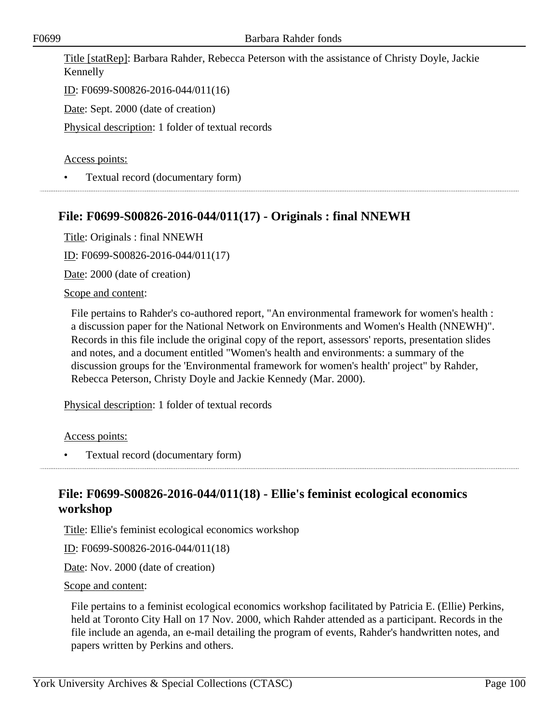Title [statRep]: Barbara Rahder, Rebecca Peterson with the assistance of Christy Doyle, Jackie Kennelly

ID: F0699-S00826-2016-044/011(16)

Date: Sept. 2000 (date of creation)

Physical description: 1 folder of textual records

### Access points:

• Textual record (documentary form)

### **File: F0699-S00826-2016-044/011(17) - Originals : final NNEWH**

Title: Originals : final NNEWH

ID: F0699-S00826-2016-044/011(17)

Date: 2000 (date of creation)

#### Scope and content:

File pertains to Rahder's co-authored report, "An environmental framework for women's health : a discussion paper for the National Network on Environments and Women's Health (NNEWH)". Records in this file include the original copy of the report, assessors' reports, presentation slides and notes, and a document entitled "Women's health and environments: a summary of the discussion groups for the 'Environmental framework for women's health' project" by Rahder, Rebecca Peterson, Christy Doyle and Jackie Kennedy (Mar. 2000).

Physical description: 1 folder of textual records

Access points:

• Textual record (documentary form)

## **File: F0699-S00826-2016-044/011(18) - Ellie's feminist ecological economics workshop**

Title: Ellie's feminist ecological economics workshop

ID: F0699-S00826-2016-044/011(18)

Date: Nov. 2000 (date of creation)

#### Scope and content:

File pertains to a feminist ecological economics workshop facilitated by Patricia E. (Ellie) Perkins, held at Toronto City Hall on 17 Nov. 2000, which Rahder attended as a participant. Records in the file include an agenda, an e-mail detailing the program of events, Rahder's handwritten notes, and papers written by Perkins and others.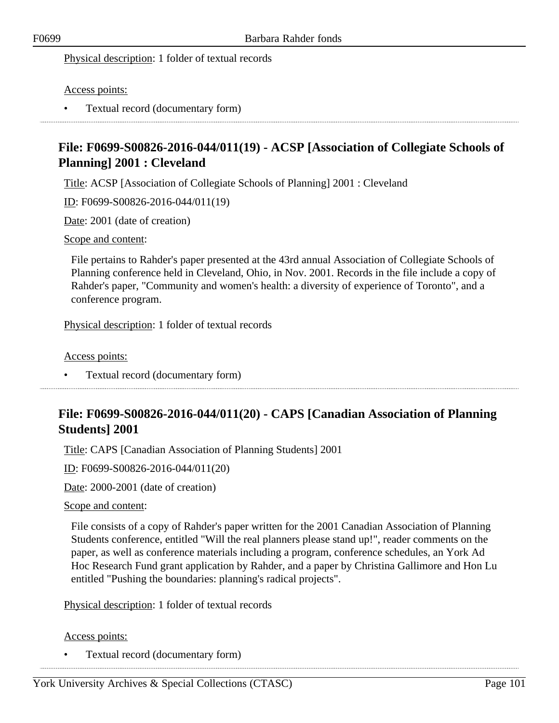### Physical description: 1 folder of textual records

### Access points:

• Textual record (documentary form)

# **File: F0699-S00826-2016-044/011(19) - ACSP [Association of Collegiate Schools of Planning] 2001 : Cleveland**

Title: ACSP [Association of Collegiate Schools of Planning] 2001 : Cleveland

ID: F0699-S00826-2016-044/011(19)

Date: 2001 (date of creation)

#### Scope and content:

File pertains to Rahder's paper presented at the 43rd annual Association of Collegiate Schools of Planning conference held in Cleveland, Ohio, in Nov. 2001. Records in the file include a copy of Rahder's paper, "Community and women's health: a diversity of experience of Toronto", and a conference program.

Physical description: 1 folder of textual records

Access points:

• Textual record (documentary form)

## **File: F0699-S00826-2016-044/011(20) - CAPS [Canadian Association of Planning Students] 2001**

Title: CAPS [Canadian Association of Planning Students] 2001

ID: F0699-S00826-2016-044/011(20)

Date: 2000-2001 (date of creation)

Scope and content:

File consists of a copy of Rahder's paper written for the 2001 Canadian Association of Planning Students conference, entitled "Will the real planners please stand up!", reader comments on the paper, as well as conference materials including a program, conference schedules, an York Ad Hoc Research Fund grant application by Rahder, and a paper by Christina Gallimore and Hon Lu entitled "Pushing the boundaries: planning's radical projects".

Physical description: 1 folder of textual records

#### Access points: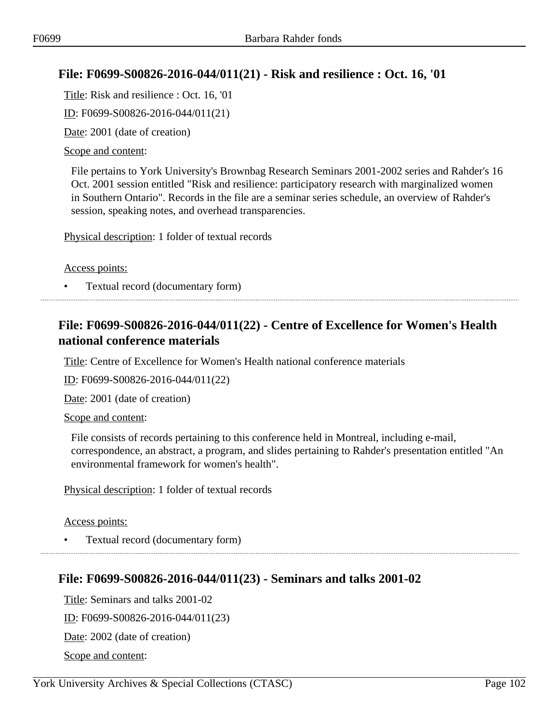## **File: F0699-S00826-2016-044/011(21) - Risk and resilience : Oct. 16, '01**

Title: Risk and resilience : Oct. 16, '01 ID: F0699-S00826-2016-044/011(21)

Date: 2001 (date of creation)

### Scope and content:

File pertains to York University's Brownbag Research Seminars 2001-2002 series and Rahder's 16 Oct. 2001 session entitled "Risk and resilience: participatory research with marginalized women in Southern Ontario". Records in the file are a seminar series schedule, an overview of Rahder's session, speaking notes, and overhead transparencies.

Physical description: 1 folder of textual records

Access points:

• Textual record (documentary form)

# **File: F0699-S00826-2016-044/011(22) - Centre of Excellence for Women's Health national conference materials**

Title: Centre of Excellence for Women's Health national conference materials

ID: F0699-S00826-2016-044/011(22)

Date: 2001 (date of creation)

Scope and content:

File consists of records pertaining to this conference held in Montreal, including e-mail, correspondence, an abstract, a program, and slides pertaining to Rahder's presentation entitled "An environmental framework for women's health".

Physical description: 1 folder of textual records

Access points:

• Textual record (documentary form)

### **File: F0699-S00826-2016-044/011(23) - Seminars and talks 2001-02**

Title: Seminars and talks 2001-02 ID: F0699-S00826-2016-044/011(23) Date: 2002 (date of creation) Scope and content: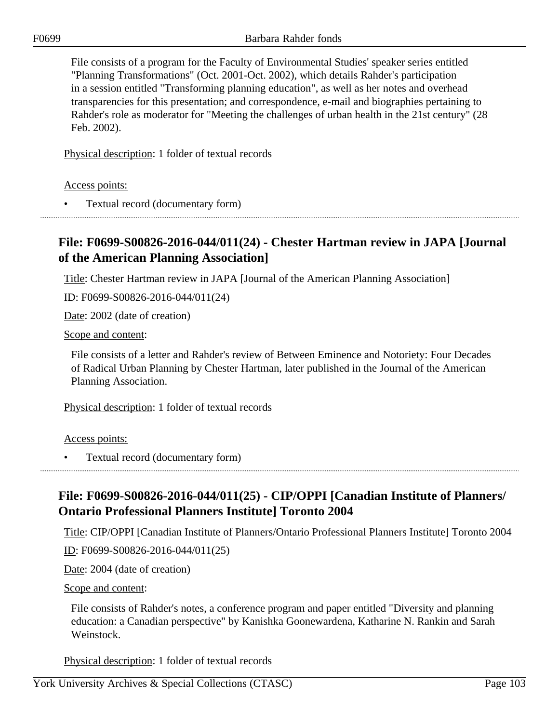File consists of a program for the Faculty of Environmental Studies' speaker series entitled "Planning Transformations" (Oct. 2001-Oct. 2002), which details Rahder's participation in a session entitled "Transforming planning education", as well as her notes and overhead transparencies for this presentation; and correspondence, e-mail and biographies pertaining to Rahder's role as moderator for "Meeting the challenges of urban health in the 21st century" (28 Feb. 2002).

Physical description: 1 folder of textual records

Access points:

• Textual record (documentary form)

# **File: F0699-S00826-2016-044/011(24) - Chester Hartman review in JAPA [Journal of the American Planning Association]**

Title: Chester Hartman review in JAPA [Journal of the American Planning Association]

ID: F0699-S00826-2016-044/011(24)

Date: 2002 (date of creation)

Scope and content:

File consists of a letter and Rahder's review of Between Eminence and Notoriety: Four Decades of Radical Urban Planning by Chester Hartman, later published in the Journal of the American Planning Association.

Physical description: 1 folder of textual records

Access points:

• Textual record (documentary form)

# **File: F0699-S00826-2016-044/011(25) - CIP/OPPI [Canadian Institute of Planners/ Ontario Professional Planners Institute] Toronto 2004**

Title: CIP/OPPI [Canadian Institute of Planners/Ontario Professional Planners Institute] Toronto 2004

ID: F0699-S00826-2016-044/011(25)

Date: 2004 (date of creation)

Scope and content:

File consists of Rahder's notes, a conference program and paper entitled "Diversity and planning education: a Canadian perspective" by Kanishka Goonewardena, Katharine N. Rankin and Sarah Weinstock.

Physical description: 1 folder of textual records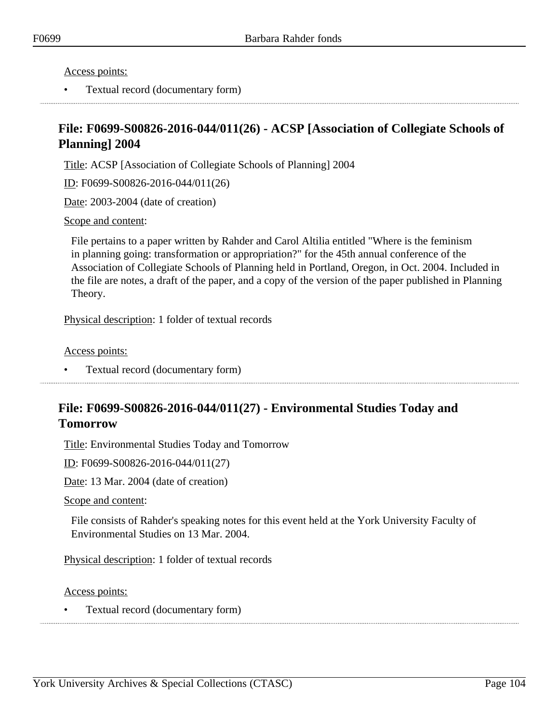Access points:

• Textual record (documentary form)

## **File: F0699-S00826-2016-044/011(26) - ACSP [Association of Collegiate Schools of Planning] 2004**

Title: ACSP [Association of Collegiate Schools of Planning] 2004

ID: F0699-S00826-2016-044/011(26)

Date: 2003-2004 (date of creation)

Scope and content:

File pertains to a paper written by Rahder and Carol Altilia entitled "Where is the feminism in planning going: transformation or appropriation?" for the 45th annual conference of the Association of Collegiate Schools of Planning held in Portland, Oregon, in Oct. 2004. Included in the file are notes, a draft of the paper, and a copy of the version of the paper published in Planning Theory.

Physical description: 1 folder of textual records

Access points:

• Textual record (documentary form)

## **File: F0699-S00826-2016-044/011(27) - Environmental Studies Today and Tomorrow**

Title: Environmental Studies Today and Tomorrow

ID: F0699-S00826-2016-044/011(27)

Date: 13 Mar. 2004 (date of creation)

Scope and content:

File consists of Rahder's speaking notes for this event held at the York University Faculty of Environmental Studies on 13 Mar. 2004.

Physical description: 1 folder of textual records

Access points: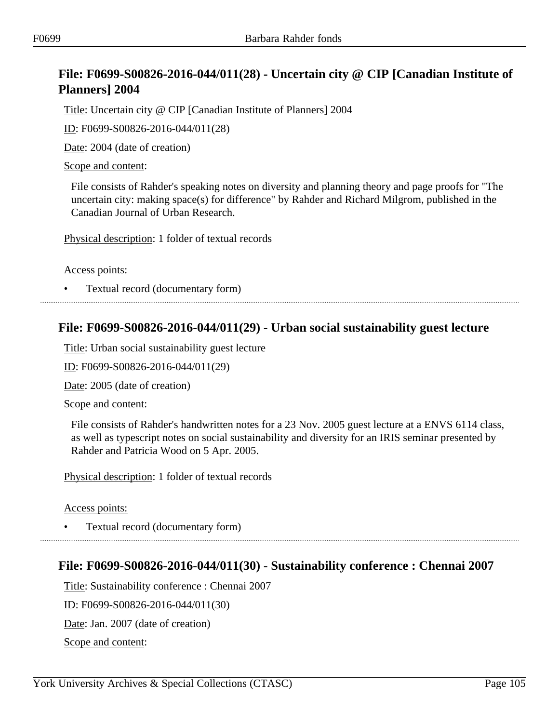# **File: F0699-S00826-2016-044/011(28) - Uncertain city @ CIP [Canadian Institute of Planners] 2004**

Title: Uncertain city @ CIP [Canadian Institute of Planners] 2004

ID: F0699-S00826-2016-044/011(28)

Date: 2004 (date of creation)

### Scope and content:

File consists of Rahder's speaking notes on diversity and planning theory and page proofs for "The uncertain city: making space(s) for difference" by Rahder and Richard Milgrom, published in the Canadian Journal of Urban Research.

Physical description: 1 folder of textual records

Access points:

• Textual record (documentary form)

### **File: F0699-S00826-2016-044/011(29) - Urban social sustainability guest lecture**

Title: Urban social sustainability guest lecture

ID: F0699-S00826-2016-044/011(29)

Date: 2005 (date of creation)

Scope and content:

File consists of Rahder's handwritten notes for a 23 Nov. 2005 guest lecture at a ENVS 6114 class, as well as typescript notes on social sustainability and diversity for an IRIS seminar presented by Rahder and Patricia Wood on 5 Apr. 2005.

Physical description: 1 folder of textual records

Access points:

• Textual record (documentary form)

### **File: F0699-S00826-2016-044/011(30) - Sustainability conference : Chennai 2007**

Title: Sustainability conference : Chennai 2007 ID: F0699-S00826-2016-044/011(30) Date: Jan. 2007 (date of creation) Scope and content: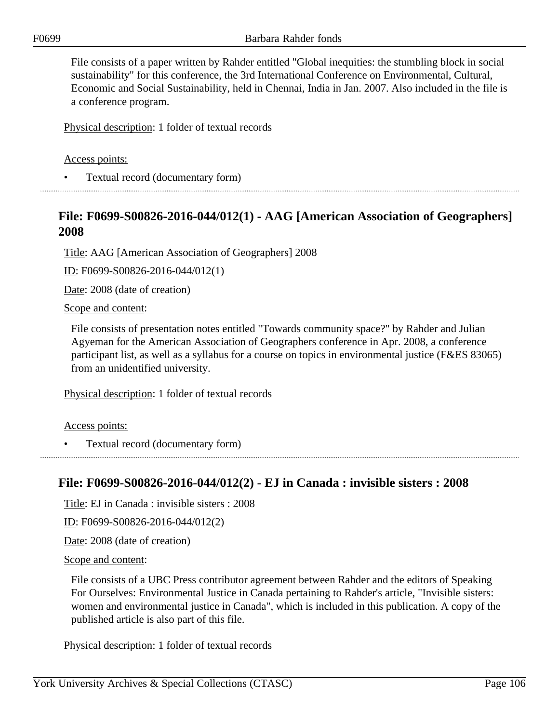File consists of a paper written by Rahder entitled "Global inequities: the stumbling block in social sustainability" for this conference, the 3rd International Conference on Environmental, Cultural, Economic and Social Sustainability, held in Chennai, India in Jan. 2007. Also included in the file is a conference program.

Physical description: 1 folder of textual records

### Access points:

• Textual record (documentary form)

### **File: F0699-S00826-2016-044/012(1) - AAG [American Association of Geographers] 2008**

Title: AAG [American Association of Geographers] 2008

ID: F0699-S00826-2016-044/012(1)

Date: 2008 (date of creation)

Scope and content:

File consists of presentation notes entitled "Towards community space?" by Rahder and Julian Agyeman for the American Association of Geographers conference in Apr. 2008, a conference participant list, as well as a syllabus for a course on topics in environmental justice (F&ES 83065) from an unidentified university.

Physical description: 1 folder of textual records

Access points:

• Textual record (documentary form)

### **File: F0699-S00826-2016-044/012(2) - EJ in Canada : invisible sisters : 2008**

Title: EJ in Canada : invisible sisters : 2008

ID: F0699-S00826-2016-044/012(2)

Date: 2008 (date of creation)

Scope and content:

File consists of a UBC Press contributor agreement between Rahder and the editors of Speaking For Ourselves: Environmental Justice in Canada pertaining to Rahder's article, "Invisible sisters: women and environmental justice in Canada", which is included in this publication. A copy of the published article is also part of this file.

Physical description: 1 folder of textual records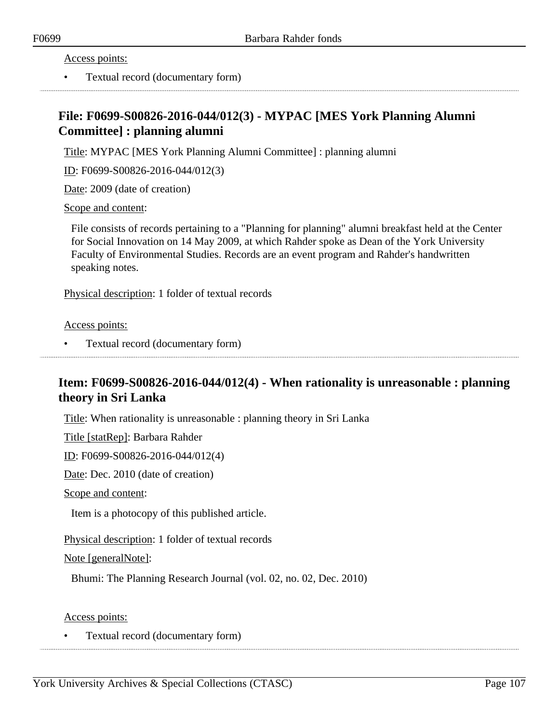Access points:

• Textual record (documentary form)

# **File: F0699-S00826-2016-044/012(3) - MYPAC [MES York Planning Alumni Committee] : planning alumni**

Title: MYPAC [MES York Planning Alumni Committee] : planning alumni

ID: F0699-S00826-2016-044/012(3)

Date: 2009 (date of creation)

Scope and content:

File consists of records pertaining to a "Planning for planning" alumni breakfast held at the Center for Social Innovation on 14 May 2009, at which Rahder spoke as Dean of the York University Faculty of Environmental Studies. Records are an event program and Rahder's handwritten speaking notes.

Physical description: 1 folder of textual records

Access points:

• Textual record (documentary form)

# **Item: F0699-S00826-2016-044/012(4) - When rationality is unreasonable : planning theory in Sri Lanka**

Title: When rationality is unreasonable : planning theory in Sri Lanka

Title [statRep]: Barbara Rahder

ID: F0699-S00826-2016-044/012(4)

Date: Dec. 2010 (date of creation)

Scope and content:

Item is a photocopy of this published article.

Physical description: 1 folder of textual records

Note [generalNote]:

Bhumi: The Planning Research Journal (vol. 02, no. 02, Dec. 2010)

Access points: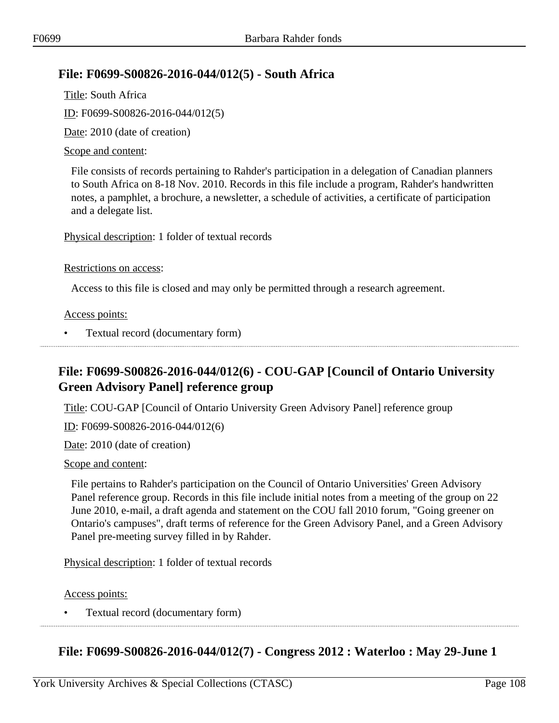## **File: F0699-S00826-2016-044/012(5) - South Africa**

Title: South Africa ID: F0699-S00826-2016-044/012(5) Date: 2010 (date of creation)

### Scope and content:

File consists of records pertaining to Rahder's participation in a delegation of Canadian planners to South Africa on 8-18 Nov. 2010. Records in this file include a program, Rahder's handwritten notes, a pamphlet, a brochure, a newsletter, a schedule of activities, a certificate of participation and a delegate list.

Physical description: 1 folder of textual records

#### Restrictions on access:

Access to this file is closed and may only be permitted through a research agreement.

#### Access points:

• Textual record (documentary form)

# **File: F0699-S00826-2016-044/012(6) - COU-GAP [Council of Ontario University Green Advisory Panel] reference group**

Title: COU-GAP [Council of Ontario University Green Advisory Panel] reference group

ID: F0699-S00826-2016-044/012(6)

Date: 2010 (date of creation)

#### Scope and content:

File pertains to Rahder's participation on the Council of Ontario Universities' Green Advisory Panel reference group. Records in this file include initial notes from a meeting of the group on 22 June 2010, e-mail, a draft agenda and statement on the COU fall 2010 forum, "Going greener on Ontario's campuses", draft terms of reference for the Green Advisory Panel, and a Green Advisory Panel pre-meeting survey filled in by Rahder.

Physical description: 1 folder of textual records

Access points:

• Textual record (documentary form)

**File: F0699-S00826-2016-044/012(7) - Congress 2012 : Waterloo : May 29-June 1**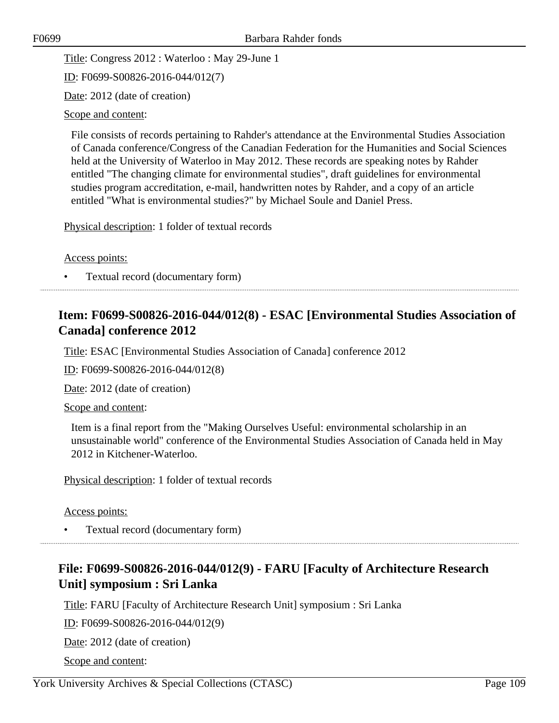Title: Congress 2012 : Waterloo : May 29-June 1

ID: F0699-S00826-2016-044/012(7)

Date: 2012 (date of creation)

#### Scope and content:

File consists of records pertaining to Rahder's attendance at the Environmental Studies Association of Canada conference/Congress of the Canadian Federation for the Humanities and Social Sciences held at the University of Waterloo in May 2012. These records are speaking notes by Rahder entitled "The changing climate for environmental studies", draft guidelines for environmental studies program accreditation, e-mail, handwritten notes by Rahder, and a copy of an article entitled "What is environmental studies?" by Michael Soule and Daniel Press.

Physical description: 1 folder of textual records

Access points:

• Textual record (documentary form)

## **Item: F0699-S00826-2016-044/012(8) - ESAC [Environmental Studies Association of Canada] conference 2012**

Title: ESAC [Environmental Studies Association of Canada] conference 2012

ID: F0699-S00826-2016-044/012(8)

Date: 2012 (date of creation)

Scope and content:

Item is a final report from the "Making Ourselves Useful: environmental scholarship in an unsustainable world" conference of the Environmental Studies Association of Canada held in May 2012 in Kitchener-Waterloo.

Physical description: 1 folder of textual records

Access points:

• Textual record (documentary form)

# **File: F0699-S00826-2016-044/012(9) - FARU [Faculty of Architecture Research Unit] symposium : Sri Lanka**

Title: FARU [Faculty of Architecture Research Unit] symposium : Sri Lanka

ID: F0699-S00826-2016-044/012(9)

Date: 2012 (date of creation)

Scope and content: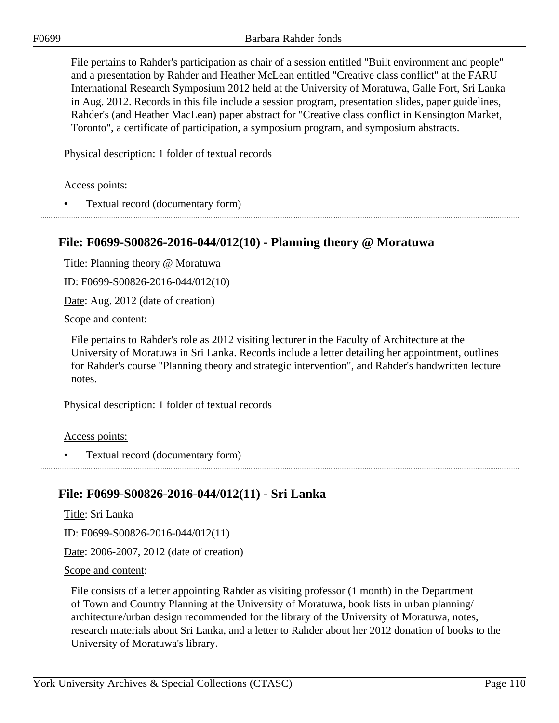File pertains to Rahder's participation as chair of a session entitled "Built environment and people" and a presentation by Rahder and Heather McLean entitled "Creative class conflict" at the FARU International Research Symposium 2012 held at the University of Moratuwa, Galle Fort, Sri Lanka in Aug. 2012. Records in this file include a session program, presentation slides, paper guidelines, Rahder's (and Heather MacLean) paper abstract for "Creative class conflict in Kensington Market, Toronto", a certificate of participation, a symposium program, and symposium abstracts.

Physical description: 1 folder of textual records

Access points:

• Textual record (documentary form)

## **File: F0699-S00826-2016-044/012(10) - Planning theory @ Moratuwa**

Title: Planning theory @ Moratuwa

ID: F0699-S00826-2016-044/012(10)

Date: Aug. 2012 (date of creation)

Scope and content:

File pertains to Rahder's role as 2012 visiting lecturer in the Faculty of Architecture at the University of Moratuwa in Sri Lanka. Records include a letter detailing her appointment, outlines for Rahder's course "Planning theory and strategic intervention", and Rahder's handwritten lecture notes.

Physical description: 1 folder of textual records

Access points:

• Textual record (documentary form)

### **File: F0699-S00826-2016-044/012(11) - Sri Lanka**

Title: Sri Lanka

ID: F0699-S00826-2016-044/012(11)

Date: 2006-2007, 2012 (date of creation)

Scope and content:

File consists of a letter appointing Rahder as visiting professor (1 month) in the Department of Town and Country Planning at the University of Moratuwa, book lists in urban planning/ architecture/urban design recommended for the library of the University of Moratuwa, notes, research materials about Sri Lanka, and a letter to Rahder about her 2012 donation of books to the University of Moratuwa's library.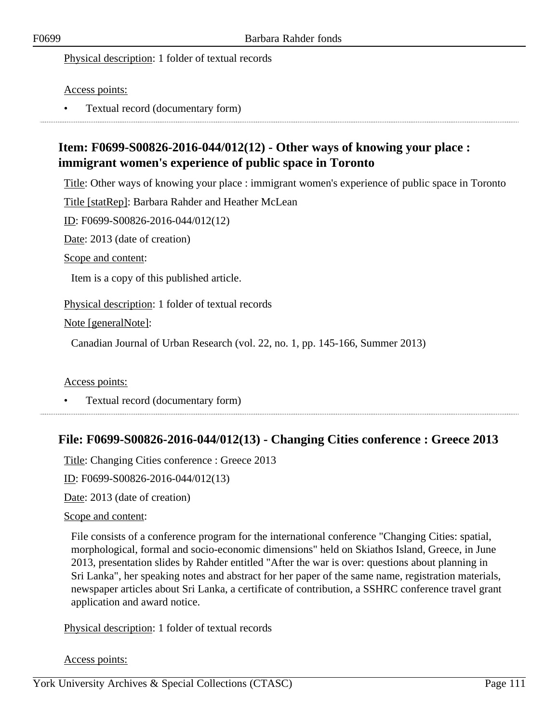Access points:

• Textual record (documentary form)

# **Item: F0699-S00826-2016-044/012(12) - Other ways of knowing your place : immigrant women's experience of public space in Toronto**

Title: Other ways of knowing your place : immigrant women's experience of public space in Toronto

Title [statRep]: Barbara Rahder and Heather McLean

ID: F0699-S00826-2016-044/012(12)

Date: 2013 (date of creation)

Scope and content:

Item is a copy of this published article.

Physical description: 1 folder of textual records

Note [generalNote]:

Canadian Journal of Urban Research (vol. 22, no. 1, pp. 145-166, Summer 2013)

Access points:

• Textual record (documentary form)

### **File: F0699-S00826-2016-044/012(13) - Changing Cities conference : Greece 2013**

Title: Changing Cities conference : Greece 2013

ID: F0699-S00826-2016-044/012(13)

Date: 2013 (date of creation)

#### Scope and content:

File consists of a conference program for the international conference "Changing Cities: spatial, morphological, formal and socio-economic dimensions" held on Skiathos Island, Greece, in June 2013, presentation slides by Rahder entitled "After the war is over: questions about planning in Sri Lanka", her speaking notes and abstract for her paper of the same name, registration materials, newspaper articles about Sri Lanka, a certificate of contribution, a SSHRC conference travel grant application and award notice.

Physical description: 1 folder of textual records

Access points: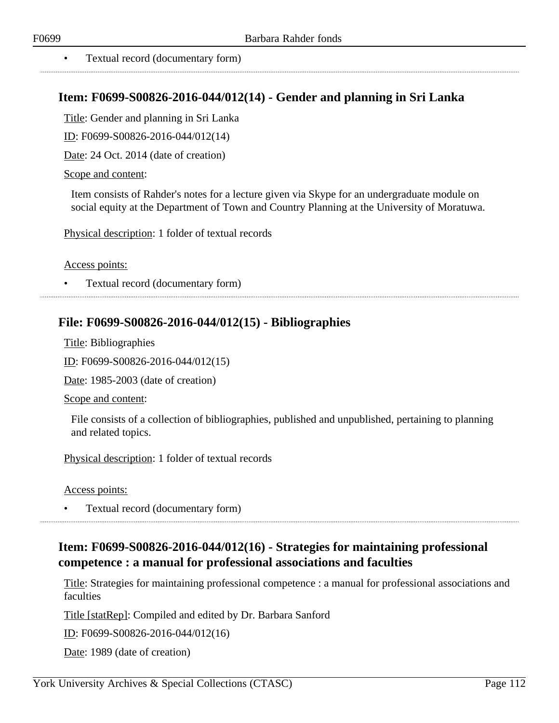• Textual record (documentary form)

### **Item: F0699-S00826-2016-044/012(14) - Gender and planning in Sri Lanka**

Title: Gender and planning in Sri Lanka

ID: F0699-S00826-2016-044/012(14)

Date: 24 Oct. 2014 (date of creation)

#### Scope and content:

Item consists of Rahder's notes for a lecture given via Skype for an undergraduate module on social equity at the Department of Town and Country Planning at the University of Moratuwa.

Physical description: 1 folder of textual records

Access points:

• Textual record (documentary form)

### **File: F0699-S00826-2016-044/012(15) - Bibliographies**

Title: Bibliographies

ID: F0699-S00826-2016-044/012(15)

Date: 1985-2003 (date of creation)

Scope and content:

File consists of a collection of bibliographies, published and unpublished, pertaining to planning and related topics.

Physical description: 1 folder of textual records

Access points:

• Textual record (documentary form)

## **Item: F0699-S00826-2016-044/012(16) - Strategies for maintaining professional competence : a manual for professional associations and faculties**

Title: Strategies for maintaining professional competence : a manual for professional associations and **faculties** 

Title [statRep]: Compiled and edited by Dr. Barbara Sanford

ID: F0699-S00826-2016-044/012(16)

Date: 1989 (date of creation)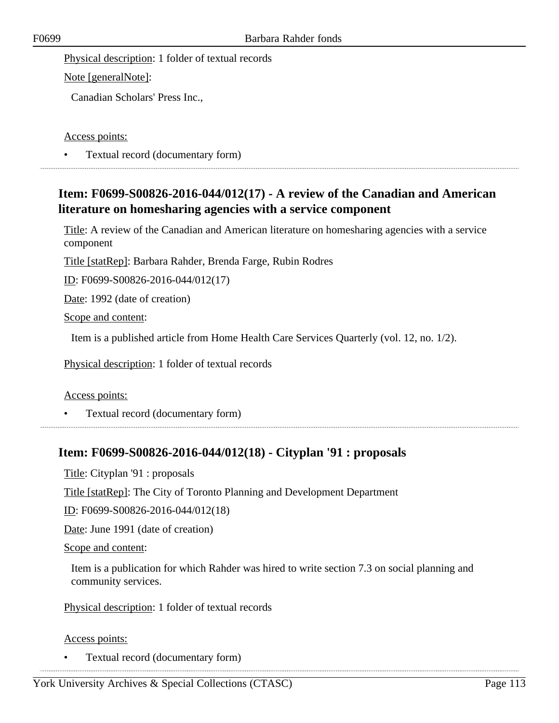Note [generalNote]:

Canadian Scholars' Press Inc.,

#### Access points:

• Textual record (documentary form) 

## **Item: F0699-S00826-2016-044/012(17) - A review of the Canadian and American literature on homesharing agencies with a service component**

Title: A review of the Canadian and American literature on homesharing agencies with a service component

Title [statRep]: Barbara Rahder, Brenda Farge, Rubin Rodres

ID: F0699-S00826-2016-044/012(17)

Date: 1992 (date of creation)

Scope and content:

Item is a published article from Home Health Care Services Quarterly (vol. 12, no. 1/2).

Physical description: 1 folder of textual records

### Access points:

• Textual record (documentary form)

### **Item: F0699-S00826-2016-044/012(18) - Cityplan '91 : proposals**

Title: Cityplan '91 : proposals

Title [statRep]: The City of Toronto Planning and Development Department

ID: F0699-S00826-2016-044/012(18)

Date: June 1991 (date of creation)

Scope and content:

Item is a publication for which Rahder was hired to write section 7.3 on social planning and community services.

Physical description: 1 folder of textual records

### Access points: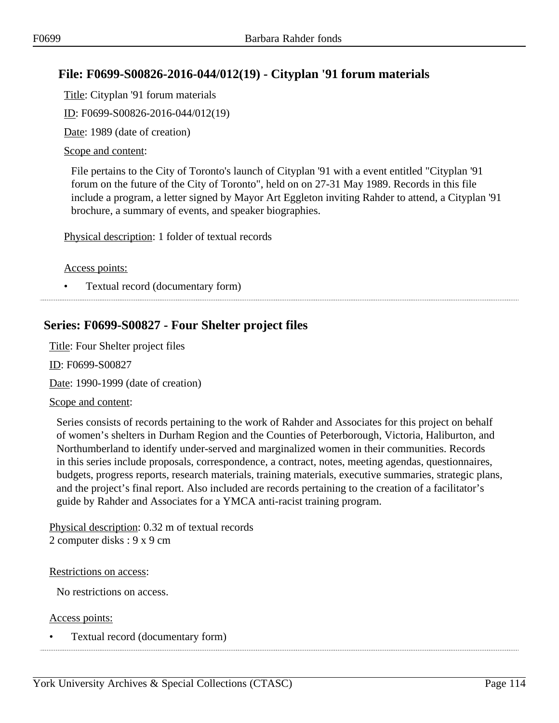## **File: F0699-S00826-2016-044/012(19) - Cityplan '91 forum materials**

Title: Cityplan '91 forum materials

ID: F0699-S00826-2016-044/012(19)

Date: 1989 (date of creation)

### Scope and content:

File pertains to the City of Toronto's launch of Cityplan '91 with a event entitled "Cityplan '91 forum on the future of the City of Toronto", held on on 27-31 May 1989. Records in this file include a program, a letter signed by Mayor Art Eggleton inviting Rahder to attend, a Cityplan '91 brochure, a summary of events, and speaker biographies.

Physical description: 1 folder of textual records

#### Access points:

• Textual record (documentary form)

## **Series: F0699-S00827 - Four Shelter project files**

Title: Four Shelter project files

ID: F0699-S00827

Date: 1990-1999 (date of creation)

#### Scope and content:

Series consists of records pertaining to the work of Rahder and Associates for this project on behalf of women's shelters in Durham Region and the Counties of Peterborough, Victoria, Haliburton, and Northumberland to identify under-served and marginalized women in their communities. Records in this series include proposals, correspondence, a contract, notes, meeting agendas, questionnaires, budgets, progress reports, research materials, training materials, executive summaries, strategic plans, and the project's final report. Also included are records pertaining to the creation of a facilitator's guide by Rahder and Associates for a YMCA anti-racist training program.

Physical description: 0.32 m of textual records 2 computer disks : 9 x 9 cm

#### Restrictions on access:

No restrictions on access.

Access points: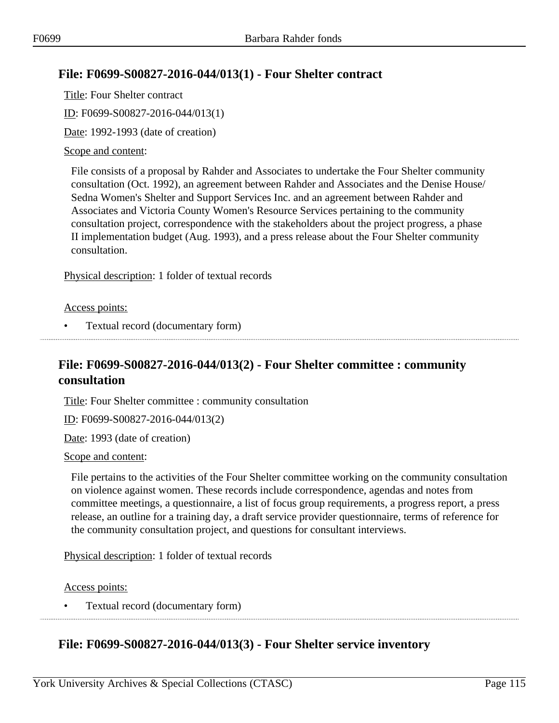## **File: F0699-S00827-2016-044/013(1) - Four Shelter contract**

Title: Four Shelter contract ID: F0699-S00827-2016-044/013(1) Date: 1992-1993 (date of creation)

#### Scope and content:

File consists of a proposal by Rahder and Associates to undertake the Four Shelter community consultation (Oct. 1992), an agreement between Rahder and Associates and the Denise House/ Sedna Women's Shelter and Support Services Inc. and an agreement between Rahder and Associates and Victoria County Women's Resource Services pertaining to the community consultation project, correspondence with the stakeholders about the project progress, a phase II implementation budget (Aug. 1993), and a press release about the Four Shelter community consultation.

Physical description: 1 folder of textual records

Access points:

• Textual record (documentary form)

## **File: F0699-S00827-2016-044/013(2) - Four Shelter committee : community consultation**

Title: Four Shelter committee : community consultation

ID: F0699-S00827-2016-044/013(2)

Date: 1993 (date of creation)

#### Scope and content:

File pertains to the activities of the Four Shelter committee working on the community consultation on violence against women. These records include correspondence, agendas and notes from committee meetings, a questionnaire, a list of focus group requirements, a progress report, a press release, an outline for a training day, a draft service provider questionnaire, terms of reference for the community consultation project, and questions for consultant interviews.

Physical description: 1 folder of textual records

Access points:

• Textual record (documentary form)

## **File: F0699-S00827-2016-044/013(3) - Four Shelter service inventory**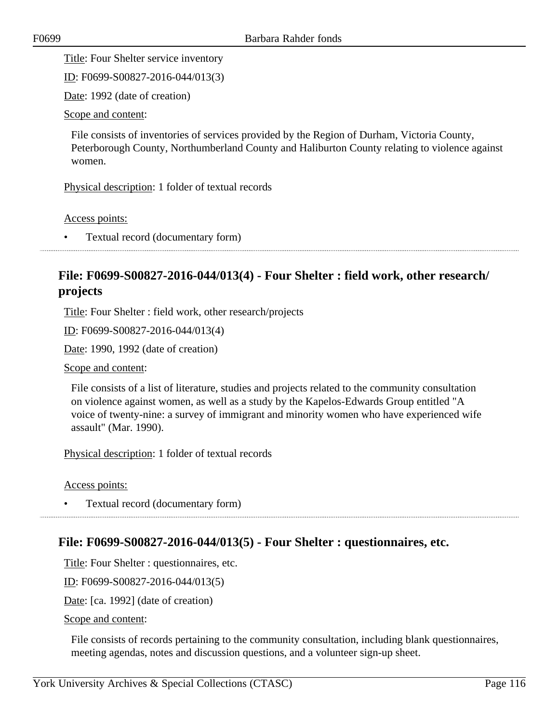Title: Four Shelter service inventory

ID: F0699-S00827-2016-044/013(3)

Date: 1992 (date of creation)

Scope and content:

File consists of inventories of services provided by the Region of Durham, Victoria County, Peterborough County, Northumberland County and Haliburton County relating to violence against women.

Physical description: 1 folder of textual records

Access points:

• Textual record (documentary form)

## **File: F0699-S00827-2016-044/013(4) - Four Shelter : field work, other research/ projects**

Title: Four Shelter : field work, other research/projects

ID: F0699-S00827-2016-044/013(4)

Date: 1990, 1992 (date of creation)

Scope and content:

File consists of a list of literature, studies and projects related to the community consultation on violence against women, as well as a study by the Kapelos-Edwards Group entitled "A voice of twenty-nine: a survey of immigrant and minority women who have experienced wife assault" (Mar. 1990).

Physical description: 1 folder of textual records

Access points:

• Textual record (documentary form)

### **File: F0699-S00827-2016-044/013(5) - Four Shelter : questionnaires, etc.**

Title: Four Shelter : questionnaires, etc.

ID: F0699-S00827-2016-044/013(5)

Date: [ca. 1992] (date of creation)

Scope and content:

File consists of records pertaining to the community consultation, including blank questionnaires, meeting agendas, notes and discussion questions, and a volunteer sign-up sheet.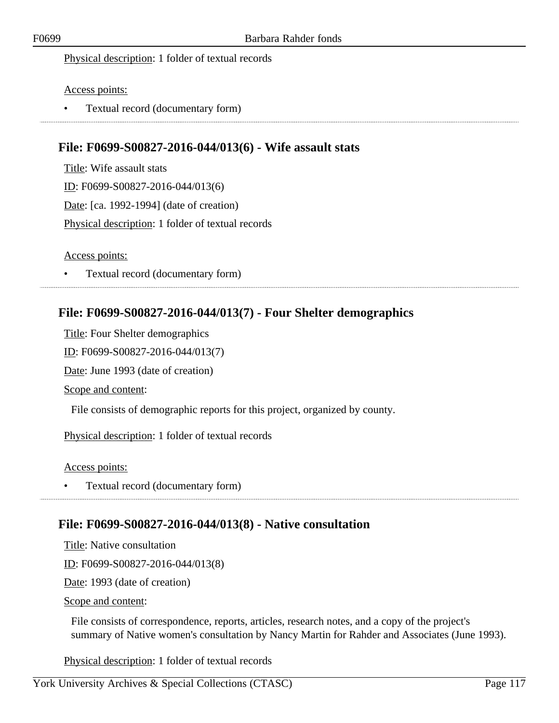#### Access points:

• Textual record (documentary form)

### **File: F0699-S00827-2016-044/013(6) - Wife assault stats**

Title: Wife assault stats ID: F0699-S00827-2016-044/013(6) Date: [ca. 1992-1994] (date of creation) Physical description: 1 folder of textual records

#### Access points:

• Textual record (documentary form)

### **File: F0699-S00827-2016-044/013(7) - Four Shelter demographics**

Title: Four Shelter demographics

ID: F0699-S00827-2016-044/013(7)

Date: June 1993 (date of creation)

Scope and content:

File consists of demographic reports for this project, organized by county.

Physical description: 1 folder of textual records

Access points:

• Textual record (documentary form)

### **File: F0699-S00827-2016-044/013(8) - Native consultation**

Title: Native consultation

ID: F0699-S00827-2016-044/013(8)

Date: 1993 (date of creation)

Scope and content:

File consists of correspondence, reports, articles, research notes, and a copy of the project's summary of Native women's consultation by Nancy Martin for Rahder and Associates (June 1993).

Physical description: 1 folder of textual records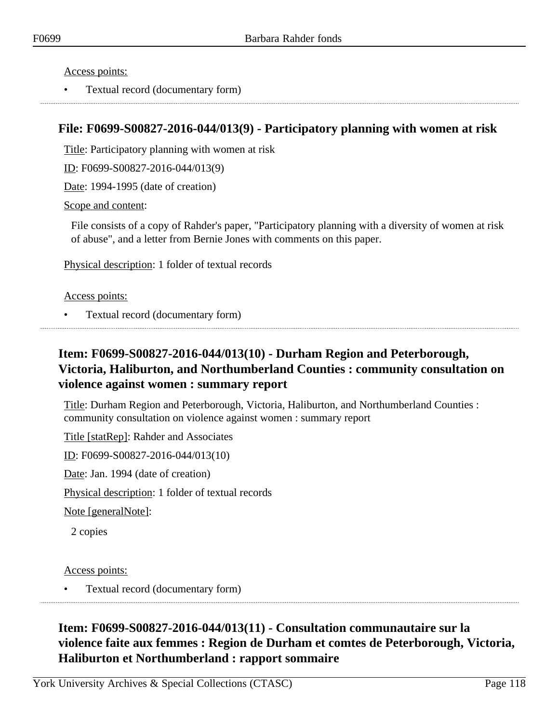• Textual record (documentary form)

### **File: F0699-S00827-2016-044/013(9) - Participatory planning with women at risk**

Title: Participatory planning with women at risk

ID: F0699-S00827-2016-044/013(9)

Date: 1994-1995 (date of creation)

Scope and content:

File consists of a copy of Rahder's paper, "Participatory planning with a diversity of women at risk of abuse", and a letter from Bernie Jones with comments on this paper.

Physical description: 1 folder of textual records

Access points:

• Textual record (documentary form)

## **Item: F0699-S00827-2016-044/013(10) - Durham Region and Peterborough, Victoria, Haliburton, and Northumberland Counties : community consultation on violence against women : summary report**

Title: Durham Region and Peterborough, Victoria, Haliburton, and Northumberland Counties : community consultation on violence against women : summary report

Title [statRep]: Rahder and Associates

ID: F0699-S00827-2016-044/013(10)

Date: Jan. 1994 (date of creation)

Physical description: 1 folder of textual records

Note [generalNote]:

2 copies

Access points:

• Textual record (documentary form)

# **Item: F0699-S00827-2016-044/013(11) - Consultation communautaire sur la violence faite aux femmes : Region de Durham et comtes de Peterborough, Victoria, Haliburton et Northumberland : rapport sommaire**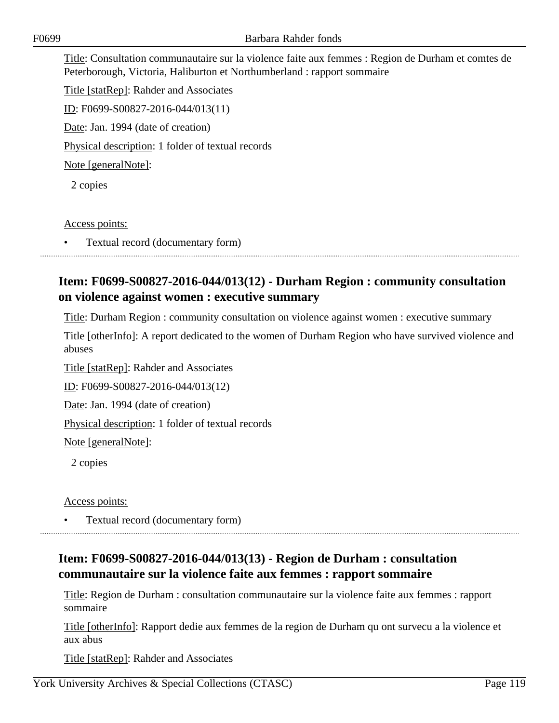Title: Consultation communautaire sur la violence faite aux femmes : Region de Durham et comtes de Peterborough, Victoria, Haliburton et Northumberland : rapport sommaire

Title [statRep]: Rahder and Associates ID: F0699-S00827-2016-044/013(11) Date: Jan. 1994 (date of creation) Physical description: 1 folder of textual records Note [generalNote]: 2 copies

Access points:

• Textual record (documentary form)

## **Item: F0699-S00827-2016-044/013(12) - Durham Region : community consultation on violence against women : executive summary**

Title: Durham Region : community consultation on violence against women : executive summary

Title [otherInfo]: A report dedicated to the women of Durham Region who have survived violence and abuses

Title [statRep]: Rahder and Associates

ID: F0699-S00827-2016-044/013(12)

Date: Jan. 1994 (date of creation)

Physical description: 1 folder of textual records

Note [generalNote]:

2 copies

Access points:

• Textual record (documentary form)

# **Item: F0699-S00827-2016-044/013(13) - Region de Durham : consultation communautaire sur la violence faite aux femmes : rapport sommaire**

Title: Region de Durham : consultation communautaire sur la violence faite aux femmes : rapport sommaire

Title [otherInfo]: Rapport dedie aux femmes de la region de Durham qu ont survecu a la violence et aux abus

Title [statRep]: Rahder and Associates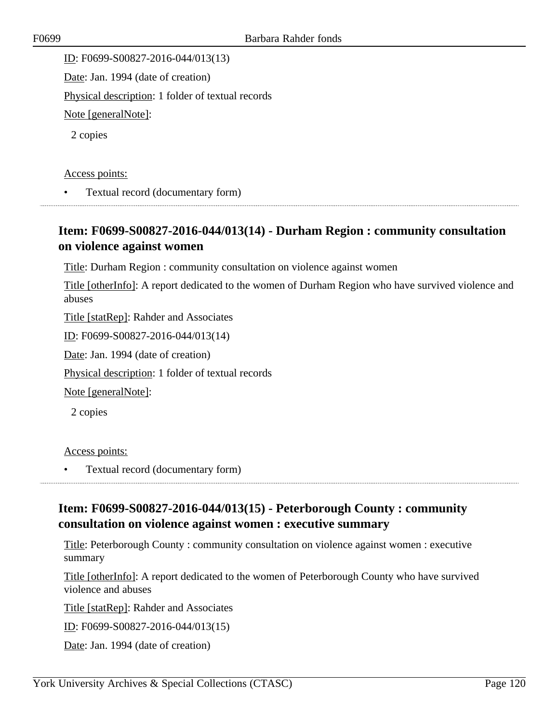ID: F0699-S00827-2016-044/013(13) Date: Jan. 1994 (date of creation) Physical description: 1 folder of textual records Note [generalNote]: 2 copies

Access points:

• Textual record (documentary form)

## **Item: F0699-S00827-2016-044/013(14) - Durham Region : community consultation on violence against women**

Title: Durham Region : community consultation on violence against women

Title [otherInfo]: A report dedicated to the women of Durham Region who have survived violence and abuses

Title [statRep]: Rahder and Associates

ID: F0699-S00827-2016-044/013(14)

Date: Jan. 1994 (date of creation)

Physical description: 1 folder of textual records

Note [generalNote]:

2 copies

#### Access points:

• Textual record (documentary form)

## **Item: F0699-S00827-2016-044/013(15) - Peterborough County : community consultation on violence against women : executive summary**

Title: Peterborough County : community consultation on violence against women : executive summary

Title [otherInfo]: A report dedicated to the women of Peterborough County who have survived violence and abuses

Title [statRep]: Rahder and Associates

ID: F0699-S00827-2016-044/013(15)

Date: Jan. 1994 (date of creation)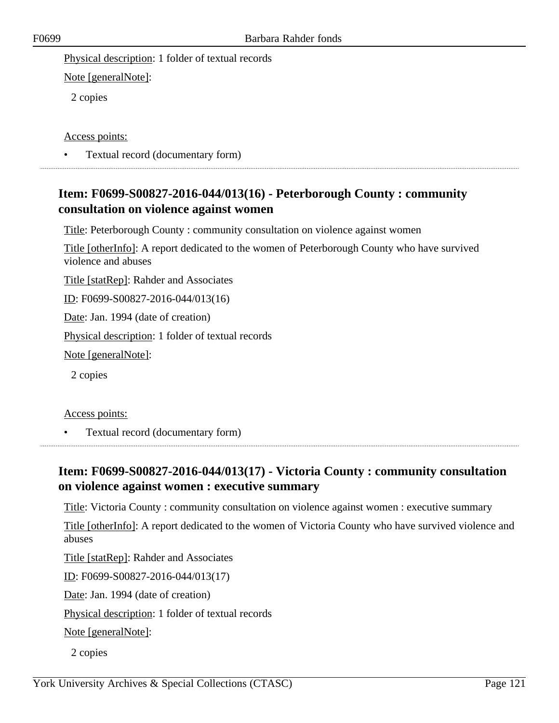Note [generalNote]:

2 copies

#### Access points:

• Textual record (documentary form) 

## **Item: F0699-S00827-2016-044/013(16) - Peterborough County : community consultation on violence against women**

Title: Peterborough County : community consultation on violence against women

Title [otherInfo]: A report dedicated to the women of Peterborough County who have survived violence and abuses

Title [statRep]: Rahder and Associates

ID: F0699-S00827-2016-044/013(16)

Date: Jan. 1994 (date of creation)

Physical description: 1 folder of textual records

Note [generalNote]:

2 copies

Access points:

• Textual record (documentary form)

# **Item: F0699-S00827-2016-044/013(17) - Victoria County : community consultation on violence against women : executive summary**

Title: Victoria County : community consultation on violence against women : executive summary

Title [otherInfo]: A report dedicated to the women of Victoria County who have survived violence and abuses

Title [statRep]: Rahder and Associates

ID: F0699-S00827-2016-044/013(17)

Date: Jan. 1994 (date of creation)

Physical description: 1 folder of textual records

Note [generalNote]:

2 copies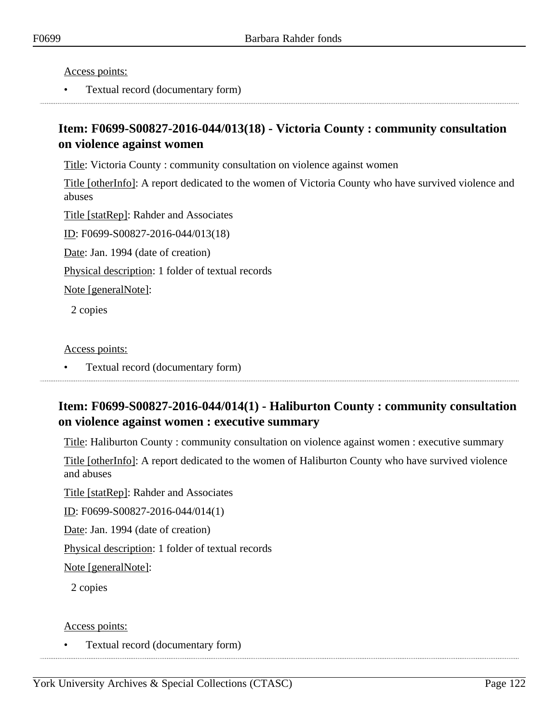• Textual record (documentary form)

## **Item: F0699-S00827-2016-044/013(18) - Victoria County : community consultation on violence against women**

Title: Victoria County : community consultation on violence against women

Title [otherInfo]: A report dedicated to the women of Victoria County who have survived violence and abuses

Title [statRep]: Rahder and Associates ID: F0699-S00827-2016-044/013(18) Date: Jan. 1994 (date of creation) Physical description: 1 folder of textual records

Note [generalNote]:

2 copies

Access points:

• Textual record (documentary form)

# **Item: F0699-S00827-2016-044/014(1) - Haliburton County : community consultation on violence against women : executive summary**

Title: Haliburton County : community consultation on violence against women : executive summary

Title [otherInfo]: A report dedicated to the women of Haliburton County who have survived violence and abuses

Title [statRep]: Rahder and Associates

ID: F0699-S00827-2016-044/014(1)

Date: Jan. 1994 (date of creation)

Physical description: 1 folder of textual records

Note [generalNote]:

2 copies

Access points: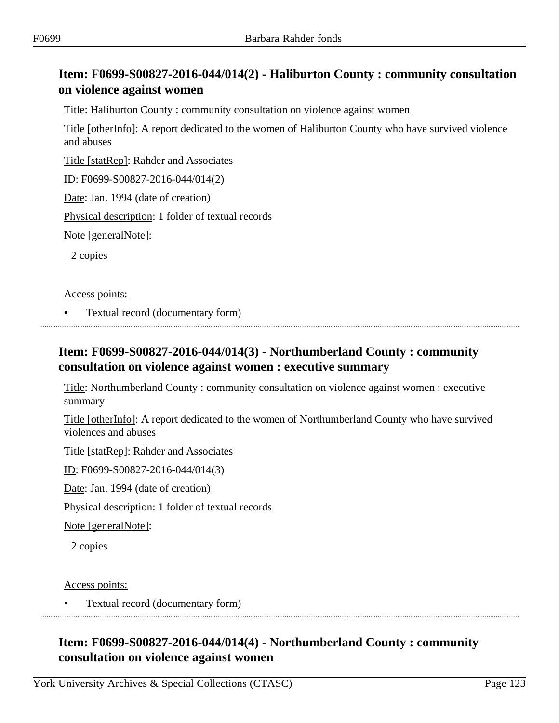## **Item: F0699-S00827-2016-044/014(2) - Haliburton County : community consultation on violence against women**

Title: Haliburton County : community consultation on violence against women

Title [otherInfo]: A report dedicated to the women of Haliburton County who have survived violence and abuses

Title [statRep]: Rahder and Associates

ID: F0699-S00827-2016-044/014(2)

Date: Jan. 1994 (date of creation)

Physical description: 1 folder of textual records

Note [generalNote]:

2 copies

Access points:

• Textual record (documentary form)

### **Item: F0699-S00827-2016-044/014(3) - Northumberland County : community consultation on violence against women : executive summary**

Title: Northumberland County : community consultation on violence against women : executive summary

Title [otherInfo]: A report dedicated to the women of Northumberland County who have survived violences and abuses

Title [statRep]: Rahder and Associates

ID: F0699-S00827-2016-044/014(3)

Date: Jan. 1994 (date of creation)

Physical description: 1 folder of textual records

Note [generalNote]:

2 copies

Access points:

• Textual record (documentary form)

# **Item: F0699-S00827-2016-044/014(4) - Northumberland County : community consultation on violence against women**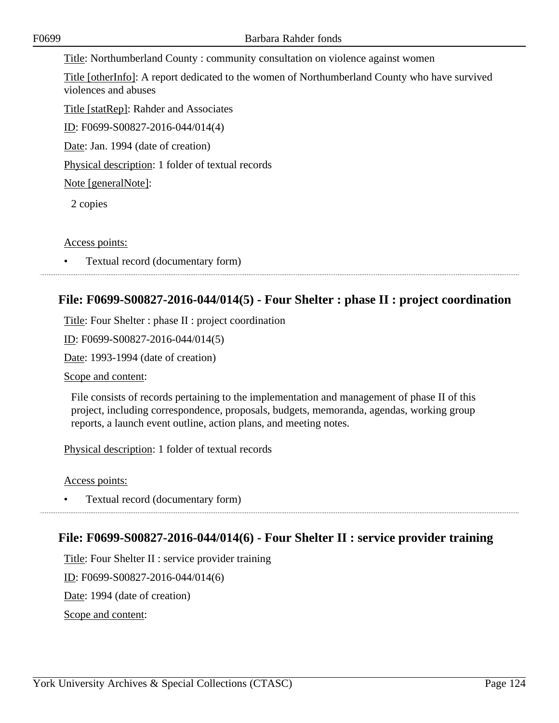Title: Northumberland County : community consultation on violence against women

Title [otherInfo]: A report dedicated to the women of Northumberland County who have survived violences and abuses

Title [statRep]: Rahder and Associates ID: F0699-S00827-2016-044/014(4)

Date: Jan. 1994 (date of creation)

Physical description: 1 folder of textual records

Note [generalNote]:

2 copies

### Access points:

• Textual record (documentary form)

# **File: F0699-S00827-2016-044/014(5) - Four Shelter : phase II : project coordination**

Title: Four Shelter : phase II : project coordination

ID: F0699-S00827-2016-044/014(5)

Date: 1993-1994 (date of creation)

Scope and content:

File consists of records pertaining to the implementation and management of phase II of this project, including correspondence, proposals, budgets, memoranda, agendas, working group reports, a launch event outline, action plans, and meeting notes.

Physical description: 1 folder of textual records

Access points:

• Textual record (documentary form) 

## **File: F0699-S00827-2016-044/014(6) - Four Shelter II : service provider training**

Title: Four Shelter II : service provider training

ID: F0699-S00827-2016-044/014(6)

Date: 1994 (date of creation)

Scope and content: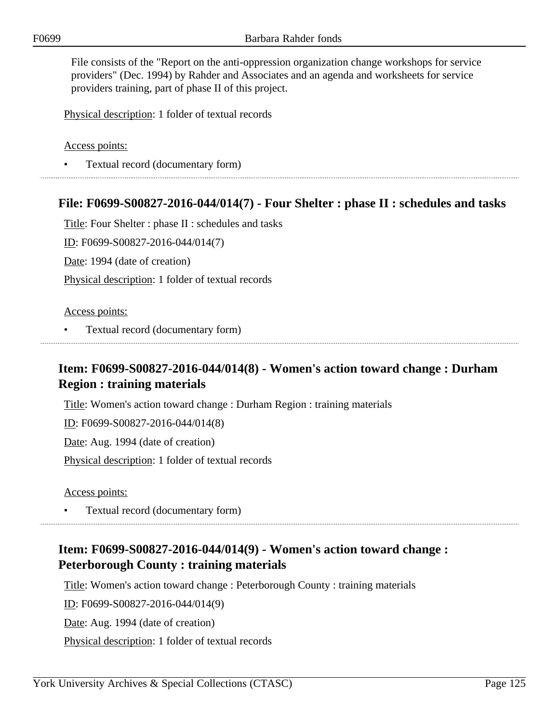File consists of the "Report on the anti-oppression organization change workshops for service providers" (Dec. 1994) by Rahder and Associates and an agenda and worksheets for service providers training, part of phase II of this project.

Physical description: 1 folder of textual records

Access points:

• Textual record (documentary form)

### **File: F0699-S00827-2016-044/014(7) - Four Shelter : phase II : schedules and tasks**

Title: Four Shelter : phase II : schedules and tasks

ID: F0699-S00827-2016-044/014(7)

Date: 1994 (date of creation)

Physical description: 1 folder of textual records

Access points:

• Textual record (documentary form)

## **Item: F0699-S00827-2016-044/014(8) - Women's action toward change : Durham Region : training materials**

Title: Women's action toward change : Durham Region : training materials

ID: F0699-S00827-2016-044/014(8)

Date: Aug. 1994 (date of creation)

Physical description: 1 folder of textual records

Access points:

• Textual record (documentary form)

## **Item: F0699-S00827-2016-044/014(9) - Women's action toward change : Peterborough County : training materials**

Title: Women's action toward change : Peterborough County : training materials

ID: F0699-S00827-2016-044/014(9)

Date: Aug. 1994 (date of creation)

Physical description: 1 folder of textual records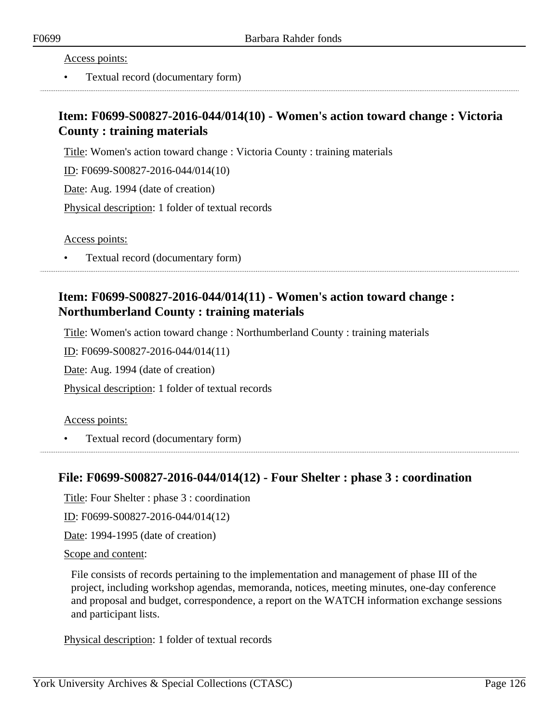• Textual record (documentary form)

## **Item: F0699-S00827-2016-044/014(10) - Women's action toward change : Victoria County : training materials**

Title: Women's action toward change : Victoria County : training materials

ID: F0699-S00827-2016-044/014(10)

Date: Aug. 1994 (date of creation)

Physical description: 1 folder of textual records

Access points:

• Textual record (documentary form)

## **Item: F0699-S00827-2016-044/014(11) - Women's action toward change : Northumberland County : training materials**

Title: Women's action toward change : Northumberland County : training materials

ID: F0699-S00827-2016-044/014(11)

Date: Aug. 1994 (date of creation)

Physical description: 1 folder of textual records

Access points:

• Textual record (documentary form)

### **File: F0699-S00827-2016-044/014(12) - Four Shelter : phase 3 : coordination**

Title: Four Shelter : phase 3 : coordination

ID: F0699-S00827-2016-044/014(12)

Date: 1994-1995 (date of creation)

Scope and content:

File consists of records pertaining to the implementation and management of phase III of the project, including workshop agendas, memoranda, notices, meeting minutes, one-day conference and proposal and budget, correspondence, a report on the WATCH information exchange sessions and participant lists.

Physical description: 1 folder of textual records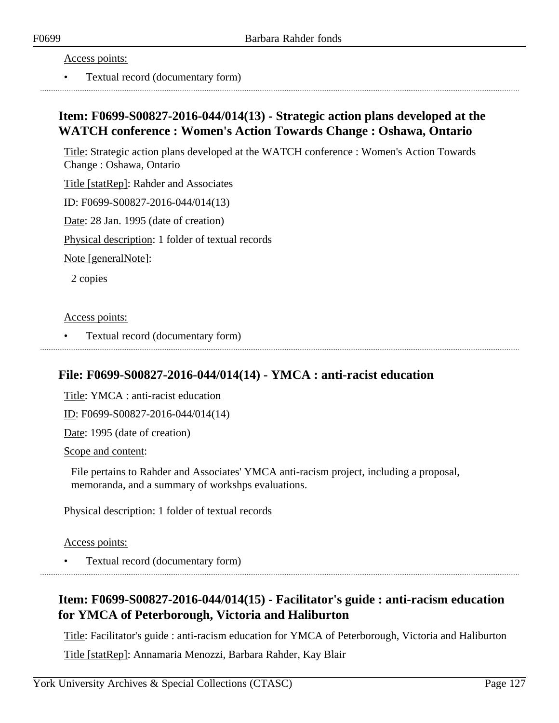• Textual record (documentary form)

## **Item: F0699-S00827-2016-044/014(13) - Strategic action plans developed at the WATCH conference : Women's Action Towards Change : Oshawa, Ontario**

Title: Strategic action plans developed at the WATCH conference : Women's Action Towards Change : Oshawa, Ontario

Title [statRep]: Rahder and Associates

ID: F0699-S00827-2016-044/014(13)

Date: 28 Jan. 1995 (date of creation)

Physical description: 1 folder of textual records

Note [generalNote]:

2 copies

#### Access points:

• Textual record (documentary form)

### **File: F0699-S00827-2016-044/014(14) - YMCA : anti-racist education**

Title: YMCA : anti-racist education

ID: F0699-S00827-2016-044/014(14)

Date: 1995 (date of creation)

Scope and content:

File pertains to Rahder and Associates' YMCA anti-racism project, including a proposal, memoranda, and a summary of workshps evaluations.

Physical description: 1 folder of textual records

Access points:

• Textual record (documentary form)

## **Item: F0699-S00827-2016-044/014(15) - Facilitator's guide : anti-racism education for YMCA of Peterborough, Victoria and Haliburton**

Title: Facilitator's guide : anti-racism education for YMCA of Peterborough, Victoria and Haliburton

Title [statRep]: Annamaria Menozzi, Barbara Rahder, Kay Blair